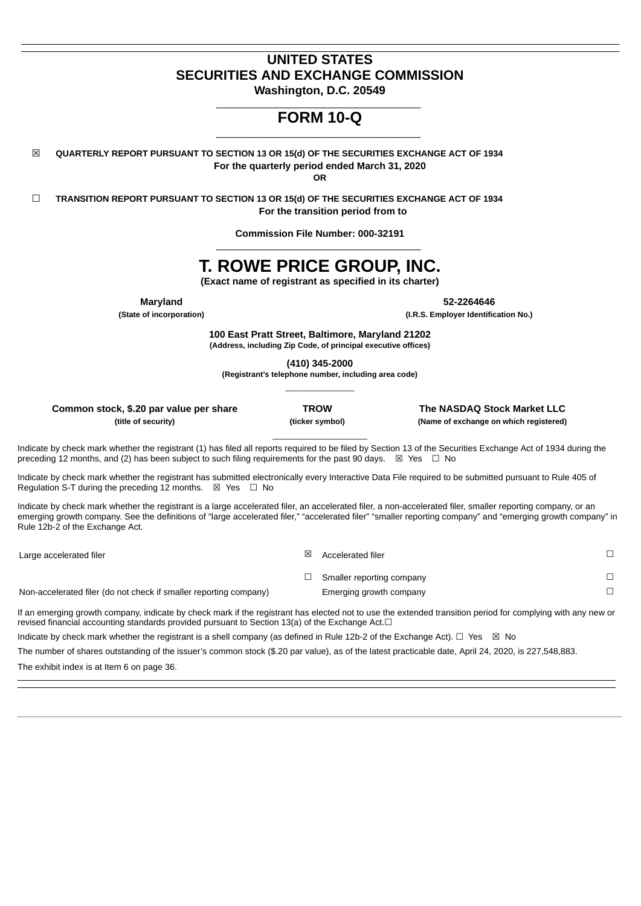## **UNITED STATES SECURITIES AND EXCHANGE COMMISSION**

**Washington, D.C. 20549** \_\_\_\_\_\_\_\_\_\_\_\_\_\_\_\_\_\_\_\_\_\_\_\_\_\_\_\_\_\_\_\_\_\_\_\_\_\_

## **FORM 10-Q** \_\_\_\_\_\_\_\_\_\_\_\_\_\_\_\_\_\_\_\_\_\_\_\_\_\_\_\_\_\_\_\_\_\_\_\_\_\_

☒ **QUARTERLY REPORT PURSUANT TO SECTION 13 OR 15(d) OF THE SECURITIES EXCHANGE ACT OF 1934 For the quarterly period ended March 31, 2020**

**OR**

☐ **TRANSITION REPORT PURSUANT TO SECTION 13 OR 15(d) OF THE SECURITIES EXCHANGE ACT OF 1934 For the transition period from to**

> **Commission File Number: 000-32191** \_\_\_\_\_\_\_\_\_\_\_\_\_\_\_\_\_\_\_\_\_\_\_\_\_\_\_\_\_\_\_\_\_\_\_\_\_\_

# **T. ROWE PRICE GROUP, INC.**

**(Exact name of registrant as specified in its charter)**

**Maryland 52-2264646 (State of incorporation) (I.R.S. Employer Identification No.)**

> **100 East Pratt Street, Baltimore, Maryland 21202 (Address, including Zip Code, of principal executive offices)**

> > **(410) 345-2000**

**(Registrant's telephone number, including area code)** \_\_\_\_\_\_\_\_\_\_\_\_\_\_\_\_

| Common stock, \$.20 par value per share | TROW            | The NASDAQ Stock Market LLC            |
|-----------------------------------------|-----------------|----------------------------------------|
| (title of security)                     | (ticker symbol) | (Name of exchange on which registered) |

 $\mathcal{L}_\text{max}$  and  $\mathcal{L}_\text{max}$  and  $\mathcal{L}_\text{max}$ 

Indicate by check mark whether the registrant (1) has filed all reports required to be filed by Section 13 of the Securities Exchange Act of 1934 during the preceding 12 months, and (2) has been subject to such filing requirements for the past 90 days.  $\boxtimes$  Yes  $\Box$  No

Indicate by check mark whether the registrant has submitted electronically every Interactive Data File required to be submitted pursuant to Rule 405 of Regulation S-T during the preceding 12 months.  $\boxtimes$  Yes  $\Box$  No

Indicate by check mark whether the registrant is a large accelerated filer, an accelerated filer, a non-accelerated filer, smaller reporting company, or an emerging growth company. See the definitions of "large accelerated filer," "accelerated filer" "smaller reporting company" and "emerging growth company" in Rule 12b-2 of the Exchange Act.

 $\Box$  Accelerated filer  $\Box$  Accelerated filer  $\Box$ ☐ Smaller reporting company ☐ Emerging growth company ◯

Non-accelerated filer (do not check if smaller reporting company)

If an emerging growth company, indicate by check mark if the registrant has elected not to use the extended transition period for complying with any new or revised financial accounting standards provided pursuant to Section 13(a) of the Exchange Act.☐

Indicate by check mark whether the registrant is a shell company (as defined in Rule 12b-2 of the Exchange Act).  $\Box$  Yes  $\boxtimes$  No

The number of shares outstanding of the issuer's common stock (\$.20 par value), as of the latest practicable date, April 24, 2020, is 227,548,883.

The exhibit index is at Item 6 on page 36.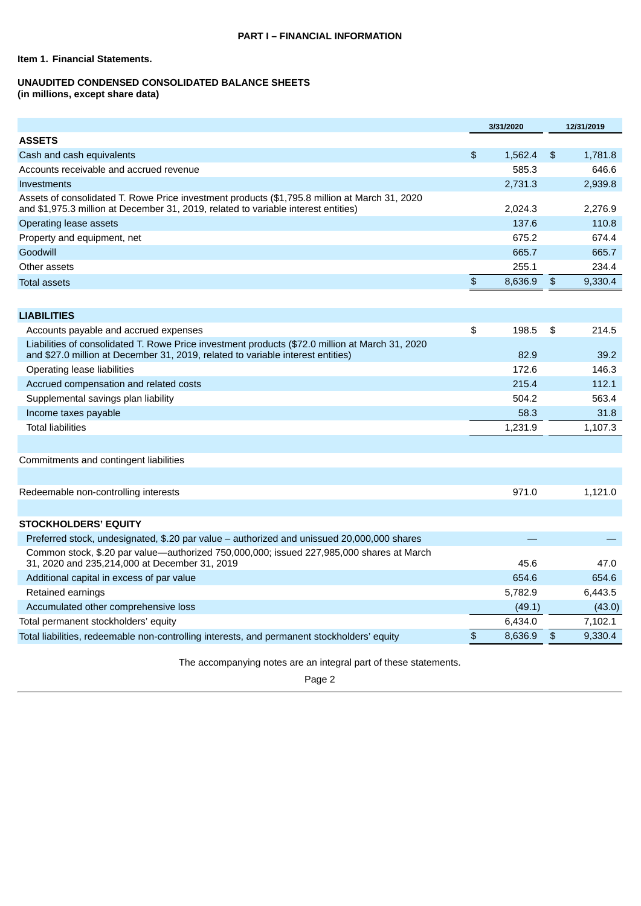**Item 1. Financial Statements.**

#### **UNAUDITED CONDENSED CONSOLIDATED BALANCE SHEETS (in millions, except share data)**

|                                                                                                                                                                                     | 3/31/2020     |                | 12/31/2019 |
|-------------------------------------------------------------------------------------------------------------------------------------------------------------------------------------|---------------|----------------|------------|
| <b>ASSETS</b>                                                                                                                                                                       |               |                |            |
| Cash and cash equivalents                                                                                                                                                           | \$<br>1,562.4 | $\frac{4}{5}$  | 1,781.8    |
| Accounts receivable and accrued revenue                                                                                                                                             | 585.3         |                | 646.6      |
| Investments                                                                                                                                                                         | 2,731.3       |                | 2,939.8    |
| Assets of consolidated T. Rowe Price investment products (\$1,795.8 million at March 31, 2020<br>and \$1,975.3 million at December 31, 2019, related to variable interest entities) | 2,024.3       |                | 2,276.9    |
| Operating lease assets                                                                                                                                                              | 137.6         |                | 110.8      |
| Property and equipment, net                                                                                                                                                         | 675.2         |                | 674.4      |
| Goodwill                                                                                                                                                                            | 665.7         |                | 665.7      |
| Other assets                                                                                                                                                                        | 255.1         |                | 234.4      |
| <b>Total assets</b>                                                                                                                                                                 | \$<br>8,636.9 | $\frac{1}{2}$  | 9,330.4    |
|                                                                                                                                                                                     |               |                |            |
| <b>LIABILITIES</b>                                                                                                                                                                  |               |                |            |
| Accounts payable and accrued expenses                                                                                                                                               | \$<br>198.5   | \$             | 214.5      |
| Liabilities of consolidated T. Rowe Price investment products (\$72.0 million at March 31, 2020                                                                                     |               |                |            |
| and \$27.0 million at December 31, 2019, related to variable interest entities)                                                                                                     | 82.9          |                | 39.2       |
| Operating lease liabilities                                                                                                                                                         | 172.6         |                | 146.3      |
| Accrued compensation and related costs                                                                                                                                              | 215.4         |                | 112.1      |
| Supplemental savings plan liability                                                                                                                                                 | 504.2         |                | 563.4      |
| Income taxes payable                                                                                                                                                                | 58.3          |                | 31.8       |
| <b>Total liabilities</b>                                                                                                                                                            | 1,231.9       |                | 1,107.3    |
|                                                                                                                                                                                     |               |                |            |
| Commitments and contingent liabilities                                                                                                                                              |               |                |            |
|                                                                                                                                                                                     |               |                |            |
| Redeemable non-controlling interests                                                                                                                                                | 971.0         |                | 1,121.0    |
|                                                                                                                                                                                     |               |                |            |
| <b>STOCKHOLDERS' EQUITY</b>                                                                                                                                                         |               |                |            |
| Preferred stock, undesignated, \$.20 par value – authorized and unissued 20,000,000 shares                                                                                          |               |                |            |
| Common stock, \$.20 par value—authorized 750,000,000; issued 227,985,000 shares at March<br>31, 2020 and 235, 214, 000 at December 31, 2019                                         | 45.6          |                | 47.0       |
| Additional capital in excess of par value                                                                                                                                           | 654.6         |                | 654.6      |
| Retained earnings                                                                                                                                                                   | 5,782.9       |                | 6,443.5    |
| Accumulated other comprehensive loss                                                                                                                                                | (49.1)        |                | (43.0)     |
| Total permanent stockholders' equity                                                                                                                                                | 6,434.0       |                | 7,102.1    |
| Total liabilities, redeemable non-controlling interests, and permanent stockholders' equity                                                                                         | \$<br>8,636.9 | $\mathfrak{P}$ | 9,330.4    |

The accompanying notes are an integral part of these statements.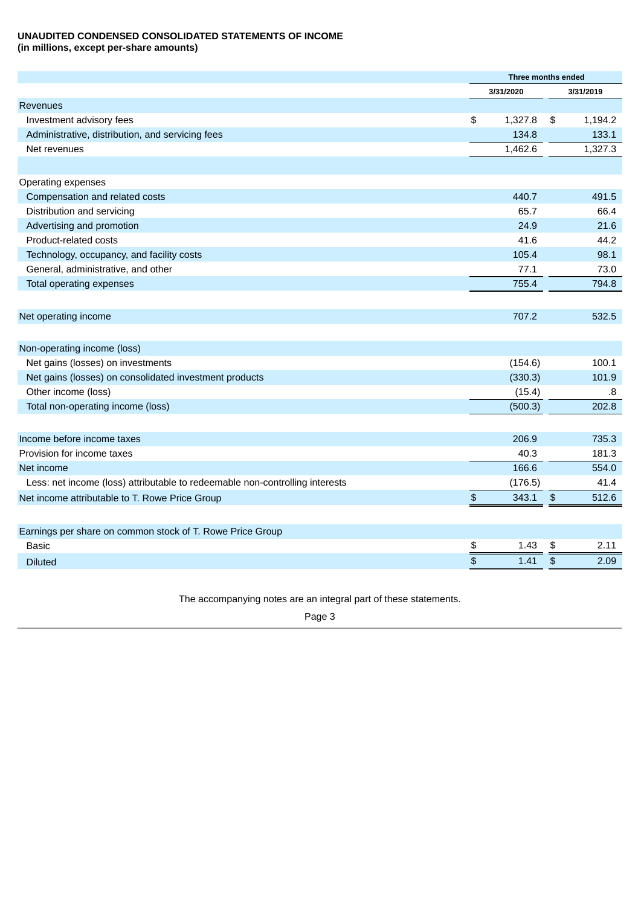## **UNAUDITED CONDENSED CONSOLIDATED STATEMENTS OF INCOME**

**(in millions, except per-share amounts)**

|                                                                              |               | Three months ended |               |           |  |  |  |
|------------------------------------------------------------------------------|---------------|--------------------|---------------|-----------|--|--|--|
|                                                                              |               | 3/31/2020          |               | 3/31/2019 |  |  |  |
| <b>Revenues</b>                                                              |               |                    |               |           |  |  |  |
| Investment advisory fees                                                     | \$            | 1,327.8            | \$            | 1,194.2   |  |  |  |
| Administrative, distribution, and servicing fees                             |               | 134.8              |               | 133.1     |  |  |  |
| Net revenues                                                                 |               | 1,462.6            |               | 1,327.3   |  |  |  |
|                                                                              |               |                    |               |           |  |  |  |
| Operating expenses                                                           |               |                    |               |           |  |  |  |
| Compensation and related costs                                               |               | 440.7              |               | 491.5     |  |  |  |
| Distribution and servicing                                                   |               | 65.7               |               | 66.4      |  |  |  |
| Advertising and promotion                                                    |               | 24.9               |               | 21.6      |  |  |  |
| Product-related costs                                                        |               | 41.6               |               | 44.2      |  |  |  |
| Technology, occupancy, and facility costs                                    |               | 105.4              |               | 98.1      |  |  |  |
| General, administrative, and other                                           |               | 77.1               |               | 73.0      |  |  |  |
| Total operating expenses                                                     |               | 755.4              |               | 794.8     |  |  |  |
|                                                                              |               |                    |               |           |  |  |  |
| Net operating income                                                         |               | 707.2              |               | 532.5     |  |  |  |
|                                                                              |               |                    |               |           |  |  |  |
| Non-operating income (loss)                                                  |               |                    |               |           |  |  |  |
| Net gains (losses) on investments                                            |               | (154.6)            |               | 100.1     |  |  |  |
| Net gains (losses) on consolidated investment products                       |               | (330.3)            |               | 101.9     |  |  |  |
| Other income (loss)                                                          |               | (15.4)             |               | .8        |  |  |  |
| Total non-operating income (loss)                                            |               | (500.3)            |               | 202.8     |  |  |  |
|                                                                              |               |                    |               |           |  |  |  |
| Income before income taxes                                                   |               | 206.9              |               | 735.3     |  |  |  |
| Provision for income taxes                                                   |               | 40.3               |               | 181.3     |  |  |  |
| Net income                                                                   |               | 166.6              |               | 554.0     |  |  |  |
| Less: net income (loss) attributable to redeemable non-controlling interests |               | (176.5)            |               | 41.4      |  |  |  |
| Net income attributable to T. Rowe Price Group                               | $\frac{1}{2}$ | 343.1              | $\frac{1}{2}$ | 512.6     |  |  |  |
|                                                                              |               |                    |               |           |  |  |  |
| Earnings per share on common stock of T. Rowe Price Group                    |               |                    |               |           |  |  |  |
| <b>Basic</b>                                                                 | \$            | 1.43               | \$            | 2.11      |  |  |  |
| <b>Diluted</b>                                                               | $\frac{1}{2}$ | 1.41               | \$            | 2.09      |  |  |  |
|                                                                              |               |                    |               |           |  |  |  |

The accompanying notes are an integral part of these statements.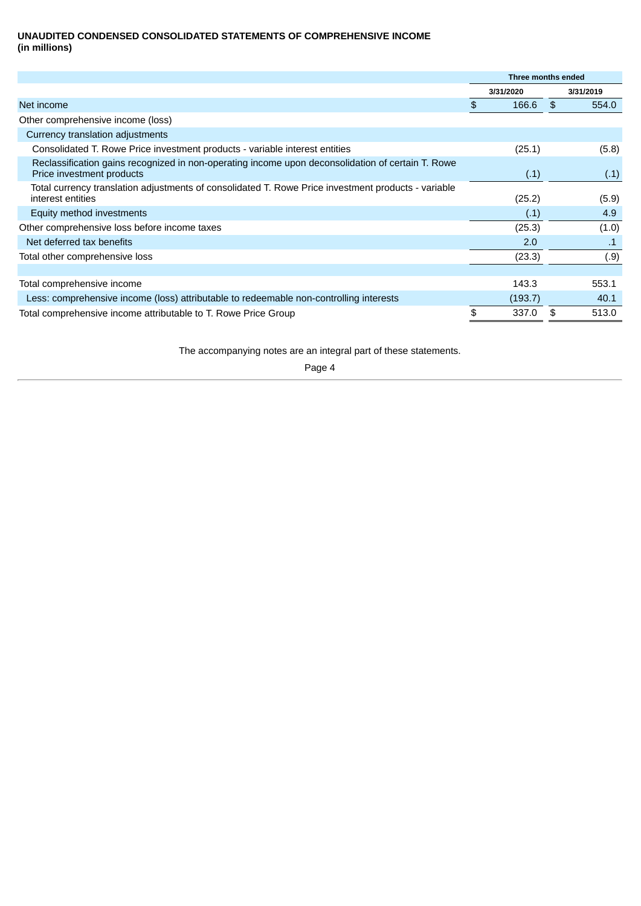## **UNAUDITED CONDENSED CONSOLIDATED STATEMENTS OF COMPREHENSIVE INCOME (in millions)**

|                                                                                                                                |           |         | Three months ended |       |  |  |  |
|--------------------------------------------------------------------------------------------------------------------------------|-----------|---------|--------------------|-------|--|--|--|
|                                                                                                                                | 3/31/2020 |         | 3/31/2019          |       |  |  |  |
| Net income                                                                                                                     | \$        | 166.6   | \$                 | 554.0 |  |  |  |
| Other comprehensive income (loss)                                                                                              |           |         |                    |       |  |  |  |
| Currency translation adjustments                                                                                               |           |         |                    |       |  |  |  |
| Consolidated T. Rowe Price investment products - variable interest entities                                                    |           | (25.1)  |                    | (5.8) |  |  |  |
| Reclassification gains recognized in non-operating income upon deconsolidation of certain T. Rowe<br>Price investment products |           | (.1)    |                    | (.1)  |  |  |  |
| Total currency translation adjustments of consolidated T. Rowe Price investment products - variable<br>interest entities       |           | (25.2)  |                    | (5.9) |  |  |  |
| Equity method investments                                                                                                      |           | (.1)    |                    | 4.9   |  |  |  |
| Other comprehensive loss before income taxes                                                                                   |           | (25.3)  |                    | (1.0) |  |  |  |
| Net deferred tax benefits                                                                                                      |           | 2.0     |                    | .1    |  |  |  |
| Total other comprehensive loss                                                                                                 |           | (23.3)  |                    | (.9)  |  |  |  |
|                                                                                                                                |           |         |                    |       |  |  |  |
| Total comprehensive income                                                                                                     |           | 143.3   |                    | 553.1 |  |  |  |
| Less: comprehensive income (loss) attributable to redeemable non-controlling interests                                         |           | (193.7) |                    | 40.1  |  |  |  |
| Total comprehensive income attributable to T. Rowe Price Group                                                                 | \$        | 337.0   | \$                 | 513.0 |  |  |  |

The accompanying notes are an integral part of these statements.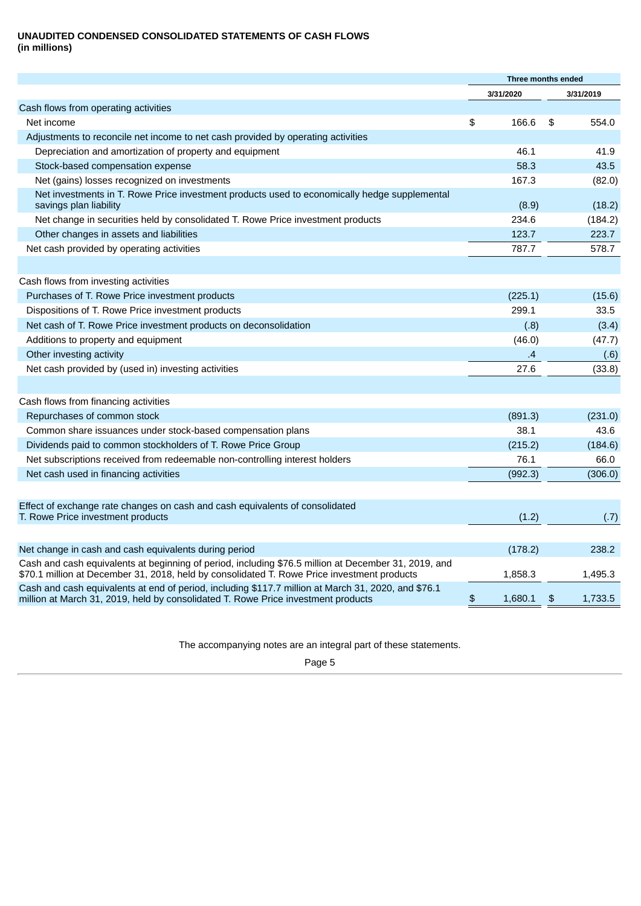## **UNAUDITED CONDENSED CONSOLIDATED STATEMENTS OF CASH FLOWS (in millions)**

|                                                                                                                                                                                                     | Three months ended |           |    |           |  |  |  |
|-----------------------------------------------------------------------------------------------------------------------------------------------------------------------------------------------------|--------------------|-----------|----|-----------|--|--|--|
|                                                                                                                                                                                                     |                    | 3/31/2020 |    | 3/31/2019 |  |  |  |
| Cash flows from operating activities                                                                                                                                                                |                    |           |    |           |  |  |  |
| Net income                                                                                                                                                                                          | \$                 | 166.6     | \$ | 554.0     |  |  |  |
| Adjustments to reconcile net income to net cash provided by operating activities                                                                                                                    |                    |           |    |           |  |  |  |
| Depreciation and amortization of property and equipment                                                                                                                                             |                    | 46.1      |    | 41.9      |  |  |  |
| Stock-based compensation expense                                                                                                                                                                    |                    | 58.3      |    | 43.5      |  |  |  |
| Net (gains) losses recognized on investments                                                                                                                                                        |                    | 167.3     |    | (82.0)    |  |  |  |
| Net investments in T. Rowe Price investment products used to economically hedge supplemental<br>savings plan liability                                                                              |                    | (8.9)     |    | (18.2)    |  |  |  |
| Net change in securities held by consolidated T. Rowe Price investment products                                                                                                                     |                    | 234.6     |    | (184.2)   |  |  |  |
| Other changes in assets and liabilities                                                                                                                                                             |                    | 123.7     |    | 223.7     |  |  |  |
| Net cash provided by operating activities                                                                                                                                                           |                    | 787.7     |    | 578.7     |  |  |  |
|                                                                                                                                                                                                     |                    |           |    |           |  |  |  |
| Cash flows from investing activities                                                                                                                                                                |                    |           |    |           |  |  |  |
| Purchases of T. Rowe Price investment products                                                                                                                                                      |                    | (225.1)   |    | (15.6)    |  |  |  |
| Dispositions of T. Rowe Price investment products                                                                                                                                                   |                    | 299.1     |    | 33.5      |  |  |  |
| Net cash of T. Rowe Price investment products on deconsolidation                                                                                                                                    |                    | (.8)      |    | (3.4)     |  |  |  |
| Additions to property and equipment                                                                                                                                                                 |                    | (46.0)    |    | (47.7)    |  |  |  |
| Other investing activity                                                                                                                                                                            |                    | .4        |    | (.6)      |  |  |  |
| Net cash provided by (used in) investing activities                                                                                                                                                 |                    | 27.6      |    | (33.8)    |  |  |  |
|                                                                                                                                                                                                     |                    |           |    |           |  |  |  |
| Cash flows from financing activities                                                                                                                                                                |                    |           |    |           |  |  |  |
| Repurchases of common stock                                                                                                                                                                         |                    | (891.3)   |    | (231.0)   |  |  |  |
| Common share issuances under stock-based compensation plans                                                                                                                                         |                    | 38.1      |    | 43.6      |  |  |  |
| Dividends paid to common stockholders of T. Rowe Price Group                                                                                                                                        |                    | (215.2)   |    | (184.6)   |  |  |  |
| Net subscriptions received from redeemable non-controlling interest holders                                                                                                                         |                    | 76.1      |    | 66.0      |  |  |  |
| Net cash used in financing activities                                                                                                                                                               |                    | (992.3)   |    | (306.0)   |  |  |  |
|                                                                                                                                                                                                     |                    |           |    |           |  |  |  |
| Effect of exchange rate changes on cash and cash equivalents of consolidated                                                                                                                        |                    |           |    |           |  |  |  |
| T. Rowe Price investment products                                                                                                                                                                   |                    | (1.2)     |    | (.7)      |  |  |  |
|                                                                                                                                                                                                     |                    |           |    |           |  |  |  |
| Net change in cash and cash equivalents during period                                                                                                                                               |                    | (178.2)   |    | 238.2     |  |  |  |
| Cash and cash equivalents at beginning of period, including \$76.5 million at December 31, 2019, and<br>\$70.1 million at December 31, 2018, held by consolidated T. Rowe Price investment products |                    | 1,858.3   |    | 1,495.3   |  |  |  |
| Cash and cash equivalents at end of period, including \$117.7 million at March 31, 2020, and \$76.1<br>million at March 31, 2019, held by consolidated T. Rowe Price investment products            | \$                 | 1,680.1   | \$ | 1,733.5   |  |  |  |

The accompanying notes are an integral part of these statements.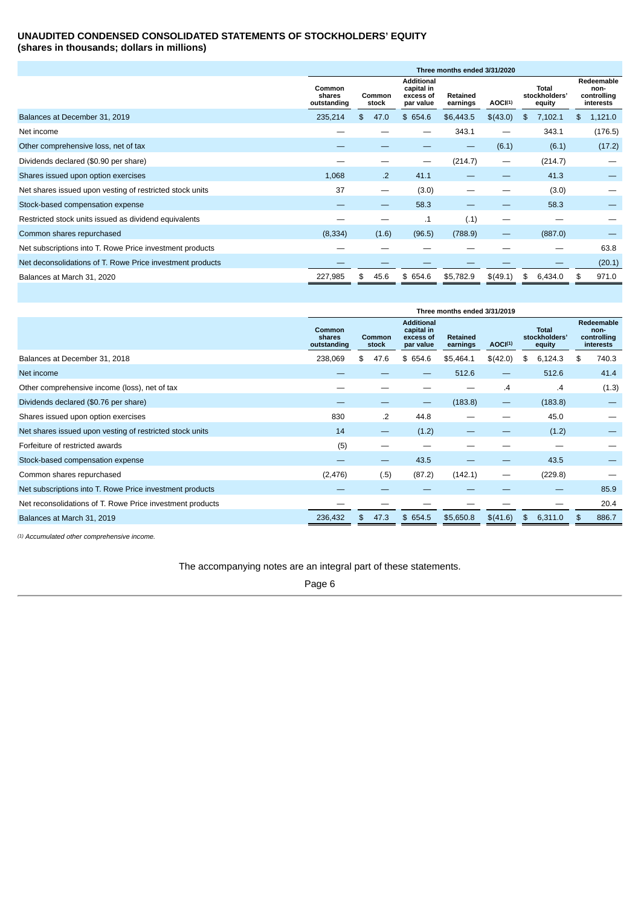#### **UNAUDITED CONDENSED CONSOLIDATED STATEMENTS OF STOCKHOLDERS' EQUITY (shares in thousands; dollars in millions)**

| Three months ended 3/31/2020    |    |       |                                                                                   |           |                     |                                         |         |     |                                                |  |  |
|---------------------------------|----|-------|-----------------------------------------------------------------------------------|-----------|---------------------|-----------------------------------------|---------|-----|------------------------------------------------|--|--|
| Common<br>shares<br>outstanding |    |       | <b>Additional</b><br>capital in<br>excess of<br>Retained<br>par value<br>earnings |           | AOCI <sup>(1)</sup> | <b>Total</b><br>stockholders'<br>equity |         |     | Redeemable<br>non-<br>controlling<br>interests |  |  |
| 235,214                         | \$ |       | \$654.6                                                                           | \$6,443.5 | \$(43.0)            | \$                                      | 7,102.1 | \$  | 1,121.0                                        |  |  |
|                                 |    |       |                                                                                   | 343.1     |                     |                                         | 343.1   |     | (176.5)                                        |  |  |
|                                 |    |       |                                                                                   |           | (6.1)               |                                         | (6.1)   |     | (17.2)                                         |  |  |
|                                 |    |       |                                                                                   | (214.7)   |                     |                                         | (214.7) |     |                                                |  |  |
| 1,068                           |    | .2    | 41.1                                                                              |           |                     |                                         | 41.3    |     |                                                |  |  |
| 37                              |    |       | (3.0)                                                                             |           |                     |                                         | (3.0)   |     |                                                |  |  |
|                                 |    |       | 58.3                                                                              |           |                     |                                         | 58.3    |     |                                                |  |  |
|                                 |    |       | .1                                                                                | (.1)      | –                   |                                         |         |     |                                                |  |  |
| (8, 334)                        |    | (1.6) | (96.5)                                                                            | (788.9)   |                     |                                         | (887.0) |     |                                                |  |  |
|                                 |    |       |                                                                                   |           |                     |                                         |         |     | 63.8                                           |  |  |
|                                 |    |       |                                                                                   |           |                     |                                         |         |     | (20.1)                                         |  |  |
| 227,985                         | \$ |       | \$654.6                                                                           | \$5,782.9 | \$(49.1)            | S.                                      | 6,434.0 | \$. | 971.0                                          |  |  |
|                                 |    |       | Common<br>stock<br>47.0<br>45.6                                                   |           |                     |                                         |         |     |                                                |  |  |

| Three months ended 3/31/2019           |                                                                              |         |                      |                     |          |              |                                                |                         |       |  |
|----------------------------------------|------------------------------------------------------------------------------|---------|----------------------|---------------------|----------|--------------|------------------------------------------------|-------------------------|-------|--|
| <b>Common</b><br>shares<br>outstanding | <b>Additional</b><br>capital in<br>Common<br>excess of<br>par value<br>stock |         | Retained<br>earnings | AOCI <sup>(1)</sup> |          | <b>Total</b> | Redeemable<br>non-<br>controlling<br>interests |                         |       |  |
| 238,069                                | \$                                                                           | 47.6    | \$654.6              | \$5,464.1           | \$(42.0) | \$           | 6,124.3                                        | \$                      | 740.3 |  |
|                                        |                                                                              |         |                      | 512.6               |          |              | 512.6                                          |                         | 41.4  |  |
|                                        |                                                                              |         |                      |                     | $\cdot$  |              | .4                                             |                         | (1.3) |  |
|                                        |                                                                              |         | –                    | (183.8)             |          |              | (183.8)                                        |                         |       |  |
| 830                                    |                                                                              | $\cdot$ | 44.8                 |                     |          |              | 45.0                                           |                         |       |  |
| 14                                     |                                                                              | —       | (1.2)                |                     |          |              | (1.2)                                          |                         |       |  |
| (5)                                    |                                                                              |         |                      |                     |          |              |                                                |                         |       |  |
|                                        |                                                                              | —       | 43.5                 |                     |          |              | 43.5                                           |                         |       |  |
| (2, 476)                               |                                                                              | (.5)    | (87.2)               | (142.1)             | –        |              | (229.8)                                        |                         |       |  |
|                                        |                                                                              |         |                      |                     |          |              |                                                |                         | 85.9  |  |
|                                        |                                                                              |         |                      |                     |          |              |                                                |                         | 20.4  |  |
| 236,432                                | \$                                                                           | 47.3    | \$654.5              | \$5,650.8           | \$(41.6) | \$           | 6,311.0                                        | \$.                     | 886.7 |  |
|                                        |                                                                              |         |                      |                     |          |              |                                                | stockholders'<br>equity |       |  |

*(1) Accumulated other comprehensive income.*

The accompanying notes are an integral part of these statements.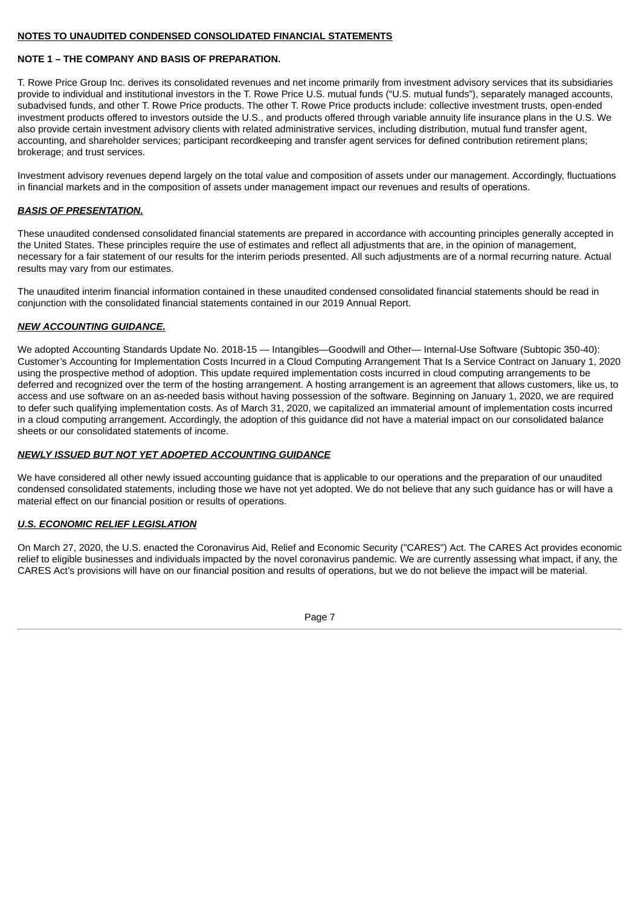#### **NOTES TO UNAUDITED CONDENSED CONSOLIDATED FINANCIAL STATEMENTS**

## **NOTE 1 – THE COMPANY AND BASIS OF PREPARATION.**

T. Rowe Price Group Inc. derives its consolidated revenues and net income primarily from investment advisory services that its subsidiaries provide to individual and institutional investors in the T. Rowe Price U.S. mutual funds ("U.S. mutual funds"), separately managed accounts, subadvised funds, and other T. Rowe Price products. The other T. Rowe Price products include: collective investment trusts, open-ended investment products offered to investors outside the U.S., and products offered through variable annuity life insurance plans in the U.S. We also provide certain investment advisory clients with related administrative services, including distribution, mutual fund transfer agent, accounting, and shareholder services; participant recordkeeping and transfer agent services for defined contribution retirement plans; brokerage; and trust services.

Investment advisory revenues depend largely on the total value and composition of assets under our management. Accordingly, fluctuations in financial markets and in the composition of assets under management impact our revenues and results of operations.

#### *BASIS OF PRESENTATION.*

These unaudited condensed consolidated financial statements are prepared in accordance with accounting principles generally accepted in the United States. These principles require the use of estimates and reflect all adjustments that are, in the opinion of management, necessary for a fair statement of our results for the interim periods presented. All such adjustments are of a normal recurring nature. Actual results may vary from our estimates.

The unaudited interim financial information contained in these unaudited condensed consolidated financial statements should be read in conjunction with the consolidated financial statements contained in our 2019 Annual Report.

## *NEW ACCOUNTING GUIDANCE.*

We adopted Accounting Standards Update No. 2018-15 — Intangibles—Goodwill and Other— Internal-Use Software (Subtopic 350-40): Customer's Accounting for Implementation Costs Incurred in a Cloud Computing Arrangement That Is a Service Contract on January 1, 2020 using the prospective method of adoption. This update required implementation costs incurred in cloud computing arrangements to be deferred and recognized over the term of the hosting arrangement. A hosting arrangement is an agreement that allows customers, like us, to access and use software on an as-needed basis without having possession of the software. Beginning on January 1, 2020, we are required to defer such qualifying implementation costs. As of March 31, 2020, we capitalized an immaterial amount of implementation costs incurred in a cloud computing arrangement. Accordingly, the adoption of this guidance did not have a material impact on our consolidated balance sheets or our consolidated statements of income.

#### *NEWLY ISSUED BUT NOT YET ADOPTED ACCOUNTING GUIDANCE*

We have considered all other newly issued accounting guidance that is applicable to our operations and the preparation of our unaudited condensed consolidated statements, including those we have not yet adopted. We do not believe that any such guidance has or will have a material effect on our financial position or results of operations.

#### *U.S. ECONOMIC RELIEF LEGISLATION*

On March 27, 2020, the U.S. enacted the Coronavirus Aid, Relief and Economic Security ("CARES") Act. The CARES Act provides economic relief to eligible businesses and individuals impacted by the novel coronavirus pandemic. We are currently assessing what impact, if any, the CARES Act's provisions will have on our financial position and results of operations, but we do not believe the impact will be material.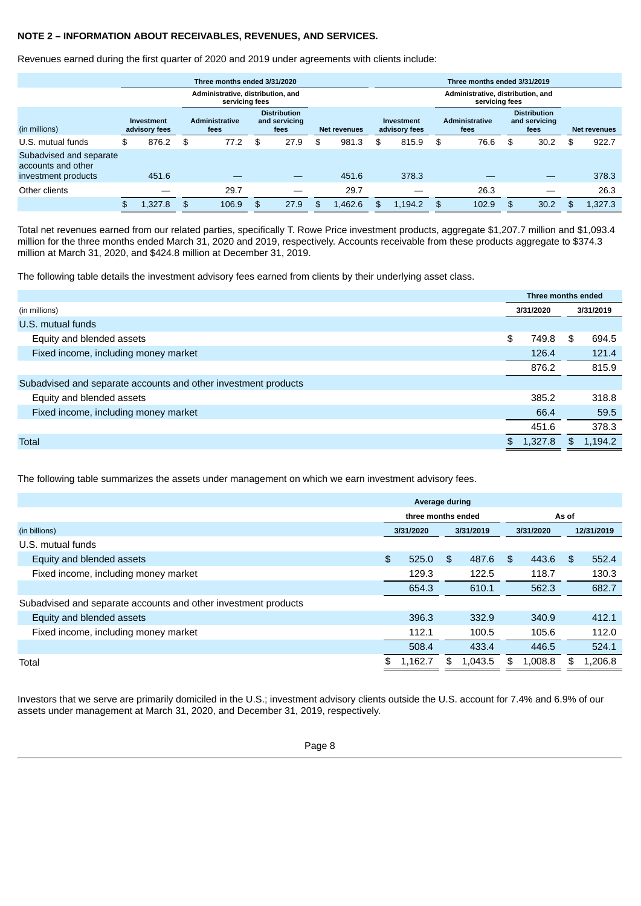## **NOTE 2 – INFORMATION ABOUT RECEIVABLES, REVENUES, AND SERVICES.**

Revenues earned during the first quarter of 2020 and 2019 under agreements with clients include:

|                                                                      | Three months ended 3/31/2020 |                             |    |                                                     |    |                                              |    |              |                                                     |    |                               |    |                                              |              |
|----------------------------------------------------------------------|------------------------------|-----------------------------|----|-----------------------------------------------------|----|----------------------------------------------|----|--------------|-----------------------------------------------------|----|-------------------------------|----|----------------------------------------------|--------------|
|                                                                      |                              |                             |    | Administrative, distribution, and<br>servicing fees |    |                                              |    |              | Administrative, distribution, and<br>servicing fees |    |                               |    |                                              |              |
| (in millions)                                                        |                              | Investment<br>advisory fees |    | <b>Administrative</b><br>fees                       |    | <b>Distribution</b><br>and servicing<br>fees |    | Net revenues | Investment<br>advisory fees                         |    | <b>Administrative</b><br>fees |    | <b>Distribution</b><br>and servicing<br>fees | Net revenues |
| U.S. mutual funds                                                    | \$                           | 876.2                       | \$ | 77.2                                                | \$ | 27.9                                         | \$ | 981.3        | \$<br>815.9                                         | \$ | 76.6                          | \$ | 30.2                                         | \$<br>922.7  |
| Subadvised and separate<br>accounts and other<br>investment products |                              | 451.6                       |    |                                                     |    |                                              |    | 451.6        | 378.3                                               |    |                               |    |                                              | 378.3        |
|                                                                      |                              |                             |    |                                                     |    |                                              |    |              |                                                     |    |                               |    |                                              |              |
| Other clients                                                        |                              |                             |    | 29.7                                                |    |                                              |    | 29.7         |                                                     |    | 26.3                          |    |                                              | 26.3         |
|                                                                      |                              | 1,327.8                     | \$ | 106.9                                               | \$ | 27.9                                         | \$ | L.462.6      | \$<br>1,194.2                                       | \$ | 102.9                         |    | 30.2                                         | 1,327.3      |

Total net revenues earned from our related parties, specifically T. Rowe Price investment products, aggregate \$1,207.7 million and \$1,093.4 million for the three months ended March 31, 2020 and 2019, respectively. Accounts receivable from these products aggregate to \$374.3 million at March 31, 2020, and \$424.8 million at December 31, 2019.

The following table details the investment advisory fees earned from clients by their underlying asset class.

|                                                                | Three months ended |     |           |
|----------------------------------------------------------------|--------------------|-----|-----------|
| (in millions)                                                  | 3/31/2020          |     | 3/31/2019 |
| U.S. mutual funds                                              |                    |     |           |
| Equity and blended assets                                      | \$<br>749.8        | \$  | 694.5     |
| Fixed income, including money market                           | 126.4              |     | 121.4     |
|                                                                | 876.2              |     | 815.9     |
| Subadvised and separate accounts and other investment products |                    |     |           |
| Equity and blended assets                                      | 385.2              |     | 318.8     |
| Fixed income, including money market                           | 66.4               |     | 59.5      |
|                                                                | 451.6              |     | 378.3     |
| Total                                                          | 1,327.8            | \$. | 1.194.2   |

The following table summarizes the assets under management on which we earn investment advisory fees.

|                                                                | Average during     |           |    |         |       |           |           |         |  |            |
|----------------------------------------------------------------|--------------------|-----------|----|---------|-------|-----------|-----------|---------|--|------------|
|                                                                | three months ended |           |    |         | As of |           |           |         |  |            |
| (in billions)                                                  |                    | 3/31/2020 |    |         |       | 3/31/2019 | 3/31/2020 |         |  | 12/31/2019 |
| U.S. mutual funds                                              |                    |           |    |         |       |           |           |         |  |            |
| Equity and blended assets                                      | \$                 | 525.0     | \$ | 487.6   | \$    | 443.6     | \$        | 552.4   |  |            |
| Fixed income, including money market                           |                    | 129.3     |    | 122.5   |       | 118.7     |           | 130.3   |  |            |
|                                                                |                    | 654.3     |    | 610.1   |       | 562.3     |           | 682.7   |  |            |
| Subadvised and separate accounts and other investment products |                    |           |    |         |       |           |           |         |  |            |
| Equity and blended assets                                      |                    | 396.3     |    | 332.9   |       | 340.9     |           | 412.1   |  |            |
| Fixed income, including money market                           |                    | 112.1     |    | 100.5   |       | 105.6     |           | 112.0   |  |            |
|                                                                |                    | 508.4     |    | 433.4   |       | 446.5     |           | 524.1   |  |            |
| Total                                                          | \$                 | 1,162.7   | \$ | 1,043.5 | \$    | 1,008.8   | \$        | 1,206.8 |  |            |

Investors that we serve are primarily domiciled in the U.S.; investment advisory clients outside the U.S. account for 7.4% and 6.9% of our assets under management at March 31, 2020, and December 31, 2019, respectively.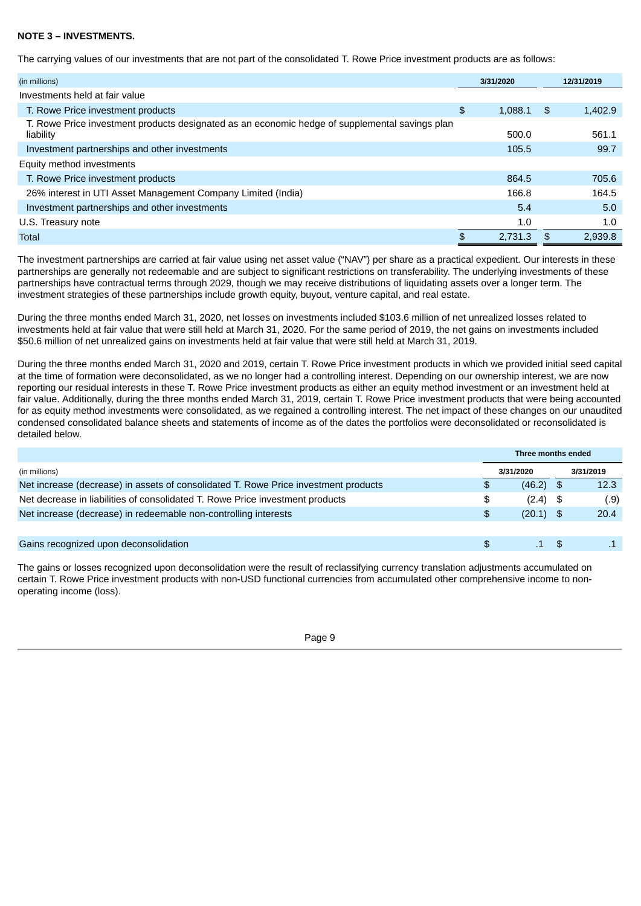#### **NOTE 3 – INVESTMENTS.**

The carrying values of our investments that are not part of the consolidated T. Rowe Price investment products are as follows:

| (in millions)                                                                                               | 3/31/2020     | 12/31/2019    |
|-------------------------------------------------------------------------------------------------------------|---------------|---------------|
| Investments held at fair value                                                                              |               |               |
| T. Rowe Price investment products                                                                           | \$<br>1,088.1 | \$<br>1,402.9 |
| T. Rowe Price investment products designated as an economic hedge of supplemental savings plan<br>liability | 500.0         | 561.1         |
| Investment partnerships and other investments                                                               | 105.5         | 99.7          |
| Equity method investments                                                                                   |               |               |
| T. Rowe Price investment products                                                                           | 864.5         | 705.6         |
| 26% interest in UTI Asset Management Company Limited (India)                                                | 166.8         | 164.5         |
| Investment partnerships and other investments                                                               | 5.4           | 5.0           |
| U.S. Treasury note                                                                                          | 1.0           | 1.0           |
| <b>Total</b>                                                                                                | \$<br>2.731.3 | 2,939.8       |

The investment partnerships are carried at fair value using net asset value ("NAV") per share as a practical expedient. Our interests in these partnerships are generally not redeemable and are subject to significant restrictions on transferability. The underlying investments of these partnerships have contractual terms through 2029, though we may receive distributions of liquidating assets over a longer term. The investment strategies of these partnerships include growth equity, buyout, venture capital, and real estate.

During the three months ended March 31, 2020, net losses on investments included \$103.6 million of net unrealized losses related to investments held at fair value that were still held at March 31, 2020. For the same period of 2019, the net gains on investments included \$50.6 million of net unrealized gains on investments held at fair value that were still held at March 31, 2019.

During the three months ended March 31, 2020 and 2019, certain T. Rowe Price investment products in which we provided initial seed capital at the time of formation were deconsolidated, as we no longer had a controlling interest. Depending on our ownership interest, we are now reporting our residual interests in these T. Rowe Price investment products as either an equity method investment or an investment held at fair value. Additionally, during the three months ended March 31, 2019, certain T. Rowe Price investment products that were being accounted for as equity method investments were consolidated, as we regained a controlling interest. The net impact of these changes on our unaudited condensed consolidated balance sheets and statements of income as of the dates the portfolios were deconsolidated or reconsolidated is detailed below.

|                                                                                     | Three months ended |             |  |           |  |  |  |
|-------------------------------------------------------------------------------------|--------------------|-------------|--|-----------|--|--|--|
| (in millions)                                                                       |                    | 3/31/2020   |  | 3/31/2019 |  |  |  |
| Net increase (decrease) in assets of consolidated T. Rowe Price investment products | \$                 | $(46.2)$ \$ |  | 12.3      |  |  |  |
| Net decrease in liabilities of consolidated T. Rowe Price investment products       | \$                 | $(2.4)$ \$  |  | (.9)      |  |  |  |
| Net increase (decrease) in redeemable non-controlling interests                     | \$.                | $(20.1)$ \$ |  | 20.4      |  |  |  |
|                                                                                     |                    |             |  |           |  |  |  |
| Gains recognized upon deconsolidation                                               | \$                 |             |  |           |  |  |  |

The gains or losses recognized upon deconsolidation were the result of reclassifying currency translation adjustments accumulated on certain T. Rowe Price investment products with non-USD functional currencies from accumulated other comprehensive income to nonoperating income (loss).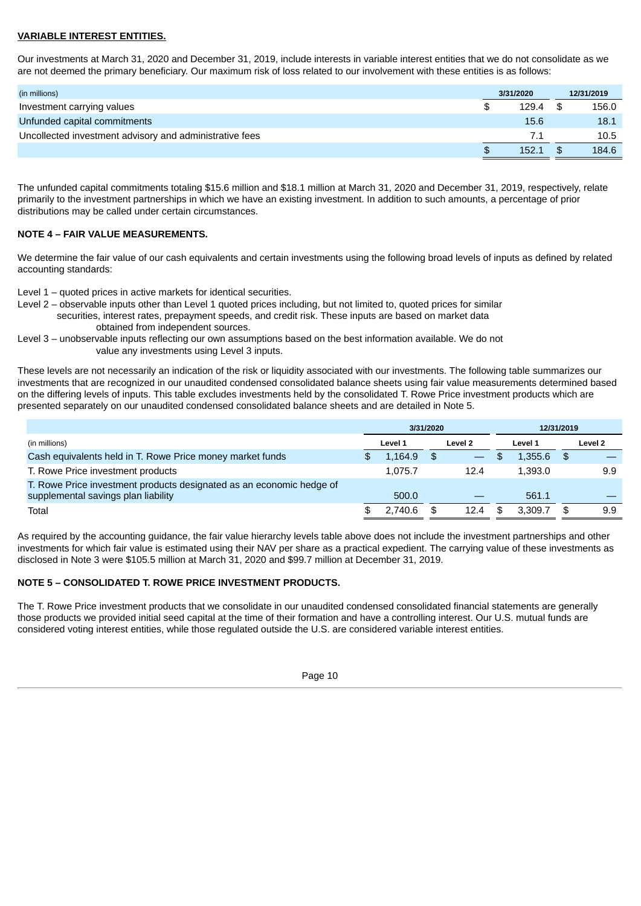#### **VARIABLE INTEREST ENTITIES.**

Our investments at March 31, 2020 and December 31, 2019, include interests in variable interest entities that we do not consolidate as we are not deemed the primary beneficiary. Our maximum risk of loss related to our involvement with these entities is as follows:

| (in millions)                                           | 3/31/2020 |       | 12/31/2019 |
|---------------------------------------------------------|-----------|-------|------------|
| Investment carrying values                              |           | 129.4 | 156.0      |
| Unfunded capital commitments                            |           | 15.6  | 18.1       |
| Uncollected investment advisory and administrative fees |           | 7.1   | 10.5       |
|                                                         |           | 152.1 | 184.6      |

The unfunded capital commitments totaling \$15.6 million and \$18.1 million at March 31, 2020 and December 31, 2019, respectively, relate primarily to the investment partnerships in which we have an existing investment. In addition to such amounts, a percentage of prior distributions may be called under certain circumstances.

#### **NOTE 4 – FAIR VALUE MEASUREMENTS.**

We determine the fair value of our cash equivalents and certain investments using the following broad levels of inputs as defined by related accounting standards:

Level 1 – quoted prices in active markets for identical securities.

- Level 2 observable inputs other than Level 1 quoted prices including, but not limited to, quoted prices for similar securities, interest rates, prepayment speeds, and credit risk. These inputs are based on market data obtained from independent sources.
- Level 3 unobservable inputs reflecting our own assumptions based on the best information available. We do not value any investments using Level 3 inputs.

These levels are not necessarily an indication of the risk or liquidity associated with our investments. The following table summarizes our investments that are recognized in our unaudited condensed consolidated balance sheets using fair value measurements determined based on the differing levels of inputs. This table excludes investments held by the consolidated T. Rowe Price investment products which are presented separately on our unaudited condensed consolidated balance sheets and are detailed in Note 5.

|                                                                                                             | 3/31/2020 |     |         |  |         | 12/31/2019 |         |  |
|-------------------------------------------------------------------------------------------------------------|-----------|-----|---------|--|---------|------------|---------|--|
| (in millions)                                                                                               | Level 1   |     | Level 2 |  | Level 1 |            | Level 2 |  |
| Cash equivalents held in T. Rowe Price money market funds                                                   | 1.164.9   | \$. |         |  | 1,355.6 | - \$       |         |  |
| T. Rowe Price investment products                                                                           | 1.075.7   |     | 12.4    |  | 1.393.0 |            | 9.9     |  |
| T. Rowe Price investment products designated as an economic hedge of<br>supplemental savings plan liability | 500.0     |     |         |  | 561.1   |            |         |  |
| Total                                                                                                       | 2.740.6   |     | 12.4    |  | 3.309.7 | \$         | 9.9     |  |

As required by the accounting guidance, the fair value hierarchy levels table above does not include the investment partnerships and other investments for which fair value is estimated using their NAV per share as a practical expedient. The carrying value of these investments as disclosed in Note 3 were \$105.5 million at March 31, 2020 and \$99.7 million at December 31, 2019.

#### **NOTE 5 – CONSOLIDATED T. ROWE PRICE INVESTMENT PRODUCTS.**

The T. Rowe Price investment products that we consolidate in our unaudited condensed consolidated financial statements are generally those products we provided initial seed capital at the time of their formation and have a controlling interest. Our U.S. mutual funds are considered voting interest entities, while those regulated outside the U.S. are considered variable interest entities.

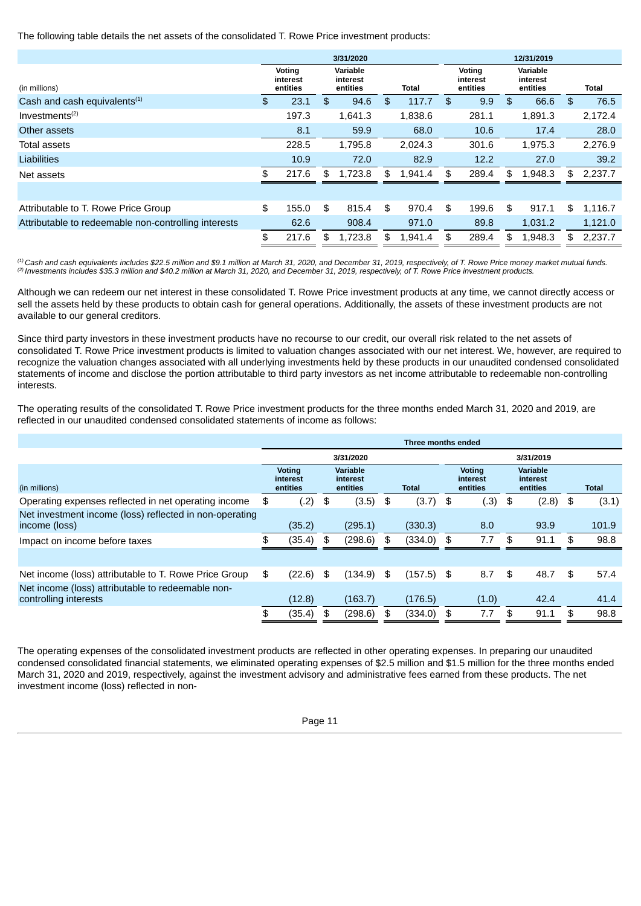The following table details the net assets of the consolidated T. Rowe Price investment products:

|                                                      |                                                                    |    | 3/31/2020 |               |                                |       |                                  | 12/31/2019 |               |
|------------------------------------------------------|--------------------------------------------------------------------|----|-----------|---------------|--------------------------------|-------|----------------------------------|------------|---------------|
| (in millions)                                        | Voting<br>Variable<br>interest<br>interest<br>entities<br>entities |    |           | Total         | Voting<br>interest<br>entities |       | Variable<br>interest<br>entities |            | Total         |
| Cash and cash equivalents $(1)$                      | \$<br>23.1                                                         | \$ | 94.6      | \$<br>117.7   | \$                             | 9.9   | \$                               | 66.6       | \$<br>76.5    |
| Investments <sup>(2)</sup>                           | 197.3                                                              |    | 1,641.3   | 1,838.6       |                                | 281.1 |                                  | 1,891.3    | 2,172.4       |
| Other assets                                         | 8.1                                                                |    | 59.9      | 68.0          |                                | 10.6  |                                  | 17.4       | 28.0          |
| Total assets                                         | 228.5                                                              |    | 1,795.8   | 2,024.3       |                                | 301.6 |                                  | 1,975.3    | 2,276.9       |
| <b>Liabilities</b>                                   | 10.9                                                               |    | 72.0      | 82.9          |                                | 12.2  |                                  | 27.0       | 39.2          |
| Net assets                                           | \$<br>217.6                                                        | \$ | 1,723.8   | \$<br>1,941.4 | \$                             | 289.4 | \$                               | 1.948.3    | \$<br>2,237.7 |
|                                                      |                                                                    |    |           |               |                                |       |                                  |            |               |
| Attributable to T. Rowe Price Group                  | \$<br>155.0                                                        | \$ | 815.4     | \$<br>970.4   | \$                             | 199.6 | \$                               | 917.1      | \$<br>1,116.7 |
| Attributable to redeemable non-controlling interests | 62.6                                                               |    | 908.4     | 971.0         |                                | 89.8  |                                  | 1.031.2    | 1,121.0       |
|                                                      | \$<br>217.6                                                        | \$ | 1,723.8   | \$<br>1,941.4 | \$                             | 289.4 | \$                               | 1,948.3    | \$<br>2,237.7 |

<sup>(1)</sup> Cash and cash equivalents includes \$22.5 million and \$9.1 million at March 31, 2020, and December 31, 2019, respectively, of T. Rowe Price money market mutual funds.  $^{(2)}$  Investments includes \$35.3 million and \$40.2 million at March 31, 2020, and December 31, 2019, respectively, of T. Rowe Price investment products.

Although we can redeem our net interest in these consolidated T. Rowe Price investment products at any time, we cannot directly access or sell the assets held by these products to obtain cash for general operations. Additionally, the assets of these investment products are not available to our general creditors.

Since third party investors in these investment products have no recourse to our credit, our overall risk related to the net assets of consolidated T. Rowe Price investment products is limited to valuation changes associated with our net interest. We, however, are required to recognize the valuation changes associated with all underlying investments held by these products in our unaudited condensed consolidated statements of income and disclose the portion attributable to third party investors as net income attributable to redeemable non-controlling interests.

The operating results of the consolidated T. Rowe Price investment products for the three months ended March 31, 2020 and 2019, are reflected in our unaudited condensed consolidated statements of income as follows:

|                                                                            | Three months ended |                                       |    |                                         |      |              |    |                                       |    |                                         |     |              |  |
|----------------------------------------------------------------------------|--------------------|---------------------------------------|----|-----------------------------------------|------|--------------|----|---------------------------------------|----|-----------------------------------------|-----|--------------|--|
|                                                                            |                    |                                       |    | 3/31/2020                               |      |              |    | 3/31/2019                             |    |                                         |     |              |  |
| (in millions)                                                              |                    | <b>Voting</b><br>interest<br>entities |    | <b>Variable</b><br>interest<br>entities |      | Total        |    | <b>Voting</b><br>interest<br>entities |    | <b>Variable</b><br>interest<br>entities |     | <b>Total</b> |  |
| Operating expenses reflected in net operating income                       | \$                 | (.2)                                  | \$ | (3.5)                                   | - \$ | (3.7)        | \$ | (.3)                                  | \$ | (2.8)                                   | \$  | (3.1)        |  |
| Net investment income (loss) reflected in non-operating<br>income (loss)   |                    | (35.2)                                |    | (295.1)                                 |      | (330.3)      |    | 8.0                                   |    | 93.9                                    |     | 101.9        |  |
| Impact on income before taxes                                              |                    | (35.4)                                | \$ | (298.6)                                 | \$   | (334.0)      | \$ | 7.7                                   | \$ | 91.1                                    | \$. | 98.8         |  |
|                                                                            |                    |                                       |    |                                         |      |              |    |                                       |    |                                         |     |              |  |
| Net income (loss) attributable to T. Rowe Price Group                      | \$                 | (22.6)                                | \$ | (134.9)                                 | -\$  | $(157.5)$ \$ |    | 8.7                                   | \$ | 48.7                                    | \$  | 57.4         |  |
| Net income (loss) attributable to redeemable non-<br>controlling interests |                    | (12.8)                                |    | (163.7)                                 |      | (176.5)      |    | (1.0)                                 |    | 42.4                                    |     | 41.4         |  |
|                                                                            | \$                 | (35.4)                                | \$ | (298.6)                                 |      | (334.0)      | \$ | 7.7                                   |    | 91.1                                    | \$  | 98.8         |  |

The operating expenses of the consolidated investment products are reflected in other operating expenses. In preparing our unaudited condensed consolidated financial statements, we eliminated operating expenses of \$2.5 million and \$1.5 million for the three months ended March 31, 2020 and 2019, respectively, against the investment advisory and administrative fees earned from these products. The net investment income (loss) reflected in non-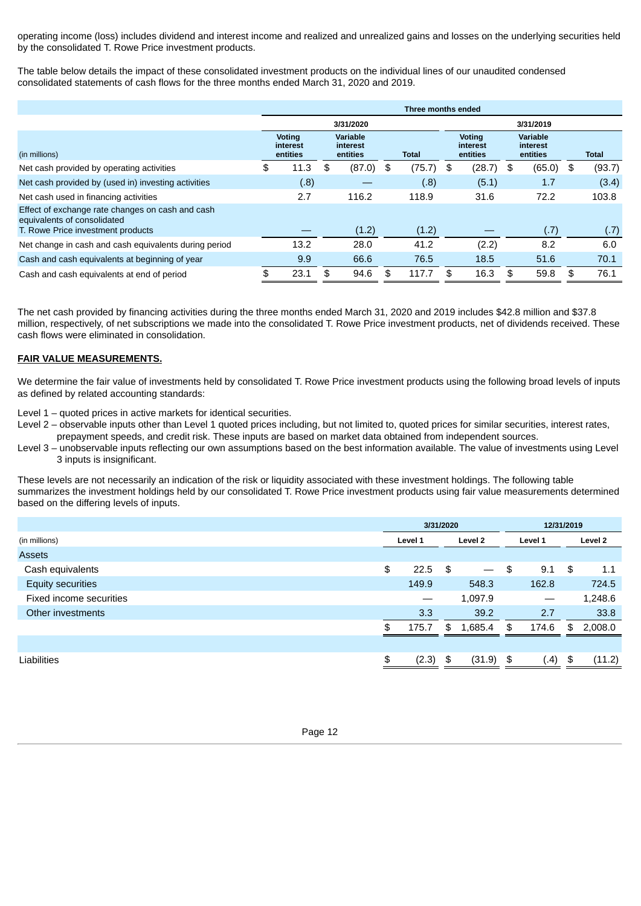operating income (loss) includes dividend and interest income and realized and unrealized gains and losses on the underlying securities held by the consolidated T. Rowe Price investment products.

The table below details the impact of these consolidated investment products on the individual lines of our unaudited condensed consolidated statements of cash flows for the three months ended March 31, 2020 and 2019.

|                                                                                                                      | Three months ended |                                       |    |                                         |     |        |    |                                       |    |                                         |    |        |  |
|----------------------------------------------------------------------------------------------------------------------|--------------------|---------------------------------------|----|-----------------------------------------|-----|--------|----|---------------------------------------|----|-----------------------------------------|----|--------|--|
|                                                                                                                      |                    |                                       |    | 3/31/2020                               |     |        |    | 3/31/2019                             |    |                                         |    |        |  |
| (in millions)                                                                                                        |                    | <b>Voting</b><br>interest<br>entities |    | <b>Variable</b><br>interest<br>entities |     | Total  |    | <b>Voting</b><br>interest<br>entities |    | <b>Variable</b><br>interest<br>entities |    | Total  |  |
| Net cash provided by operating activities                                                                            | \$                 | 11.3                                  | \$ | (87.0)                                  | -\$ | (75.7) | \$ | (28.7)                                | \$ | (65.0)                                  | \$ | (93.7) |  |
| Net cash provided by (used in) investing activities                                                                  |                    | (.8)                                  |    |                                         |     | (.8)   |    | (5.1)                                 |    | 1.7                                     |    | (3.4)  |  |
| Net cash used in financing activities                                                                                |                    | 2.7                                   |    | 116.2                                   |     | 118.9  |    | 31.6                                  |    | 72.2                                    |    | 103.8  |  |
| Effect of exchange rate changes on cash and cash<br>equivalents of consolidated<br>T. Rowe Price investment products |                    |                                       |    | (1.2)                                   |     | (1.2)  |    |                                       |    | (.7)                                    |    | (.7)   |  |
| Net change in cash and cash equivalents during period                                                                |                    | 13.2                                  |    | 28.0                                    |     | 41.2   |    | (2.2)                                 |    | 8.2                                     |    | 6.0    |  |
| Cash and cash equivalents at beginning of year                                                                       |                    | 9.9                                   |    | 66.6                                    |     | 76.5   |    | 18.5                                  |    | 51.6                                    |    | 70.1   |  |
| Cash and cash equivalents at end of period                                                                           | \$                 | 23.1                                  | \$ | 94.6                                    |     | 117.7  |    | 16.3                                  |    | 59.8                                    | \$ | 76.1   |  |

The net cash provided by financing activities during the three months ended March 31, 2020 and 2019 includes \$42.8 million and \$37.8 million, respectively, of net subscriptions we made into the consolidated T. Rowe Price investment products, net of dividends received. These cash flows were eliminated in consolidation.

#### **FAIR VALUE MEASUREMENTS.**

We determine the fair value of investments held by consolidated T. Rowe Price investment products using the following broad levels of inputs as defined by related accounting standards:

- Level 1 quoted prices in active markets for identical securities.
- Level 2 observable inputs other than Level 1 quoted prices including, but not limited to, quoted prices for similar securities, interest rates, prepayment speeds, and credit risk. These inputs are based on market data obtained from independent sources.
- Level 3 unobservable inputs reflecting our own assumptions based on the best information available. The value of investments using Level 3 inputs is insignificant.

These levels are not necessarily an indication of the risk or liquidity associated with these investment holdings. The following table summarizes the investment holdings held by our consolidated T. Rowe Price investment products using fair value measurements determined based on the differing levels of inputs.

|                          |     | 3/31/2020 |    |                          |         | 12/31/2019 |               |  |
|--------------------------|-----|-----------|----|--------------------------|---------|------------|---------------|--|
| (in millions)            |     | Level 1   |    | Level 2                  | Level 1 |            | Level 2       |  |
| <b>Assets</b>            |     |           |    |                          |         |            |               |  |
| Cash equivalents         | \$  | 22.5      | \$ | $\overline{\phantom{0}}$ | \$      | 9.1        | \$<br>1.1     |  |
| <b>Equity securities</b> |     | 149.9     |    | 548.3                    |         | 162.8      | 724.5         |  |
| Fixed income securities  |     |           |    | 1,097.9                  |         |            | 1,248.6       |  |
| Other investments        |     | 3.3       |    | 39.2                     |         | 2.7        | 33.8          |  |
|                          | \$. | 175.7     | \$ | 1,685.4                  | \$      | 174.6      | \$<br>2,008.0 |  |
|                          |     |           |    |                          |         |            |               |  |
| Liabilities              | \$  | (2.3)     | \$ | (31.9)                   | - \$    | (.4)       | \$<br>(11.2)  |  |
|                          |     |           |    |                          |         |            |               |  |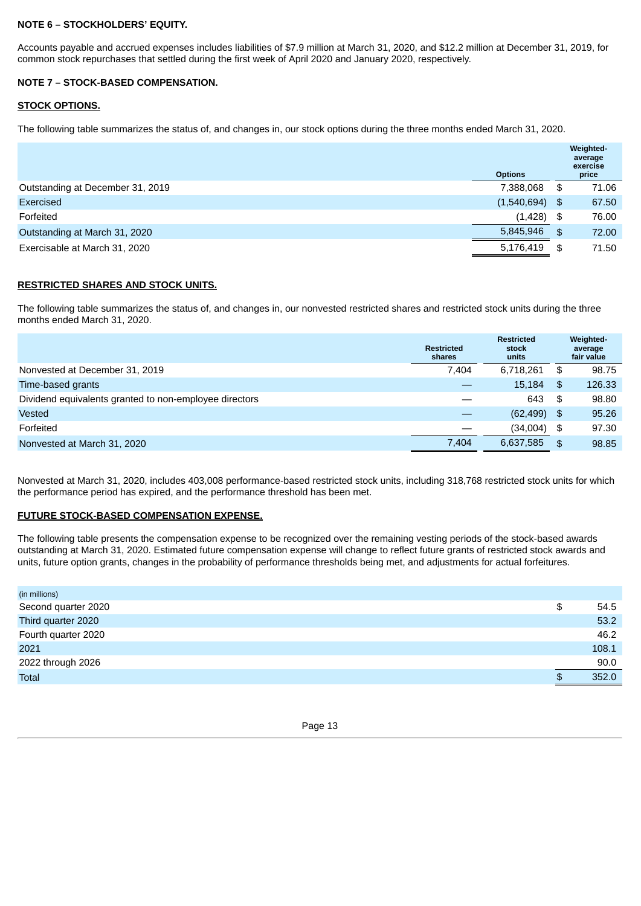#### **NOTE 6 – STOCKHOLDERS' EQUITY.**

Accounts payable and accrued expenses includes liabilities of \$7.9 million at March 31, 2020, and \$12.2 million at December 31, 2019, for common stock repurchases that settled during the first week of April 2020 and January 2020, respectively.

#### **NOTE 7 – STOCK-BASED COMPENSATION.**

#### **STOCK OPTIONS.**

The following table summarizes the status of, and changes in, our stock options during the three months ended March 31, 2020.

|                                  | <b>Options</b> |                | Weighted-<br>average<br>exercise<br>price |
|----------------------------------|----------------|----------------|-------------------------------------------|
| Outstanding at December 31, 2019 | 7,388,068      | \$             | 71.06                                     |
| Exercised                        | (1,540,694)    | $\mathfrak{F}$ | 67.50                                     |
| Forfeited                        | (1, 428)       | \$             | 76.00                                     |
| Outstanding at March 31, 2020    | 5,845,946      | \$.            | 72.00                                     |
| Exercisable at March 31, 2020    | 5,176,419      | \$             | 71.50                                     |

#### **RESTRICTED SHARES AND STOCK UNITS.**

The following table summarizes the status of, and changes in, our nonvested restricted shares and restricted stock units during the three months ended March 31, 2020.

|                                                        | <b>Restricted</b><br>shares | <b>Restricted</b><br>stock<br>units |      | Weighted-<br>average<br>fair value |
|--------------------------------------------------------|-----------------------------|-------------------------------------|------|------------------------------------|
| Nonvested at December 31, 2019                         | 7.404                       | 6,718,261                           | \$   | 98.75                              |
| Time-based grants                                      |                             | 15.184                              | \$   | 126.33                             |
| Dividend equivalents granted to non-employee directors |                             | 643                                 | \$   | 98.80                              |
| Vested                                                 |                             | (62, 499)                           | - SS | 95.26                              |
| Forfeited                                              |                             | (34,004)                            | \$   | 97.30                              |
| Nonvested at March 31, 2020                            | 7.404                       | 6,637,585                           | \$   | 98.85                              |

Nonvested at March 31, 2020, includes 403,008 performance-based restricted stock units, including 318,768 restricted stock units for which the performance period has expired, and the performance threshold has been met.

#### **FUTURE STOCK-BASED COMPENSATION EXPENSE.**

The following table presents the compensation expense to be recognized over the remaining vesting periods of the stock-based awards outstanding at March 31, 2020. Estimated future compensation expense will change to reflect future grants of restricted stock awards and units, future option grants, changes in the probability of performance thresholds being met, and adjustments for actual forfeitures.

| (in millions)       |            |
|---------------------|------------|
| Second quarter 2020 | \$<br>54.5 |
| Third quarter 2020  | 53.2       |
| Fourth quarter 2020 | 46.2       |
| 2021                | 108.1      |
| 2022 through 2026   | 90.0       |
| <b>Total</b>        | 352.0      |
|                     |            |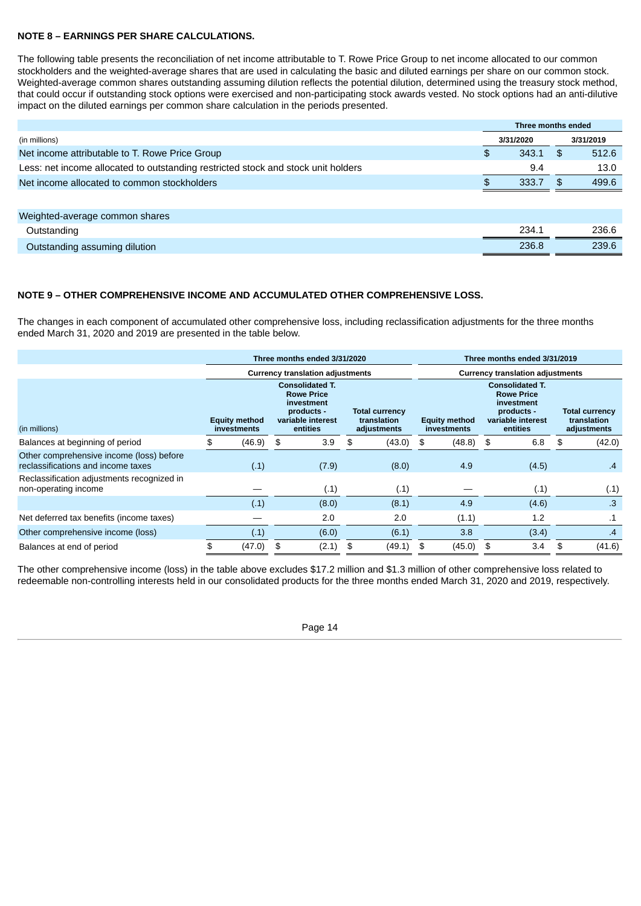#### **NOTE 8 – EARNINGS PER SHARE CALCULATIONS.**

The following table presents the reconciliation of net income attributable to T. Rowe Price Group to net income allocated to our common stockholders and the weighted-average shares that are used in calculating the basic and diluted earnings per share on our common stock. Weighted-average common shares outstanding assuming dilution reflects the potential dilution, determined using the treasury stock method, that could occur if outstanding stock options were exercised and non-participating stock awards vested. No stock options had an anti-dilutive impact on the diluted earnings per common share calculation in the periods presented.

|                                                                                   |     | Three months ended |     |           |
|-----------------------------------------------------------------------------------|-----|--------------------|-----|-----------|
| (in millions)                                                                     |     | 3/31/2020          |     | 3/31/2019 |
| Net income attributable to T. Rowe Price Group                                    | \$  | 343.1              | \$. | 512.6     |
| Less: net income allocated to outstanding restricted stock and stock unit holders |     | 9.4                |     | 13.0      |
| Net income allocated to common stockholders                                       | \$. | 333.7              | \$. | 499.6     |
|                                                                                   |     |                    |     |           |
| Weighted-average common shares                                                    |     |                    |     |           |
| Outstanding                                                                       |     | 234.1              |     | 236.6     |
| Outstanding assuming dilution                                                     |     | 236.8              |     | 239.6     |

#### **NOTE 9 – OTHER COMPREHENSIVE INCOME AND ACCUMULATED OTHER COMPREHENSIVE LOSS.**

The changes in each component of accumulated other comprehensive loss, including reclassification adjustments for the three months ended March 31, 2020 and 2019 are presented in the table below.

|                                                                                |                                            | Three months ended 3/31/2020                                                                             |    |                                                     |                                            | Three months ended 3/31/2019 |                                                                                                          |    |                                                     |  |  |
|--------------------------------------------------------------------------------|--------------------------------------------|----------------------------------------------------------------------------------------------------------|----|-----------------------------------------------------|--------------------------------------------|------------------------------|----------------------------------------------------------------------------------------------------------|----|-----------------------------------------------------|--|--|
|                                                                                |                                            | <b>Currency translation adjustments</b>                                                                  |    |                                                     | <b>Currency translation adjustments</b>    |                              |                                                                                                          |    |                                                     |  |  |
| (in millions)                                                                  | <b>Equity method</b><br><i>investments</i> | <b>Consolidated T.</b><br><b>Rowe Price</b><br>investment<br>products -<br>variable interest<br>entities |    | <b>Total currency</b><br>translation<br>adjustments | <b>Equity method</b><br><i>investments</i> |                              | <b>Consolidated T.</b><br><b>Rowe Price</b><br>investment<br>products -<br>variable interest<br>entities |    | <b>Total currency</b><br>translation<br>adjustments |  |  |
| Balances at beginning of period                                                | (46.9)                                     | \$<br>3.9                                                                                                |    | (43.0)                                              | \$<br>(48.8)                               | \$                           | 6.8                                                                                                      | £. | (42.0)                                              |  |  |
| Other comprehensive income (loss) before<br>reclassifications and income taxes | (.1)                                       | (7.9)                                                                                                    |    | (8.0)                                               | 4.9                                        |                              | (4.5)                                                                                                    |    | $\cdot$ 4                                           |  |  |
| Reclassification adjustments recognized in<br>non-operating income             |                                            | (.1)                                                                                                     |    | (.1)                                                |                                            |                              | (.1)                                                                                                     |    | (.1)                                                |  |  |
|                                                                                | (.1)                                       | (8.0)                                                                                                    |    | (8.1)                                               | 4.9                                        |                              | (4.6)                                                                                                    |    | $\cdot$ 3                                           |  |  |
| Net deferred tax benefits (income taxes)                                       |                                            | 2.0                                                                                                      |    | 2.0                                                 | (1.1)                                      |                              | 1.2                                                                                                      |    | .1                                                  |  |  |
| Other comprehensive income (loss)                                              | (.1)                                       | (6.0)                                                                                                    |    | (6.1)                                               | 3.8                                        |                              | (3.4)                                                                                                    |    | .4                                                  |  |  |
| Balances at end of period                                                      | (47.0)                                     | \$<br>(2.1)                                                                                              | \$ | (49.1)                                              | \$<br>(45.0)                               | \$                           | 3.4                                                                                                      |    | (41.6)                                              |  |  |

The other comprehensive income (loss) in the table above excludes \$17.2 million and \$1.3 million of other comprehensive loss related to redeemable non-controlling interests held in our consolidated products for the three months ended March 31, 2020 and 2019, respectively.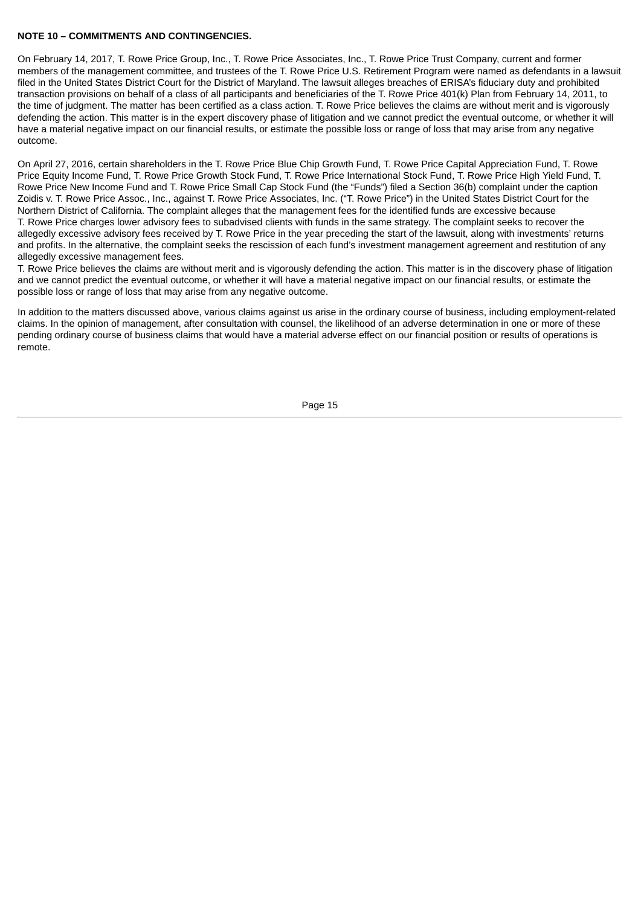#### **NOTE 10 – COMMITMENTS AND CONTINGENCIES.**

On February 14, 2017, T. Rowe Price Group, Inc., T. Rowe Price Associates, Inc., T. Rowe Price Trust Company, current and former members of the management committee, and trustees of the T. Rowe Price U.S. Retirement Program were named as defendants in a lawsuit filed in the United States District Court for the District of Maryland. The lawsuit alleges breaches of ERISA's fiduciary duty and prohibited transaction provisions on behalf of a class of all participants and beneficiaries of the T. Rowe Price 401(k) Plan from February 14, 2011, to the time of judgment. The matter has been certified as a class action. T. Rowe Price believes the claims are without merit and is vigorously defending the action. This matter is in the expert discovery phase of litigation and we cannot predict the eventual outcome, or whether it will have a material negative impact on our financial results, or estimate the possible loss or range of loss that may arise from any negative outcome.

On April 27, 2016, certain shareholders in the T. Rowe Price Blue Chip Growth Fund, T. Rowe Price Capital Appreciation Fund, T. Rowe Price Equity Income Fund, T. Rowe Price Growth Stock Fund, T. Rowe Price International Stock Fund, T. Rowe Price High Yield Fund, T. Rowe Price New Income Fund and T. Rowe Price Small Cap Stock Fund (the "Funds") filed a Section 36(b) complaint under the caption Zoidis v. T. Rowe Price Assoc., Inc., against T. Rowe Price Associates, Inc. ("T. Rowe Price") in the United States District Court for the Northern District of California. The complaint alleges that the management fees for the identified funds are excessive because T. Rowe Price charges lower advisory fees to subadvised clients with funds in the same strategy. The complaint seeks to recover the allegedly excessive advisory fees received by T. Rowe Price in the year preceding the start of the lawsuit, along with investments' returns and profits. In the alternative, the complaint seeks the rescission of each fund's investment management agreement and restitution of any allegedly excessive management fees.

T. Rowe Price believes the claims are without merit and is vigorously defending the action. This matter is in the discovery phase of litigation and we cannot predict the eventual outcome, or whether it will have a material negative impact on our financial results, or estimate the possible loss or range of loss that may arise from any negative outcome.

In addition to the matters discussed above, various claims against us arise in the ordinary course of business, including employment-related claims. In the opinion of management, after consultation with counsel, the likelihood of an adverse determination in one or more of these pending ordinary course of business claims that would have a material adverse effect on our financial position or results of operations is remote.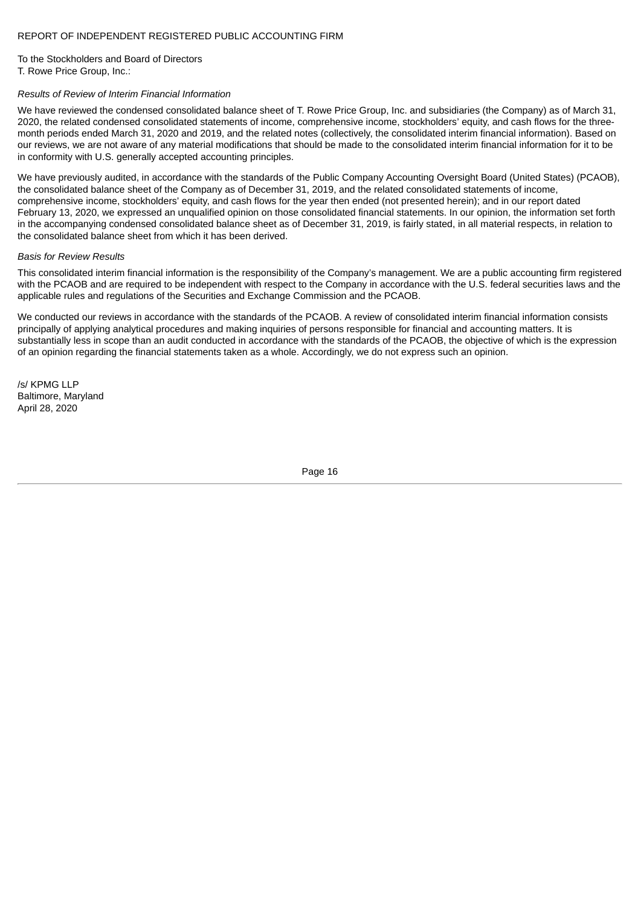#### REPORT OF INDEPENDENT REGISTERED PUBLIC ACCOUNTING FIRM

#### To the Stockholders and Board of Directors T. Rowe Price Group, Inc.:

#### *Results of Review of Interim Financial Information*

We have reviewed the condensed consolidated balance sheet of T. Rowe Price Group, Inc. and subsidiaries (the Company) as of March 31, 2020, the related condensed consolidated statements of income, comprehensive income, stockholders' equity, and cash flows for the threemonth periods ended March 31, 2020 and 2019, and the related notes (collectively, the consolidated interim financial information). Based on our reviews, we are not aware of any material modifications that should be made to the consolidated interim financial information for it to be in conformity with U.S. generally accepted accounting principles.

We have previously audited, in accordance with the standards of the Public Company Accounting Oversight Board (United States) (PCAOB), the consolidated balance sheet of the Company as of December 31, 2019, and the related consolidated statements of income, comprehensive income, stockholders' equity, and cash flows for the year then ended (not presented herein); and in our report dated February 13, 2020, we expressed an unqualified opinion on those consolidated financial statements. In our opinion, the information set forth in the accompanying condensed consolidated balance sheet as of December 31, 2019, is fairly stated, in all material respects, in relation to the consolidated balance sheet from which it has been derived.

#### *Basis for Review Results*

This consolidated interim financial information is the responsibility of the Company's management. We are a public accounting firm registered with the PCAOB and are required to be independent with respect to the Company in accordance with the U.S. federal securities laws and the applicable rules and regulations of the Securities and Exchange Commission and the PCAOB.

We conducted our reviews in accordance with the standards of the PCAOB. A review of consolidated interim financial information consists principally of applying analytical procedures and making inquiries of persons responsible for financial and accounting matters. It is substantially less in scope than an audit conducted in accordance with the standards of the PCAOB, the objective of which is the expression of an opinion regarding the financial statements taken as a whole. Accordingly, we do not express such an opinion.

/s/ KPMG LLP Baltimore, Maryland April 28, 2020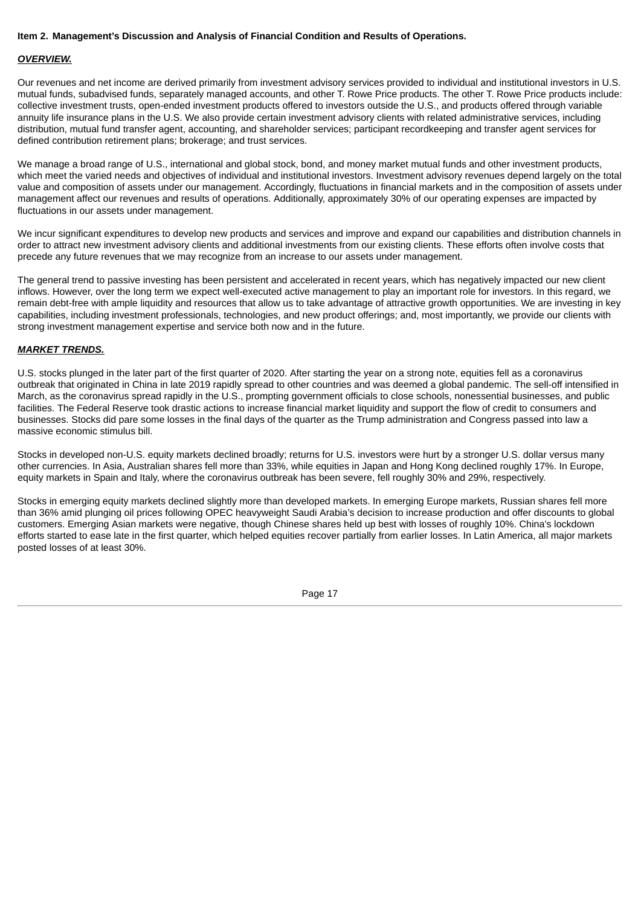#### **Item 2. Management's Discussion and Analysis of Financial Condition and Results of Operations.**

#### *OVERVIEW.*

Our revenues and net income are derived primarily from investment advisory services provided to individual and institutional investors in U.S. mutual funds, subadvised funds, separately managed accounts, and other T. Rowe Price products. The other T. Rowe Price products include: collective investment trusts, open-ended investment products offered to investors outside the U.S., and products offered through variable annuity life insurance plans in the U.S. We also provide certain investment advisory clients with related administrative services, including distribution, mutual fund transfer agent, accounting, and shareholder services; participant recordkeeping and transfer agent services for defined contribution retirement plans; brokerage; and trust services.

We manage a broad range of U.S., international and global stock, bond, and money market mutual funds and other investment products, which meet the varied needs and objectives of individual and institutional investors. Investment advisory revenues depend largely on the total value and composition of assets under our management. Accordingly, fluctuations in financial markets and in the composition of assets under management affect our revenues and results of operations. Additionally, approximately 30% of our operating expenses are impacted by fluctuations in our assets under management.

We incur significant expenditures to develop new products and services and improve and expand our capabilities and distribution channels in order to attract new investment advisory clients and additional investments from our existing clients. These efforts often involve costs that precede any future revenues that we may recognize from an increase to our assets under management.

The general trend to passive investing has been persistent and accelerated in recent years, which has negatively impacted our new client inflows. However, over the long term we expect well-executed active management to play an important role for investors. In this regard, we remain debt-free with ample liquidity and resources that allow us to take advantage of attractive growth opportunities. We are investing in key capabilities, including investment professionals, technologies, and new product offerings; and, most importantly, we provide our clients with strong investment management expertise and service both now and in the future.

#### *MARKET TRENDS.*

U.S. stocks plunged in the later part of the first quarter of 2020. After starting the year on a strong note, equities fell as a coronavirus outbreak that originated in China in late 2019 rapidly spread to other countries and was deemed a global pandemic. The sell-off intensified in March, as the coronavirus spread rapidly in the U.S., prompting government officials to close schools, nonessential businesses, and public facilities. The Federal Reserve took drastic actions to increase financial market liquidity and support the flow of credit to consumers and businesses. Stocks did pare some losses in the final days of the quarter as the Trump administration and Congress passed into law a massive economic stimulus bill.

Stocks in developed non-U.S. equity markets declined broadly; returns for U.S. investors were hurt by a stronger U.S. dollar versus many other currencies. In Asia, Australian shares fell more than 33%, while equities in Japan and Hong Kong declined roughly 17%. In Europe, equity markets in Spain and Italy, where the coronavirus outbreak has been severe, fell roughly 30% and 29%, respectively.

Stocks in emerging equity markets declined slightly more than developed markets. In emerging Europe markets, Russian shares fell more than 36% amid plunging oil prices following OPEC heavyweight Saudi Arabia's decision to increase production and offer discounts to global customers. Emerging Asian markets were negative, though Chinese shares held up best with losses of roughly 10%. China's lockdown efforts started to ease late in the first quarter, which helped equities recover partially from earlier losses. In Latin America, all major markets posted losses of at least 30%.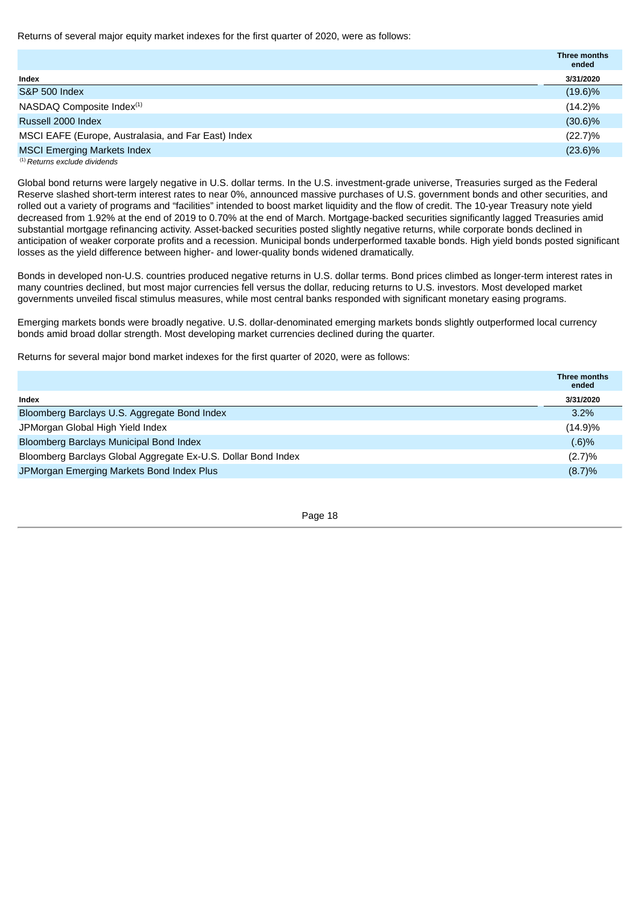Returns of several major equity market indexes for the first quarter of 2020, were as follows:

|                                                     | Three months<br>ended |
|-----------------------------------------------------|-----------------------|
| Index                                               | 3/31/2020             |
| <b>S&amp;P 500 Index</b>                            | $(19.6)\%$            |
| NASDAQ Composite Index <sup>(1)</sup>               | $(14.2)\%$            |
| Russell 2000 Index                                  | $(30.6)\%$            |
| MSCI EAFE (Europe, Australasia, and Far East) Index | $(22.7)\%$            |
| <b>MSCI Emerging Markets Index</b>                  | $(23.6)\%$            |
| $(1)$ Determine qualitate dividende                 |                       |

(1) *Returns exclude dividends*

Global bond returns were largely negative in U.S. dollar terms. In the U.S. investment-grade universe, Treasuries surged as the Federal Reserve slashed short-term interest rates to near 0%, announced massive purchases of U.S. government bonds and other securities, and rolled out a variety of programs and "facilities" intended to boost market liquidity and the flow of credit. The 10-year Treasury note yield decreased from 1.92% at the end of 2019 to 0.70% at the end of March. Mortgage-backed securities significantly lagged Treasuries amid substantial mortgage refinancing activity. Asset-backed securities posted slightly negative returns, while corporate bonds declined in anticipation of weaker corporate profits and a recession. Municipal bonds underperformed taxable bonds. High yield bonds posted significant losses as the yield difference between higher- and lower-quality bonds widened dramatically.

Bonds in developed non-U.S. countries produced negative returns in U.S. dollar terms. Bond prices climbed as longer-term interest rates in many countries declined, but most major currencies fell versus the dollar, reducing returns to U.S. investors. Most developed market governments unveiled fiscal stimulus measures, while most central banks responded with significant monetary easing programs.

Emerging markets bonds were broadly negative. U.S. dollar-denominated emerging markets bonds slightly outperformed local currency bonds amid broad dollar strength. Most developing market currencies declined during the quarter.

Returns for several major bond market indexes for the first quarter of 2020, were as follows:

|                                                               | Three months<br>ended |
|---------------------------------------------------------------|-----------------------|
| Index                                                         | 3/31/2020             |
| Bloomberg Barclays U.S. Aggregate Bond Index                  | $3.2\%$               |
| JPMorgan Global High Yield Index                              | $(14.9)\%$            |
| Bloomberg Barclays Municipal Bond Index                       | (0.6)%                |
| Bloomberg Barclays Global Aggregate Ex-U.S. Dollar Bond Index | (2.7)%                |
| JPMorgan Emerging Markets Bond Index Plus                     | (8.7)%                |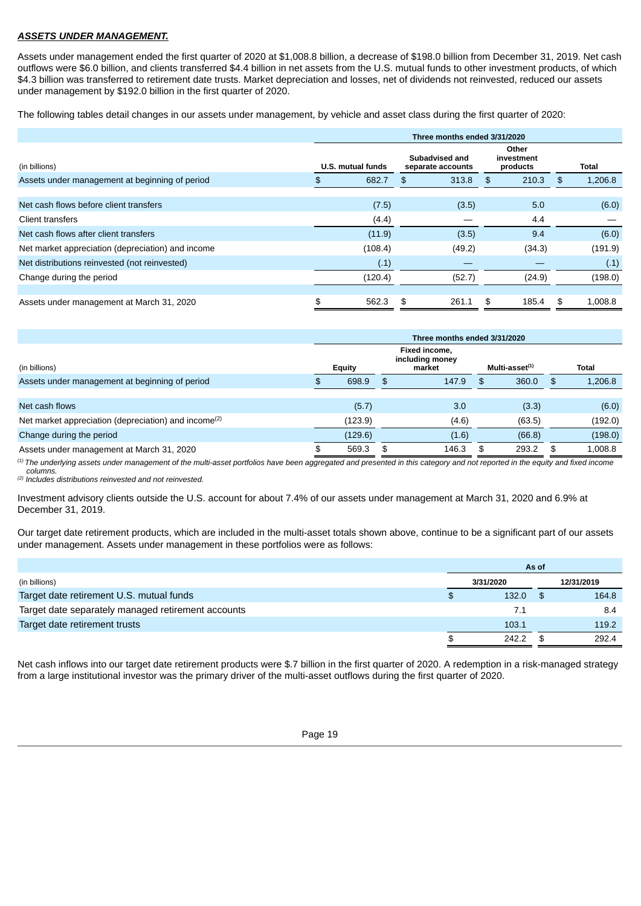#### *ASSETS UNDER MANAGEMENT.*

Assets under management ended the first quarter of 2020 at \$1,008.8 billion, a decrease of \$198.0 billion from December 31, 2019. Net cash outflows were \$6.0 billion, and clients transferred \$4.4 billion in net assets from the U.S. mutual funds to other investment products, of which \$4.3 billion was transferred to retirement date trusts. Market depreciation and losses, net of dividends not reinvested, reduced our assets under management by \$192.0 billion in the first quarter of 2020.

The following tables detail changes in our assets under management, by vehicle and asset class during the first quarter of 2020:

|                                                   | Three months ended 3/31/2020 |         |                                     |        |                                 |    |         |  |  |  |
|---------------------------------------------------|------------------------------|---------|-------------------------------------|--------|---------------------------------|----|---------|--|--|--|
| (in billions)                                     | U.S. mutual funds            |         | Subadvised and<br>separate accounts |        | Other<br>investment<br>products |    | Total   |  |  |  |
| Assets under management at beginning of period    |                              | 682.7   | 313.8<br>\$                         |        | 210.3<br>\$                     | \$ | 1,206.8 |  |  |  |
|                                                   |                              |         |                                     |        |                                 |    |         |  |  |  |
| Net cash flows before client transfers            |                              | (7.5)   |                                     | (3.5)  | 5.0                             |    | (6.0)   |  |  |  |
| <b>Client transfers</b>                           |                              | (4.4)   |                                     |        | 4.4                             |    |         |  |  |  |
| Net cash flows after client transfers             |                              | (11.9)  |                                     | (3.5)  | 9.4                             |    | (6.0)   |  |  |  |
| Net market appreciation (depreciation) and income |                              | (108.4) |                                     | (49.2) | (34.3)                          |    | (191.9) |  |  |  |
| Net distributions reinvested (not reinvested)     |                              | (.1)    |                                     |        |                                 |    | (.1)    |  |  |  |
| Change during the period                          |                              | (120.4) |                                     | (52.7) | (24.9)                          |    | (198.0) |  |  |  |
|                                                   |                              |         |                                     |        |                                 |    |         |  |  |  |
| Assets under management at March 31, 2020         | \$.                          | 562.3   | 261.1<br>\$                         |        | 185.4<br>\$                     | \$ | 1,008.8 |  |  |  |

|                                                                  | Three months ended 3/31/2020 |     |                                            |    |                            |    |         |  |  |  |  |  |  |
|------------------------------------------------------------------|------------------------------|-----|--------------------------------------------|----|----------------------------|----|---------|--|--|--|--|--|--|
| (in billions)                                                    | <b>Equity</b>                |     | Fixed income,<br>including money<br>market |    | Multi-asset <sup>(1)</sup> |    | Total   |  |  |  |  |  |  |
| Assets under management at beginning of period                   | 698.9                        | \$. | 147.9                                      | \$ | 360.0                      | \$ | 1,206.8 |  |  |  |  |  |  |
| Net cash flows                                                   | (5.7)                        |     | 3.0                                        |    | (3.3)                      |    | (6.0)   |  |  |  |  |  |  |
| Net market appreciation (depreciation) and income <sup>(2)</sup> | (123.9)                      |     | (4.6)                                      |    | (63.5)                     |    | (192.0) |  |  |  |  |  |  |
| Change during the period                                         | (129.6)                      |     | (1.6)                                      |    | (66.8)                     |    | (198.0) |  |  |  |  |  |  |
| Assets under management at March 31, 2020                        | 569.3                        | \$  | 146.3                                      | \$ | 293.2                      | \$ | 1,008.8 |  |  |  |  |  |  |

<sup>(1)</sup> The underlying assets under management of the multi-asset portfolios have been aggregated and presented in this category and not reported in the equity and fixed income *columns.*

*(2) Includes distributions reinvested and not reinvested.*

Investment advisory clients outside the U.S. account for about 7.4% of our assets under management at March 31, 2020 and 6.9% at December 31, 2019.

Our target date retirement products, which are included in the multi-asset totals shown above, continue to be a significant part of our assets under management. Assets under management in these portfolios were as follows:

|                                                    | As of     |       |  |            |  |  |  |
|----------------------------------------------------|-----------|-------|--|------------|--|--|--|
| (in billions)                                      | 3/31/2020 |       |  | 12/31/2019 |  |  |  |
| Target date retirement U.S. mutual funds           | \$        | 132.0 |  | 164.8      |  |  |  |
| Target date separately managed retirement accounts |           | 7.1   |  | 8.4        |  |  |  |
| Target date retirement trusts                      |           | 103.1 |  | 119.2      |  |  |  |
|                                                    |           | 242.2 |  | 292.4      |  |  |  |

Net cash inflows into our target date retirement products were \$.7 billion in the first quarter of 2020. A redemption in a risk-managed strategy from a large institutional investor was the primary driver of the multi-asset outflows during the first quarter of 2020.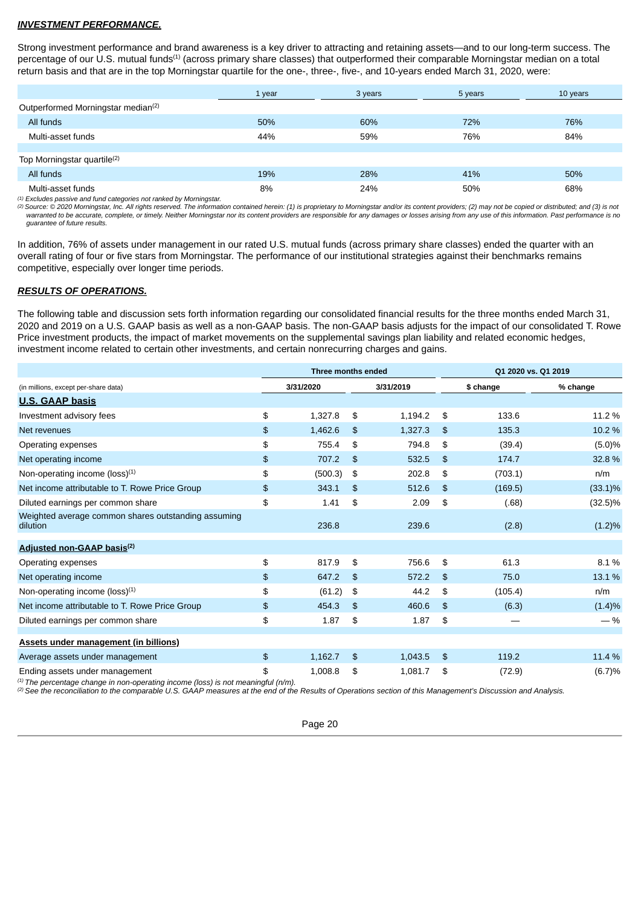#### *INVESTMENT PERFORMANCE.*

Strong investment performance and brand awareness is a key driver to attracting and retaining assets—and to our long-term success. The percentage of our U.S. mutual funds<sup>(1)</sup> (across primary share classes) that outperformed their comparable Morningstar median on a total return basis and that are in the top Morningstar quartile for the one-, three-, five-, and 10-years ended March 31, 2020, were:

|                                                | 1 year | 3 years | 5 years | 10 years |
|------------------------------------------------|--------|---------|---------|----------|
| Outperformed Morningstar median <sup>(2)</sup> |        |         |         |          |
| All funds                                      | 50%    | 60%     | 72%     | 76%      |
| Multi-asset funds                              | 44%    | 59%     | 76%     | 84%      |
|                                                |        |         |         |          |
| Top Morningstar quartile <sup>(2)</sup>        |        |         |         |          |
| All funds                                      | 19%    | 28%     | 41%     | 50%      |
| Multi-asset funds                              | 8%     | 24%     | 50%     | 68%      |

*(1) Excludes passive and fund categories not ranked by Morningstar.*

2) Source: © 2020 Morningstar, Inc. All rights reserved. The information contained herein: (1) is proprietary to Morningstar and/or its content providers; (2) may not be copied or distributed; and (3) is not<br>warranted to b *guarantee of future results.*

In addition, 76% of assets under management in our rated U.S. mutual funds (across primary share classes) ended the quarter with an overall rating of four or five stars from Morningstar. The performance of our institutional strategies against their benchmarks remains competitive, especially over longer time periods.

#### *RESULTS OF OPERATIONS.*

The following table and discussion sets forth information regarding our consolidated financial results for the three months ended March 31, 2020 and 2019 on a U.S. GAAP basis as well as a non-GAAP basis. The non-GAAP basis adjusts for the impact of our consolidated T. Rowe Price investment products, the impact of market movements on the supplemental savings plan liability and related economic hedges, investment income related to certain other investments, and certain nonrecurring charges and gains.

|                                                                 | Three months ended |                |           | Q1 2020 vs. Q1 2019 |            |  |  |  |
|-----------------------------------------------------------------|--------------------|----------------|-----------|---------------------|------------|--|--|--|
| (in millions, except per-share data)                            | 3/31/2020          |                | 3/31/2019 | \$ change           | % change   |  |  |  |
| <b>U.S. GAAP basis</b>                                          |                    |                |           |                     |            |  |  |  |
| Investment advisory fees                                        | \$<br>1,327.8      | \$             | 1,194.2   | \$<br>133.6         | 11.2 %     |  |  |  |
| Net revenues                                                    | \$<br>1,462.6      | \$             | 1,327.3   | \$<br>135.3         | 10.2 %     |  |  |  |
| Operating expenses                                              | \$<br>755.4        | \$             | 794.8     | \$<br>(39.4)        | $(5.0)\%$  |  |  |  |
| Net operating income                                            | \$<br>707.2        | \$             | 532.5     | \$<br>174.7         | 32.8%      |  |  |  |
| Non-operating income ( $loss$ ) <sup>(1)</sup>                  | \$<br>(500.3)      | \$             | 202.8     | \$<br>(703.1)       | n/m        |  |  |  |
| Net income attributable to T. Rowe Price Group                  | \$<br>343.1        | $\mathfrak{L}$ | 512.6     | \$<br>(169.5)       | $(33.1)\%$ |  |  |  |
| Diluted earnings per common share                               | \$<br>1.41         | \$             | 2.09      | \$<br>(.68)         | $(32.5)\%$ |  |  |  |
| Weighted average common shares outstanding assuming<br>dilution | 236.8              |                | 239.6     | (2.8)               | $(1.2)\%$  |  |  |  |
| Adjusted non-GAAP basis <sup>(2)</sup>                          |                    |                |           |                     |            |  |  |  |
| Operating expenses                                              | \$<br>817.9        | \$             | 756.6     | \$<br>61.3          | 8.1%       |  |  |  |
| Net operating income                                            | \$<br>647.2        | \$             | 572.2     | \$<br>75.0          | 13.1 %     |  |  |  |
| Non-operating income ( $loss$ ) <sup>(1)</sup>                  | \$<br>(61.2)       | \$             | 44.2      | \$<br>(105.4)       | n/m        |  |  |  |
| Net income attributable to T. Rowe Price Group                  | \$<br>454.3        | $\mathfrak{F}$ | 460.6     | \$<br>(6.3)         | $(1.4)\%$  |  |  |  |
| Diluted earnings per common share                               | \$<br>1.87         | \$             | 1.87      | \$                  | $-$ %      |  |  |  |
| Assets under management (in billions)                           |                    |                |           |                     |            |  |  |  |
| Average assets under management                                 | \$<br>1,162.7      | \$             | 1,043.5   | \$<br>119.2         | 11.4 %     |  |  |  |
| Ending assets under management                                  | \$<br>1,008.8      | \$             | 1,081.7   | \$<br>(72.9)        | (6.7)%     |  |  |  |

*(1) The percentage change in non-operating income (loss) is not meaningful (n/m).*

(2) See the reconciliation to the comparable U.S. GAAP measures at the end of the Results of Operations section of this Management's Discussion and Analysis.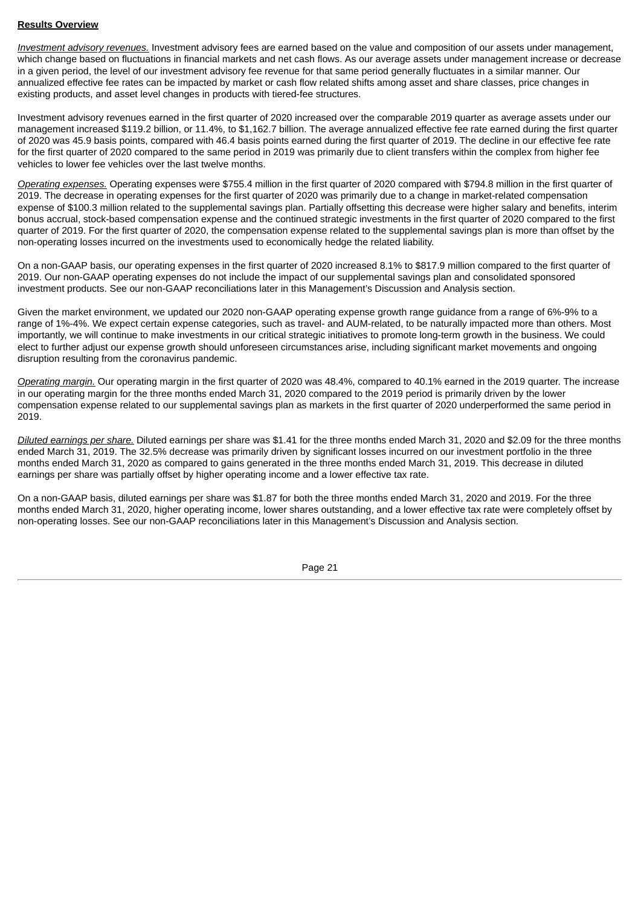#### **Results Overview**

*Investment advisory revenues.* Investment advisory fees are earned based on the value and composition of our assets under management, which change based on fluctuations in financial markets and net cash flows. As our average assets under management increase or decrease in a given period, the level of our investment advisory fee revenue for that same period generally fluctuates in a similar manner. Our annualized effective fee rates can be impacted by market or cash flow related shifts among asset and share classes, price changes in existing products, and asset level changes in products with tiered-fee structures.

Investment advisory revenues earned in the first quarter of 2020 increased over the comparable 2019 quarter as average assets under our management increased \$119.2 billion, or 11.4%, to \$1,162.7 billion. The average annualized effective fee rate earned during the first quarter of 2020 was 45.9 basis points, compared with 46.4 basis points earned during the first quarter of 2019. The decline in our effective fee rate for the first quarter of 2020 compared to the same period in 2019 was primarily due to client transfers within the complex from higher fee vehicles to lower fee vehicles over the last twelve months.

*Operating expenses.* Operating expenses were \$755.4 million in the first quarter of 2020 compared with \$794.8 million in the first quarter of 2019. The decrease in operating expenses for the first quarter of 2020 was primarily due to a change in market-related compensation expense of \$100.3 million related to the supplemental savings plan. Partially offsetting this decrease were higher salary and benefits, interim bonus accrual, stock-based compensation expense and the continued strategic investments in the first quarter of 2020 compared to the first quarter of 2019. For the first quarter of 2020, the compensation expense related to the supplemental savings plan is more than offset by the non-operating losses incurred on the investments used to economically hedge the related liability.

On a non-GAAP basis, our operating expenses in the first quarter of 2020 increased 8.1% to \$817.9 million compared to the first quarter of 2019. Our non-GAAP operating expenses do not include the impact of our supplemental savings plan and consolidated sponsored investment products. See our non-GAAP reconciliations later in this Management's Discussion and Analysis section.

Given the market environment, we updated our 2020 non-GAAP operating expense growth range guidance from a range of 6%-9% to a range of 1%-4%. We expect certain expense categories, such as travel- and AUM-related, to be naturally impacted more than others. Most importantly, we will continue to make investments in our critical strategic initiatives to promote long-term growth in the business. We could elect to further adjust our expense growth should unforeseen circumstances arise, including significant market movements and ongoing disruption resulting from the coronavirus pandemic.

*Operating margin.* Our operating margin in the first quarter of 2020 was 48.4%, compared to 40.1% earned in the 2019 quarter. The increase in our operating margin for the three months ended March 31, 2020 compared to the 2019 period is primarily driven by the lower compensation expense related to our supplemental savings plan as markets in the first quarter of 2020 underperformed the same period in 2019.

*Diluted earnings per share.* Diluted earnings per share was \$1.41 for the three months ended March 31, 2020 and \$2.09 for the three months ended March 31, 2019. The 32.5% decrease was primarily driven by significant losses incurred on our investment portfolio in the three months ended March 31, 2020 as compared to gains generated in the three months ended March 31, 2019. This decrease in diluted earnings per share was partially offset by higher operating income and a lower effective tax rate.

On a non-GAAP basis, diluted earnings per share was \$1.87 for both the three months ended March 31, 2020 and 2019. For the three months ended March 31, 2020, higher operating income, lower shares outstanding, and a lower effective tax rate were completely offset by non-operating losses. See our non-GAAP reconciliations later in this Management's Discussion and Analysis section.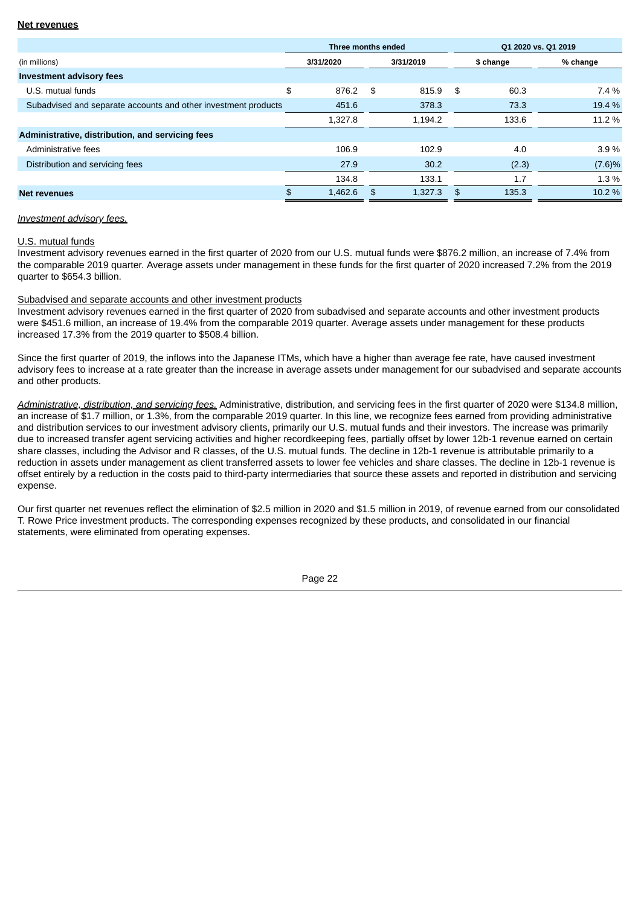#### **Net revenues**

|                                                                | Three months ended |      |           |    |           | 01 2020 vs. 01 2019 |
|----------------------------------------------------------------|--------------------|------|-----------|----|-----------|---------------------|
| (in millions)                                                  | 3/31/2020          |      | 3/31/2019 |    | \$ change | % change            |
| <b>Investment advisory fees</b>                                |                    |      |           |    |           |                     |
| U.S. mutual funds                                              | \$<br>876.2        | - \$ | 815.9 \$  |    | 60.3      | 7.4%                |
| Subadvised and separate accounts and other investment products | 451.6              |      | 378.3     |    | 73.3      | 19.4 %              |
|                                                                | 1,327.8            |      | 1,194.2   |    | 133.6     | 11.2 %              |
| Administrative, distribution, and servicing fees               |                    |      |           |    |           |                     |
| Administrative fees                                            | 106.9              |      | 102.9     |    | 4.0       | 3.9%                |
| Distribution and servicing fees                                | 27.9               |      | 30.2      |    | (2.3)     | (7.6)%              |
|                                                                | 134.8              |      | 133.1     |    | 1.7       | 1.3 %               |
| Net revenues                                                   | 1,462.6            | \$   | 1.327.3   | \$ | 135.3     | 10.2 %              |

#### *Investment advisory fees.*

#### U.S. mutual funds

Investment advisory revenues earned in the first quarter of 2020 from our U.S. mutual funds were \$876.2 million, an increase of 7.4% from the comparable 2019 quarter. Average assets under management in these funds for the first quarter of 2020 increased 7.2% from the 2019 quarter to \$654.3 billion.

#### Subadvised and separate accounts and other investment products

Investment advisory revenues earned in the first quarter of 2020 from subadvised and separate accounts and other investment products were \$451.6 million, an increase of 19.4% from the comparable 2019 quarter. Average assets under management for these products increased 17.3% from the 2019 quarter to \$508.4 billion.

Since the first quarter of 2019, the inflows into the Japanese ITMs, which have a higher than average fee rate, have caused investment advisory fees to increase at a rate greater than the increase in average assets under management for our subadvised and separate accounts and other products.

*Administrative, distribution, and servicing fees.* Administrative, distribution, and servicing fees in the first quarter of 2020 were \$134.8 million, an increase of \$1.7 million, or 1.3%, from the comparable 2019 quarter. In this line, we recognize fees earned from providing administrative and distribution services to our investment advisory clients, primarily our U.S. mutual funds and their investors. The increase was primarily due to increased transfer agent servicing activities and higher recordkeeping fees, partially offset by lower 12b-1 revenue earned on certain share classes, including the Advisor and R classes, of the U.S. mutual funds. The decline in 12b-1 revenue is attributable primarily to a reduction in assets under management as client transferred assets to lower fee vehicles and share classes. The decline in 12b-1 revenue is offset entirely by a reduction in the costs paid to third-party intermediaries that source these assets and reported in distribution and servicing expense.

Our first quarter net revenues reflect the elimination of \$2.5 million in 2020 and \$1.5 million in 2019, of revenue earned from our consolidated T. Rowe Price investment products. The corresponding expenses recognized by these products, and consolidated in our financial statements, were eliminated from operating expenses.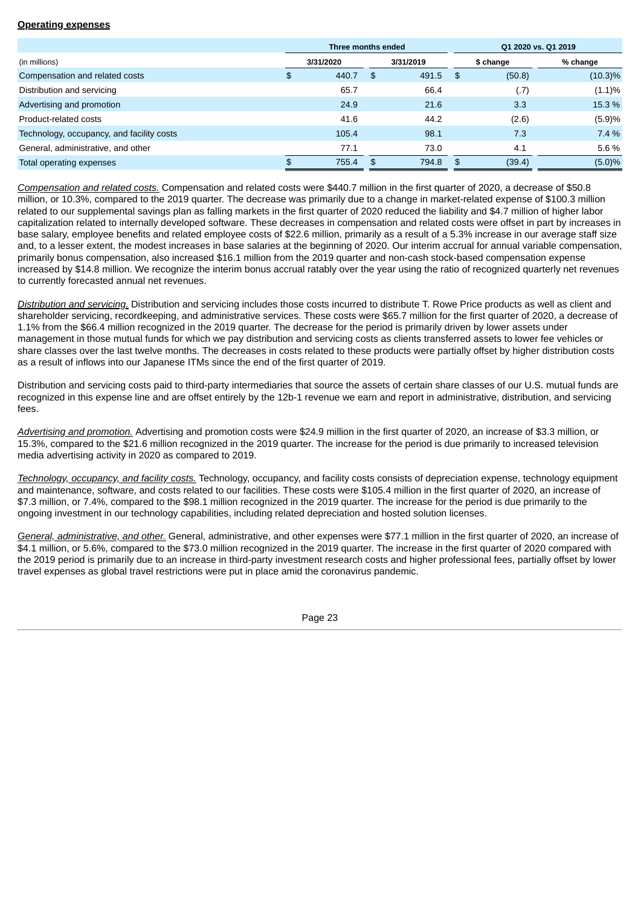#### **Operating expenses**

|                                           | Three months ended |             | 01 2020 vs. 01 2019 |           |            |  |
|-------------------------------------------|--------------------|-------------|---------------------|-----------|------------|--|
| (in millions)                             | 3/31/2020          | 3/31/2019   |                     | \$ change | % change   |  |
| Compensation and related costs            | \$<br>440.7        | \$<br>491.5 | \$.                 | (50.8)    | $(10.3)\%$ |  |
| Distribution and servicing                | 65.7               | 66.4        |                     | (.7)      | (1.1)%     |  |
| Advertising and promotion                 | 24.9               | 21.6        |                     | 3.3       | 15.3 %     |  |
| Product-related costs                     | 41.6               | 44.2        |                     | (2.6)     | (5.9)%     |  |
| Technology, occupancy, and facility costs | 105.4              | 98.1        |                     | 7.3       | 7.4 %      |  |
| General, administrative, and other        | 77.1               | 73.0        |                     | 4.1       | 5.6%       |  |
| Total operating expenses                  | \$<br>755.4        | \$<br>794.8 | \$.                 | (39.4)    | (5.0)%     |  |

*Compensation and related costs.* Compensation and related costs were \$440.7 million in the first quarter of 2020, a decrease of \$50.8 million, or 10.3%, compared to the 2019 quarter. The decrease was primarily due to a change in market-related expense of \$100.3 million related to our supplemental savings plan as falling markets in the first quarter of 2020 reduced the liability and \$4.7 million of higher labor capitalization related to internally developed software. These decreases in compensation and related costs were offset in part by increases in base salary, employee benefits and related employee costs of \$22.6 million, primarily as a result of a 5.3% increase in our average staff size and, to a lesser extent, the modest increases in base salaries at the beginning of 2020. Our interim accrual for annual variable compensation, primarily bonus compensation, also increased \$16.1 million from the 2019 quarter and non-cash stock-based compensation expense increased by \$14.8 million. We recognize the interim bonus accrual ratably over the year using the ratio of recognized quarterly net revenues to currently forecasted annual net revenues.

*Distribution and servicing.* Distribution and servicing includes those costs incurred to distribute T. Rowe Price products as well as client and shareholder servicing, recordkeeping, and administrative services. These costs were \$65.7 million for the first quarter of 2020, a decrease of 1.1% from the \$66.4 million recognized in the 2019 quarter. The decrease for the period is primarily driven by lower assets under management in those mutual funds for which we pay distribution and servicing costs as clients transferred assets to lower fee vehicles or share classes over the last twelve months. The decreases in costs related to these products were partially offset by higher distribution costs as a result of inflows into our Japanese ITMs since the end of the first quarter of 2019.

Distribution and servicing costs paid to third-party intermediaries that source the assets of certain share classes of our U.S. mutual funds are recognized in this expense line and are offset entirely by the 12b-1 revenue we earn and report in administrative, distribution, and servicing fees.

*Advertising and promotion.* Advertising and promotion costs were \$24.9 million in the first quarter of 2020, an increase of \$3.3 million, or 15.3%, compared to the \$21.6 million recognized in the 2019 quarter. The increase for the period is due primarily to increased television media advertising activity in 2020 as compared to 2019.

*Technology, occupancy, and facility costs.* Technology, occupancy, and facility costs consists of depreciation expense, technology equipment and maintenance, software, and costs related to our facilities. These costs were \$105.4 million in the first quarter of 2020, an increase of \$7.3 million, or 7.4%, compared to the \$98.1 million recognized in the 2019 quarter. The increase for the period is due primarily to the ongoing investment in our technology capabilities, including related depreciation and hosted solution licenses.

*General, administrative, and other.* General, administrative, and other expenses were \$77.1 million in the first quarter of 2020, an increase of \$4.1 million, or 5.6%, compared to the \$73.0 million recognized in the 2019 quarter. The increase in the first quarter of 2020 compared with the 2019 period is primarily due to an increase in third-party investment research costs and higher professional fees, partially offset by lower travel expenses as global travel restrictions were put in place amid the coronavirus pandemic.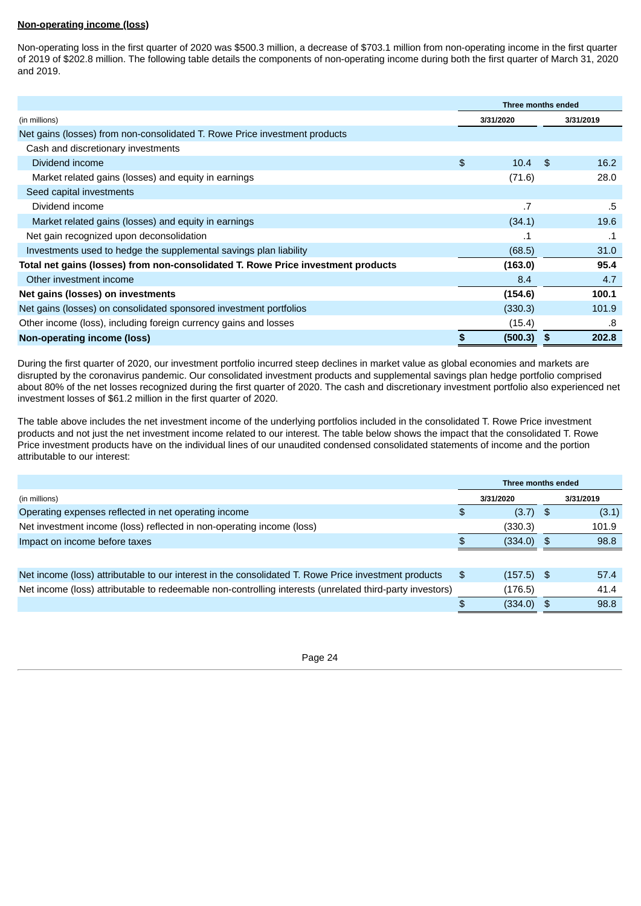#### **Non-operating income (loss)**

Non-operating loss in the first quarter of 2020 was \$500.3 million, a decrease of \$703.1 million from non-operating income in the first quarter of 2019 of \$202.8 million. The following table details the components of non-operating income during both the first quarter of March 31, 2020 and 2019.

|                                                                                  | Three months ended |           |      |           |  |
|----------------------------------------------------------------------------------|--------------------|-----------|------|-----------|--|
| (in millions)                                                                    |                    | 3/31/2020 |      | 3/31/2019 |  |
| Net gains (losses) from non-consolidated T. Rowe Price investment products       |                    |           |      |           |  |
| Cash and discretionary investments                                               |                    |           |      |           |  |
| Dividend income                                                                  | \$                 | 10.4      | - \$ | 16.2      |  |
| Market related gains (losses) and equity in earnings                             |                    | (71.6)    |      | 28.0      |  |
| Seed capital investments                                                         |                    |           |      |           |  |
| Dividend income                                                                  |                    | $\cdot$ 7 |      | .5        |  |
| Market related gains (losses) and equity in earnings                             |                    | (34.1)    |      | 19.6      |  |
| Net gain recognized upon deconsolidation                                         |                    | .1        |      | $\cdot$   |  |
| Investments used to hedge the supplemental savings plan liability                |                    | (68.5)    |      | 31.0      |  |
| Total net gains (losses) from non-consolidated T. Rowe Price investment products |                    | (163.0)   |      | 95.4      |  |
| Other investment income                                                          |                    | 8.4       |      | 4.7       |  |
| Net gains (losses) on investments                                                |                    | (154.6)   |      | 100.1     |  |
| Net gains (losses) on consolidated sponsored investment portfolios               |                    | (330.3)   |      | 101.9     |  |
| Other income (loss), including foreign currency gains and losses                 |                    | (15.4)    |      | .8        |  |
| Non-operating income (loss)                                                      | \$                 | (500.3)   | 5    | 202.8     |  |

During the first quarter of 2020, our investment portfolio incurred steep declines in market value as global economies and markets are disrupted by the coronavirus pandemic. Our consolidated investment products and supplemental savings plan hedge portfolio comprised about 80% of the net losses recognized during the first quarter of 2020. The cash and discretionary investment portfolio also experienced net investment losses of \$61.2 million in the first quarter of 2020.

The table above includes the net investment income of the underlying portfolios included in the consolidated T. Rowe Price investment products and not just the net investment income related to our interest. The table below shows the impact that the consolidated T. Rowe Price investment products have on the individual lines of our unaudited condensed consolidated statements of income and the portion attributable to our interest:

|                                                                                                          | Three months ended |              |      |           |  |  |  |
|----------------------------------------------------------------------------------------------------------|--------------------|--------------|------|-----------|--|--|--|
| (in millions)                                                                                            |                    | 3/31/2020    |      | 3/31/2019 |  |  |  |
| Operating expenses reflected in net operating income                                                     | \$                 | $(3.7)$ \$   |      | (3.1)     |  |  |  |
| Net investment income (loss) reflected in non-operating income (loss)                                    |                    | (330.3)      |      | 101.9     |  |  |  |
| Impact on income before taxes                                                                            |                    | (334.0)      | - \$ | 98.8      |  |  |  |
|                                                                                                          |                    |              |      |           |  |  |  |
| Net income (loss) attributable to our interest in the consolidated T. Rowe Price investment products     | \$                 | $(157.5)$ \$ |      | 57.4      |  |  |  |
| Net income (loss) attributable to redeemable non-controlling interests (unrelated third-party investors) |                    | (176.5)      |      | 41.4      |  |  |  |
|                                                                                                          |                    | (334.0)      | \$.  | 98.8      |  |  |  |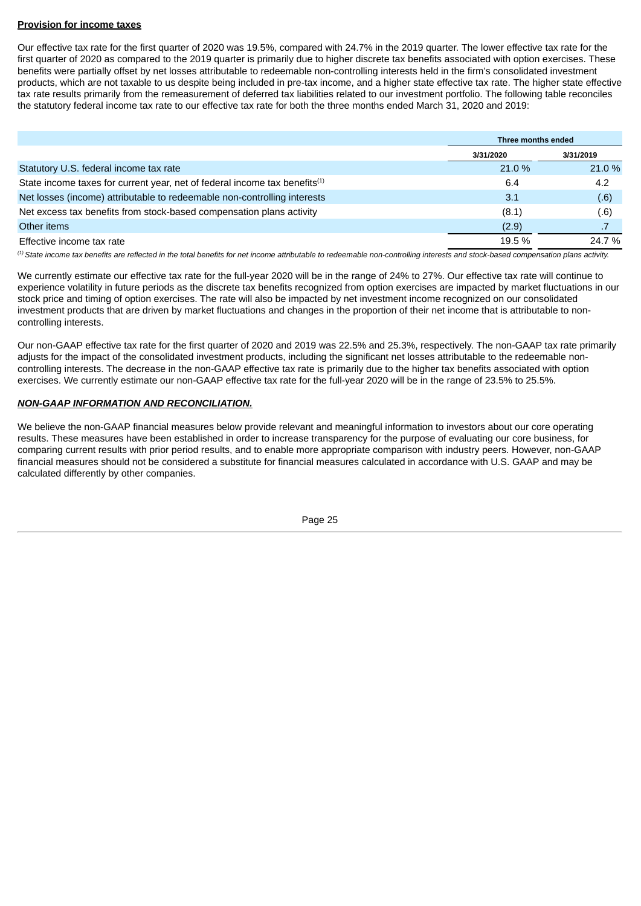#### **Provision for income taxes**

Our effective tax rate for the first quarter of 2020 was 19.5%, compared with 24.7% in the 2019 quarter. The lower effective tax rate for the first quarter of 2020 as compared to the 2019 quarter is primarily due to higher discrete tax benefits associated with option exercises. These benefits were partially offset by net losses attributable to redeemable non-controlling interests held in the firm's consolidated investment products, which are not taxable to us despite being included in pre-tax income, and a higher state effective tax rate. The higher state effective tax rate results primarily from the remeasurement of deferred tax liabilities related to our investment portfolio. The following table reconciles the statutory federal income tax rate to our effective tax rate for both the three months ended March 31, 2020 and 2019:

|                                                                                        | Three months ended |           |
|----------------------------------------------------------------------------------------|--------------------|-----------|
|                                                                                        | 3/31/2020          | 3/31/2019 |
| Statutory U.S. federal income tax rate                                                 | 21.0 %             | 21.0 %    |
| State income taxes for current year, net of federal income tax benefits <sup>(1)</sup> | 6.4                | 4.2       |
| Net losses (income) attributable to redeemable non-controlling interests               | 3.1                | (.6)      |
| Net excess tax benefits from stock-based compensation plans activity                   | (8.1)              | (.6)      |
| Other items                                                                            | (2.9)              |           |
| Effective income tax rate                                                              | 19.5 %             | 24.7 %    |

<sup>(1)</sup> State income tax benefits are reflected in the total benefits for net income attributable to redeemable non-controlling interests and stock-based compensation plans activity.

We currently estimate our effective tax rate for the full-year 2020 will be in the range of 24% to 27%. Our effective tax rate will continue to experience volatility in future periods as the discrete tax benefits recognized from option exercises are impacted by market fluctuations in our stock price and timing of option exercises. The rate will also be impacted by net investment income recognized on our consolidated investment products that are driven by market fluctuations and changes in the proportion of their net income that is attributable to noncontrolling interests.

Our non-GAAP effective tax rate for the first quarter of 2020 and 2019 was 22.5% and 25.3%, respectively. The non-GAAP tax rate primarily adjusts for the impact of the consolidated investment products, including the significant net losses attributable to the redeemable noncontrolling interests. The decrease in the non-GAAP effective tax rate is primarily due to the higher tax benefits associated with option exercises. We currently estimate our non-GAAP effective tax rate for the full-year 2020 will be in the range of 23.5% to 25.5%.

#### *NON-GAAP INFORMATION AND RECONCILIATION.*

We believe the non-GAAP financial measures below provide relevant and meaningful information to investors about our core operating results. These measures have been established in order to increase transparency for the purpose of evaluating our core business, for comparing current results with prior period results, and to enable more appropriate comparison with industry peers. However, non-GAAP financial measures should not be considered a substitute for financial measures calculated in accordance with U.S. GAAP and may be calculated differently by other companies.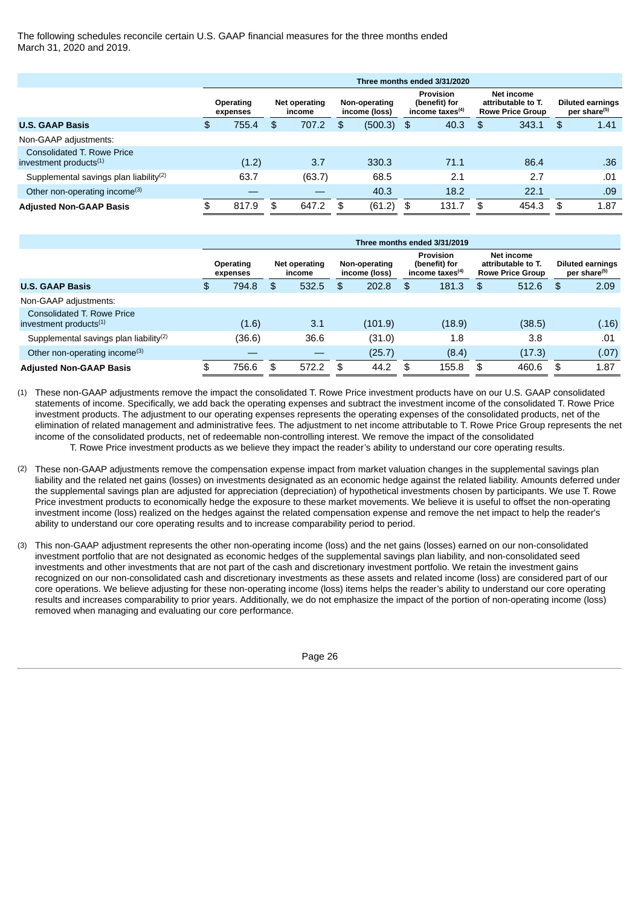The following schedules reconcile certain U.S. GAAP financial measures for the three months ended March 31, 2020 and 2019.

|                                                         | Three months ended 3/31/2020 |                       |                         |        |    |                                |                                                         |       |                                                             |       |    |                                                     |  |
|---------------------------------------------------------|------------------------------|-----------------------|-------------------------|--------|----|--------------------------------|---------------------------------------------------------|-------|-------------------------------------------------------------|-------|----|-----------------------------------------------------|--|
|                                                         |                              | Operating<br>expenses | Net operating<br>income |        |    | Non-operating<br>income (loss) | <b>Provision</b><br>(benefit) for<br>income taxes $(4)$ |       | Net income<br>attributable to T.<br><b>Rowe Price Group</b> |       |    | <b>Diluted earnings</b><br>per share <sup>(5)</sup> |  |
| <b>U.S. GAAP Basis</b>                                  | \$                           | 755.4                 | \$                      | 707.2  | \$ | $(500.3)$ \$                   |                                                         | 40.3  | \$                                                          | 343.1 | \$ | 1.41                                                |  |
| Non-GAAP adjustments:                                   |                              |                       |                         |        |    |                                |                                                         |       |                                                             |       |    |                                                     |  |
| Consolidated T. Rowe Price<br>investment products $(1)$ |                              | (1.2)                 |                         | 3.7    |    | 330.3                          |                                                         | 71.1  |                                                             | 86.4  |    | .36                                                 |  |
| Supplemental savings plan liability $(2)$               |                              | 63.7                  |                         | (63.7) |    | 68.5                           |                                                         | 2.1   |                                                             | 2.7   |    | .01                                                 |  |
| Other non-operating income <sup>(3)</sup>               |                              |                       |                         |        |    | 40.3                           |                                                         | 18.2  |                                                             | 22.1  |    | .09                                                 |  |
| <b>Adjusted Non-GAAP Basis</b>                          | \$.                          | 817.9                 | \$                      | 647.2  | \$ | (61.2)                         | -\$                                                     | 131.7 | \$                                                          | 454.3 | \$ | 1.87                                                |  |

|                                                         | Three months ended 3/31/2019 |    |                         |    |                                |    |                                                         |                                                             |        |                                                     |       |  |  |  |
|---------------------------------------------------------|------------------------------|----|-------------------------|----|--------------------------------|----|---------------------------------------------------------|-------------------------------------------------------------|--------|-----------------------------------------------------|-------|--|--|--|
|                                                         | Operating<br>expenses        |    | Net operating<br>income |    | Non-operating<br>income (loss) |    | <b>Provision</b><br>(benefit) for<br>income taxes $(4)$ | Net income<br>attributable to T.<br><b>Rowe Price Group</b> |        | <b>Diluted earnings</b><br>per share <sup>(5)</sup> |       |  |  |  |
| <b>U.S. GAAP Basis</b>                                  | \$<br>794.8                  | \$ | 532.5                   | \$ | 202.8                          | \$ | 181.3                                                   | \$                                                          | 512.6  | \$                                                  | 2.09  |  |  |  |
| Non-GAAP adjustments:                                   |                              |    |                         |    |                                |    |                                                         |                                                             |        |                                                     |       |  |  |  |
| Consolidated T. Rowe Price<br>investment products $(1)$ | (1.6)                        |    | 3.1                     |    | (101.9)                        |    | (18.9)                                                  |                                                             | (38.5) |                                                     | (.16) |  |  |  |
| Supplemental savings plan liability $(2)$               | (36.6)                       |    | 36.6                    |    | (31.0)                         |    | 1.8                                                     |                                                             | 3.8    |                                                     | .01   |  |  |  |
| Other non-operating income <sup>(3)</sup>               |                              |    |                         |    | (25.7)                         |    | (8.4)                                                   |                                                             | (17.3) |                                                     | (07)  |  |  |  |
| <b>Adjusted Non-GAAP Basis</b>                          | 756.6                        | \$ | 572.2                   | \$ | 44.2                           | \$ | 155.8                                                   | \$                                                          | 460.6  | \$.                                                 | 1.87  |  |  |  |

(1) These non-GAAP adjustments remove the impact the consolidated T. Rowe Price investment products have on our U.S. GAAP consolidated statements of income. Specifically, we add back the operating expenses and subtract the investment income of the consolidated T. Rowe Price investment products. The adjustment to our operating expenses represents the operating expenses of the consolidated products, net of the elimination of related management and administrative fees. The adjustment to net income attributable to T. Rowe Price Group represents the net income of the consolidated products, net of redeemable non-controlling interest. We remove the impact of the consolidated

T. Rowe Price investment products as we believe they impact the reader's ability to understand our core operating results.

- (2) These non-GAAP adjustments remove the compensation expense impact from market valuation changes in the supplemental savings plan liability and the related net gains (losses) on investments designated as an economic hedge against the related liability. Amounts deferred under the supplemental savings plan are adjusted for appreciation (depreciation) of hypothetical investments chosen by participants. We use T. Rowe Price investment products to economically hedge the exposure to these market movements. We believe it is useful to offset the non-operating investment income (loss) realized on the hedges against the related compensation expense and remove the net impact to help the reader's ability to understand our core operating results and to increase comparability period to period.
- (3) This non-GAAP adjustment represents the other non-operating income (loss) and the net gains (losses) earned on our non-consolidated investment portfolio that are not designated as economic hedges of the supplemental savings plan liability, and non-consolidated seed investments and other investments that are not part of the cash and discretionary investment portfolio. We retain the investment gains recognized on our non-consolidated cash and discretionary investments as these assets and related income (loss) are considered part of our core operations. We believe adjusting for these non-operating income (loss) items helps the reader's ability to understand our core operating results and increases comparability to prior years. Additionally, we do not emphasize the impact of the portion of non-operating income (loss) removed when managing and evaluating our core performance.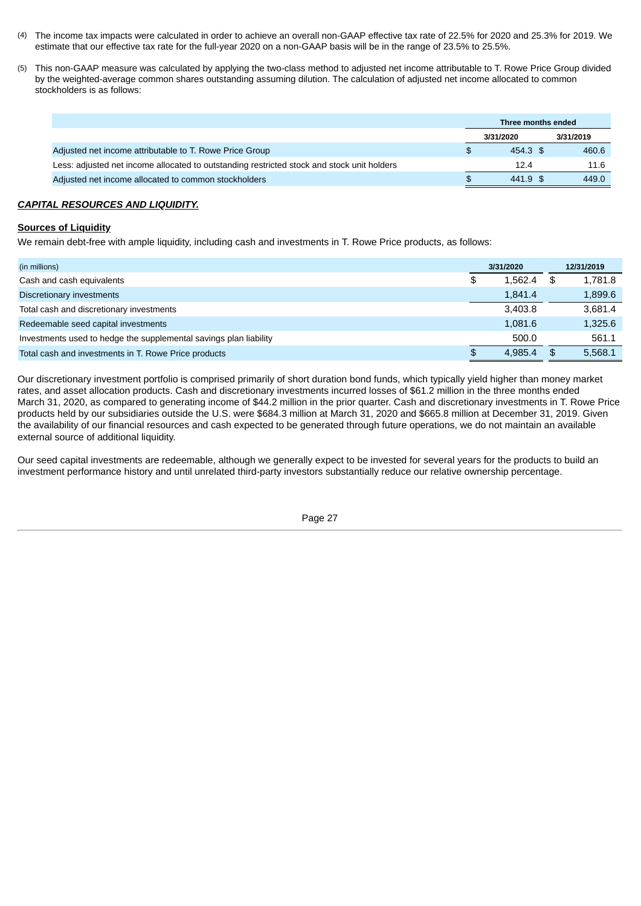- (4) The income tax impacts were calculated in order to achieve an overall non-GAAP effective tax rate of 22.5% for 2020 and 25.3% for 2019. We estimate that our effective tax rate for the full-year 2020 on a non-GAAP basis will be in the range of 23.5% to 25.5%.
- (5) This non-GAAP measure was calculated by applying the two-class method to adjusted net income attributable to T. Rowe Price Group divided by the weighted-average common shares outstanding assuming dilution. The calculation of adjusted net income allocated to common stockholders is as follows:

|                                                                                            | Three months ended |                     |           |  |  |
|--------------------------------------------------------------------------------------------|--------------------|---------------------|-----------|--|--|
|                                                                                            |                    | 3/31/2020           | 3/31/2019 |  |  |
| Adjusted net income attributable to T. Rowe Price Group                                    | \$                 | $454.3 \text{ }$ \$ | 460.6     |  |  |
| Less: adjusted net income allocated to outstanding restricted stock and stock unit holders |                    | 12.4                | 11.6      |  |  |
| Adjusted net income allocated to common stockholders                                       | \$                 | 441.9 \$            | 449.0     |  |  |

#### *CAPITAL RESOURCES AND LIQUIDITY.*

#### **Sources of Liquidity**

We remain debt-free with ample liquidity, including cash and investments in T. Rowe Price products, as follows:

| (in millions)                                                     | 3/31/2020     |     | 12/31/2019 |
|-------------------------------------------------------------------|---------------|-----|------------|
| Cash and cash equivalents                                         | \$<br>1.562.4 | \$  | 1,781.8    |
| Discretionary investments                                         | 1,841.4       |     | 1,899.6    |
| Total cash and discretionary investments                          | 3.403.8       |     | 3,681.4    |
| Redeemable seed capital investments                               | 1,081.6       |     | 1,325.6    |
| Investments used to hedge the supplemental savings plan liability | 500.0         |     | 561.1      |
| Total cash and investments in T. Rowe Price products              | \$<br>4.985.4 | -SS | 5,568.1    |

Our discretionary investment portfolio is comprised primarily of short duration bond funds, which typically yield higher than money market rates, and asset allocation products. Cash and discretionary investments incurred losses of \$61.2 million in the three months ended March 31, 2020, as compared to generating income of \$44.2 million in the prior quarter. Cash and discretionary investments in T. Rowe Price products held by our subsidiaries outside the U.S. were \$684.3 million at March 31, 2020 and \$665.8 million at December 31, 2019. Given the availability of our financial resources and cash expected to be generated through future operations, we do not maintain an available external source of additional liquidity.

Our seed capital investments are redeemable, although we generally expect to be invested for several years for the products to build an investment performance history and until unrelated third-party investors substantially reduce our relative ownership percentage.

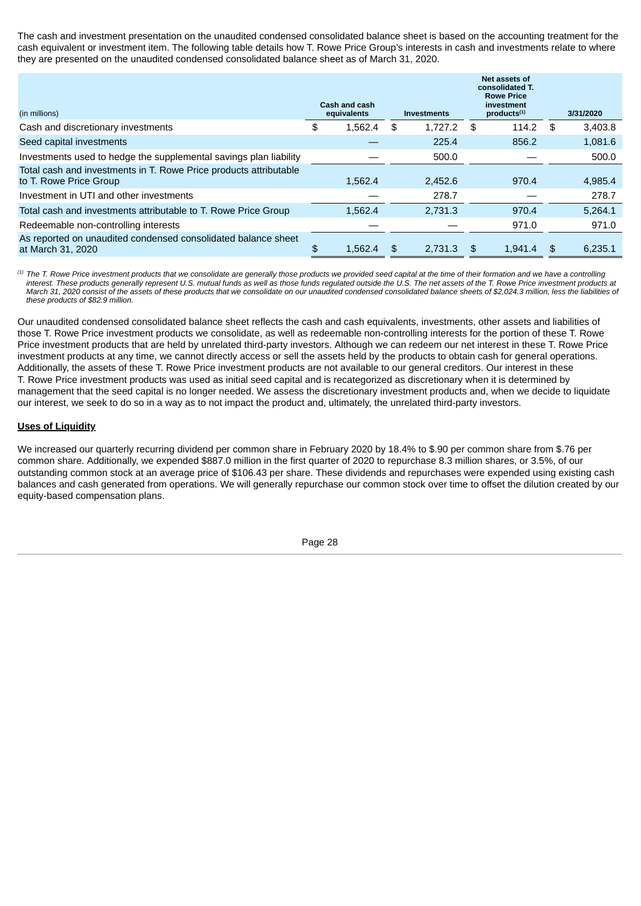The cash and investment presentation on the unaudited condensed consolidated balance sheet is based on the accounting treatment for the cash equivalent or investment item. The following table details how T. Rowe Price Group's interests in cash and investments relate to where they are presented on the unaudited condensed consolidated balance sheet as of March 31, 2020.

| (in millions)                                                                               | Cash and cash<br>equivalents |     | <b>Investments</b> | Net assets of<br>consolidated T.<br><b>Rowe Price</b><br>investment<br>products <sup>(1)</sup> | 3/31/2020     |
|---------------------------------------------------------------------------------------------|------------------------------|-----|--------------------|------------------------------------------------------------------------------------------------|---------------|
| Cash and discretionary investments                                                          | \$<br>1,562.4                | \$  | 1,727.2            | \$<br>114.2                                                                                    | \$<br>3,403.8 |
| Seed capital investments                                                                    |                              |     | 225.4              | 856.2                                                                                          | 1,081.6       |
| Investments used to hedge the supplemental savings plan liability                           |                              |     | 500.0              |                                                                                                | 500.0         |
| Total cash and investments in T. Rowe Price products attributable<br>to T. Rowe Price Group | 1,562.4                      |     | 2,452.6            | 970.4                                                                                          | 4,985.4       |
| Investment in UTI and other investments                                                     |                              |     | 278.7              |                                                                                                | 278.7         |
| Total cash and investments attributable to T. Rowe Price Group                              | 1,562.4                      |     | 2,731.3            | 970.4                                                                                          | 5,264.1       |
| Redeemable non-controlling interests                                                        |                              |     |                    | 971.0                                                                                          | 971.0         |
| As reported on unaudited condensed consolidated balance sheet<br>at March 31, 2020          | \$<br>1.562.4                | \$. | 2.731.3            | \$<br>1.941.4                                                                                  | \$<br>6,235.1 |

(1) The T. Rowe Price investment products that we consolidate are generally those products we provided seed capital at the time of their formation and we have a controlling interest. These products generally represent U.S. mutual funds as well as those funds regulated outside the U.S. The net assets of the T. Rowe Price investment products at March 31, 2020 consist of the assets of these products that we consolidate on our unaudited condensed consolidated balance sheets of \$2,024.3 million, less the liabilities of *these products of \$82.9 million.*

Our unaudited condensed consolidated balance sheet reflects the cash and cash equivalents, investments, other assets and liabilities of those T. Rowe Price investment products we consolidate, as well as redeemable non-controlling interests for the portion of these T. Rowe Price investment products that are held by unrelated third-party investors. Although we can redeem our net interest in these T. Rowe Price investment products at any time, we cannot directly access or sell the assets held by the products to obtain cash for general operations. Additionally, the assets of these T. Rowe Price investment products are not available to our general creditors. Our interest in these T. Rowe Price investment products was used as initial seed capital and is recategorized as discretionary when it is determined by management that the seed capital is no longer needed. We assess the discretionary investment products and, when we decide to liquidate our interest, we seek to do so in a way as to not impact the product and, ultimately, the unrelated third-party investors.

#### **Uses of Liquidity**

We increased our quarterly recurring dividend per common share in February 2020 by 18.4% to \$.90 per common share from \$.76 per common share. Additionally, we expended \$887.0 million in the first quarter of 2020 to repurchase 8.3 million shares, or 3.5%, of our outstanding common stock at an average price of \$106.43 per share. These dividends and repurchases were expended using existing cash balances and cash generated from operations. We will generally repurchase our common stock over time to offset the dilution created by our equity-based compensation plans.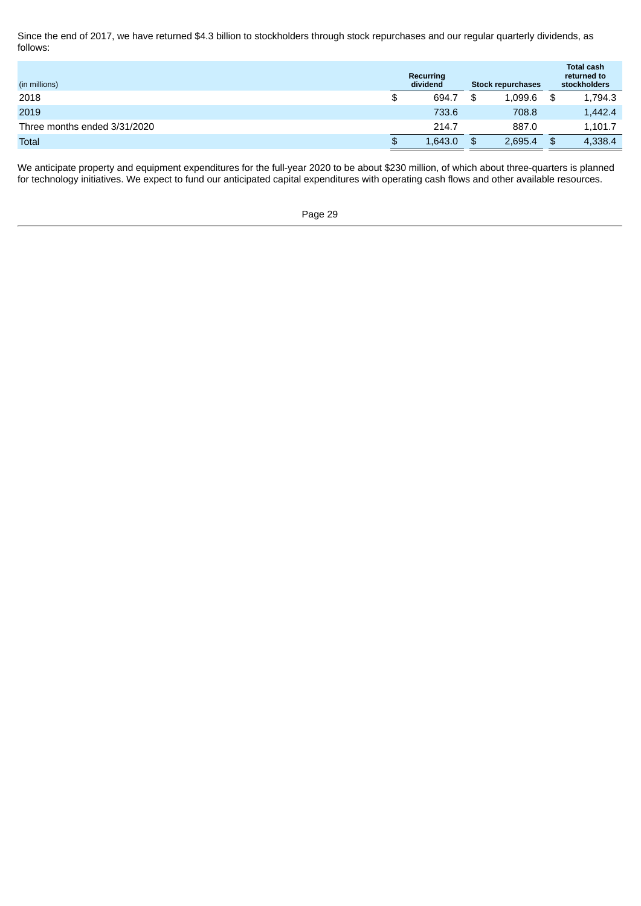Since the end of 2017, we have returned \$4.3 billion to stockholders through stock repurchases and our regular quarterly dividends, as follows:

| (in millions)                | <b>Recurring</b><br>dividend<br><b>Stock repurchases</b> |         |    |         | <b>Total cash</b><br>returned to<br>stockholders |         |  |
|------------------------------|----------------------------------------------------------|---------|----|---------|--------------------------------------------------|---------|--|
| 2018                         | \$                                                       | 694.7   | \$ | 1.099.6 | \$                                               | 1,794.3 |  |
| 2019                         |                                                          | 733.6   |    | 708.8   |                                                  | 1,442.4 |  |
| Three months ended 3/31/2020 |                                                          | 214.7   |    | 887.0   |                                                  | 1,101.7 |  |
| <b>Total</b>                 | \$                                                       | 1,643.0 | \$ | 2,695.4 |                                                  | 4,338.4 |  |

We anticipate property and equipment expenditures for the full-year 2020 to be about \$230 million, of which about three-quarters is planned for technology initiatives. We expect to fund our anticipated capital expenditures with operating cash flows and other available resources.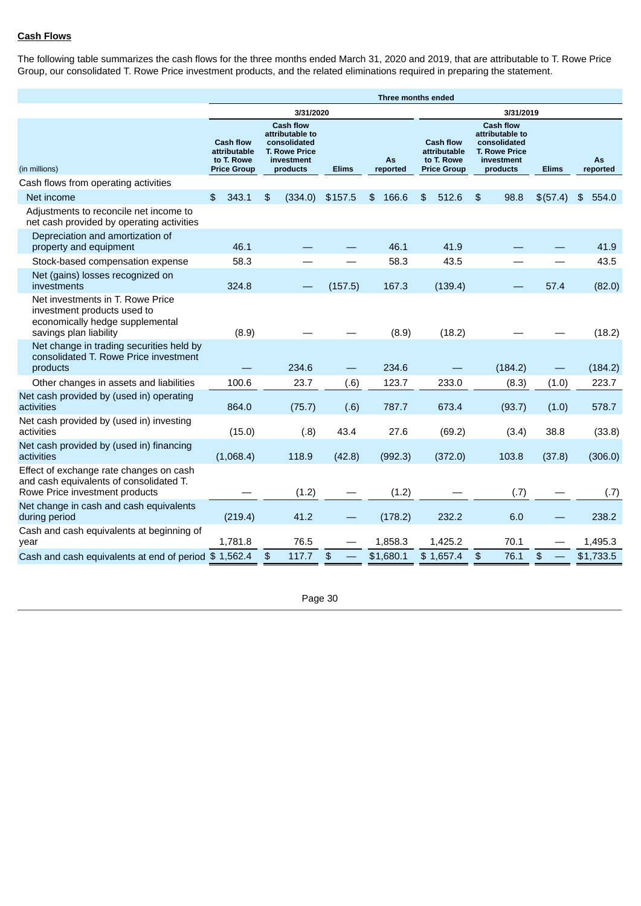## **Cash Flows**

The following table summarizes the cash flows for the three months ended March 31, 2020 and 2019, that are attributable to T. Rowe Price Group, our consolidated T. Rowe Price investment products, and the related eliminations required in preparing the statement.

|                                                                                                                              |                                                                      |                                                                                                       |              |                | Three months ended                                                   |                                                                                                       |                       |                |
|------------------------------------------------------------------------------------------------------------------------------|----------------------------------------------------------------------|-------------------------------------------------------------------------------------------------------|--------------|----------------|----------------------------------------------------------------------|-------------------------------------------------------------------------------------------------------|-----------------------|----------------|
|                                                                                                                              |                                                                      | 3/31/2020                                                                                             |              |                |                                                                      | 3/31/2019                                                                                             |                       |                |
| (in millions)                                                                                                                | <b>Cash flow</b><br>attributable<br>to T. Rowe<br><b>Price Group</b> | <b>Cash flow</b><br>attributable to<br>consolidated<br><b>T. Rowe Price</b><br>investment<br>products | <b>Elims</b> | As<br>reported | <b>Cash flow</b><br>attributable<br>to T. Rowe<br><b>Price Group</b> | <b>Cash flow</b><br>attributable to<br>consolidated<br><b>T. Rowe Price</b><br>investment<br>products | <b>Elims</b>          | As<br>reported |
| Cash flows from operating activities                                                                                         |                                                                      |                                                                                                       |              |                |                                                                      |                                                                                                       |                       |                |
| Net income                                                                                                                   | \$<br>343.1                                                          | \$<br>(334.0)                                                                                         | \$157.5      | 166.6<br>\$    | 512.6<br>\$                                                          | \$<br>98.8                                                                                            | \$(57.4)              | 554.0<br>\$    |
| Adjustments to reconcile net income to<br>net cash provided by operating activities                                          |                                                                      |                                                                                                       |              |                |                                                                      |                                                                                                       |                       |                |
| Depreciation and amortization of<br>property and equipment                                                                   | 46.1                                                                 |                                                                                                       |              | 46.1           | 41.9                                                                 |                                                                                                       |                       | 41.9           |
| Stock-based compensation expense                                                                                             | 58.3                                                                 |                                                                                                       |              | 58.3           | 43.5                                                                 |                                                                                                       |                       | 43.5           |
| Net (gains) losses recognized on<br>investments                                                                              | 324.8                                                                |                                                                                                       | (157.5)      | 167.3          | (139.4)                                                              |                                                                                                       | 57.4                  | (82.0)         |
| Net investments in T. Rowe Price<br>investment products used to<br>economically hedge supplemental<br>savings plan liability | (8.9)                                                                |                                                                                                       |              | (8.9)          | (18.2)                                                               |                                                                                                       |                       | (18.2)         |
| Net change in trading securities held by<br>consolidated T. Rowe Price investment<br>products                                |                                                                      | 234.6                                                                                                 |              | 234.6          |                                                                      | (184.2)                                                                                               |                       | (184.2)        |
| Other changes in assets and liabilities                                                                                      | 100.6                                                                | 23.7                                                                                                  | (.6)         | 123.7          | 233.0                                                                | (8.3)                                                                                                 | (1.0)                 | 223.7          |
| Net cash provided by (used in) operating<br>activities                                                                       | 864.0                                                                | (75.7)                                                                                                | (.6)         | 787.7          | 673.4                                                                | (93.7)                                                                                                | (1.0)                 | 578.7          |
| Net cash provided by (used in) investing<br>activities                                                                       | (15.0)                                                               | (.8)                                                                                                  | 43.4         | 27.6           | (69.2)                                                               | (3.4)                                                                                                 | 38.8                  | (33.8)         |
| Net cash provided by (used in) financing<br>activities                                                                       | (1,068.4)                                                            | 118.9                                                                                                 | (42.8)       | (992.3)        | (372.0)                                                              | 103.8                                                                                                 | (37.8)                | (306.0)        |
| Effect of exchange rate changes on cash<br>and cash equivalents of consolidated T.<br>Rowe Price investment products         |                                                                      | (1.2)                                                                                                 |              | (1.2)          |                                                                      | (.7)                                                                                                  |                       | (.7)           |
| Net change in cash and cash equivalents<br>during period                                                                     | (219.4)                                                              | 41.2                                                                                                  |              | (178.2)        | 232.2                                                                | 6.0                                                                                                   |                       | 238.2          |
| Cash and cash equivalents at beginning of<br>year                                                                            | 1,781.8                                                              | 76.5                                                                                                  |              | 1,858.3        | 1,425.2                                                              | 70.1                                                                                                  |                       | 1,495.3        |
| Cash and cash equivalents at end of period \$1,562.4                                                                         |                                                                      | 117.7<br>\$                                                                                           | \$           | \$1,680.1      | \$1,657.4                                                            | \$<br>76.1                                                                                            | $\boldsymbol{\theta}$ | \$1,733.5      |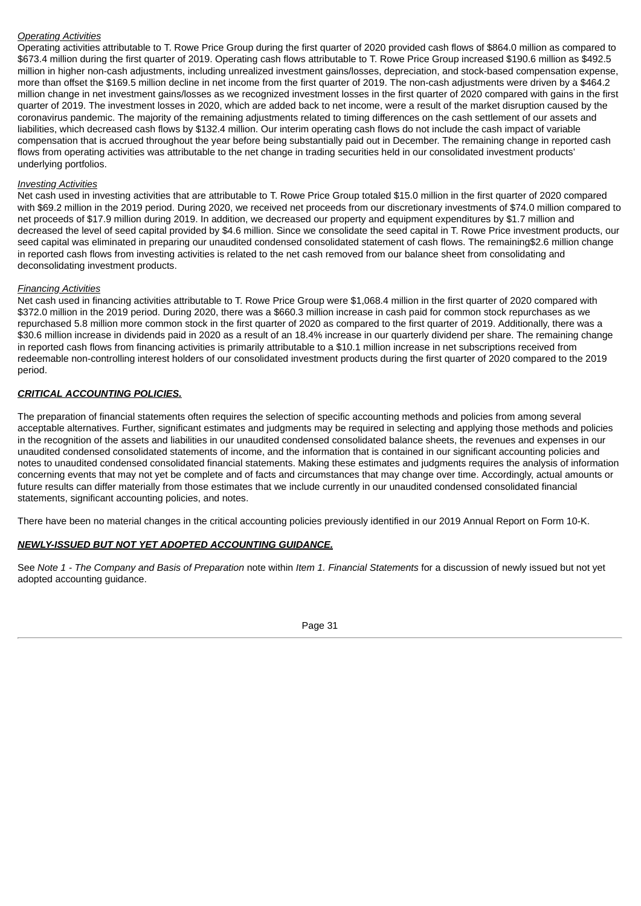#### *Operating Activities*

Operating activities attributable to T. Rowe Price Group during the first quarter of 2020 provided cash flows of \$864.0 million as compared to \$673.4 million during the first quarter of 2019. Operating cash flows attributable to T. Rowe Price Group increased \$190.6 million as \$492.5 million in higher non-cash adjustments, including unrealized investment gains/losses, depreciation, and stock-based compensation expense, more than offset the \$169.5 million decline in net income from the first quarter of 2019. The non-cash adjustments were driven by a \$464.2 million change in net investment gains/losses as we recognized investment losses in the first quarter of 2020 compared with gains in the first quarter of 2019. The investment losses in 2020, which are added back to net income, were a result of the market disruption caused by the coronavirus pandemic. The majority of the remaining adjustments related to timing differences on the cash settlement of our assets and liabilities, which decreased cash flows by \$132.4 million. Our interim operating cash flows do not include the cash impact of variable compensation that is accrued throughout the year before being substantially paid out in December. The remaining change in reported cash flows from operating activities was attributable to the net change in trading securities held in our consolidated investment products' underlying portfolios.

#### *Investing Activities*

Net cash used in investing activities that are attributable to T. Rowe Price Group totaled \$15.0 million in the first quarter of 2020 compared with \$69.2 million in the 2019 period. During 2020, we received net proceeds from our discretionary investments of \$74.0 million compared to net proceeds of \$17.9 million during 2019. In addition, we decreased our property and equipment expenditures by \$1.7 million and decreased the level of seed capital provided by \$4.6 million. Since we consolidate the seed capital in T. Rowe Price investment products, our seed capital was eliminated in preparing our unaudited condensed consolidated statement of cash flows. The remaining\$2.6 million change in reported cash flows from investing activities is related to the net cash removed from our balance sheet from consolidating and deconsolidating investment products.

#### *Financing Activities*

Net cash used in financing activities attributable to T. Rowe Price Group were \$1,068.4 million in the first quarter of 2020 compared with \$372.0 million in the 2019 period. During 2020, there was a \$660.3 million increase in cash paid for common stock repurchases as we repurchased 5.8 million more common stock in the first quarter of 2020 as compared to the first quarter of 2019. Additionally, there was a \$30.6 million increase in dividends paid in 2020 as a result of an 18.4% increase in our quarterly dividend per share. The remaining change in reported cash flows from financing activities is primarily attributable to a \$10.1 million increase in net subscriptions received from redeemable non-controlling interest holders of our consolidated investment products during the first quarter of 2020 compared to the 2019 period.

#### *CRITICAL ACCOUNTING POLICIES.*

The preparation of financial statements often requires the selection of specific accounting methods and policies from among several acceptable alternatives. Further, significant estimates and judgments may be required in selecting and applying those methods and policies in the recognition of the assets and liabilities in our unaudited condensed consolidated balance sheets, the revenues and expenses in our unaudited condensed consolidated statements of income, and the information that is contained in our significant accounting policies and notes to unaudited condensed consolidated financial statements. Making these estimates and judgments requires the analysis of information concerning events that may not yet be complete and of facts and circumstances that may change over time. Accordingly, actual amounts or future results can differ materially from those estimates that we include currently in our unaudited condensed consolidated financial statements, significant accounting policies, and notes.

There have been no material changes in the critical accounting policies previously identified in our 2019 Annual Report on Form 10-K.

#### *NEWLY-ISSUED BUT NOT YET ADOPTED ACCOUNTING GUIDANCE.*

See Note 1 - The Company and Basis of Preparation note within Item 1. Financial Statements for a discussion of newly issued but not yet adopted accounting guidance.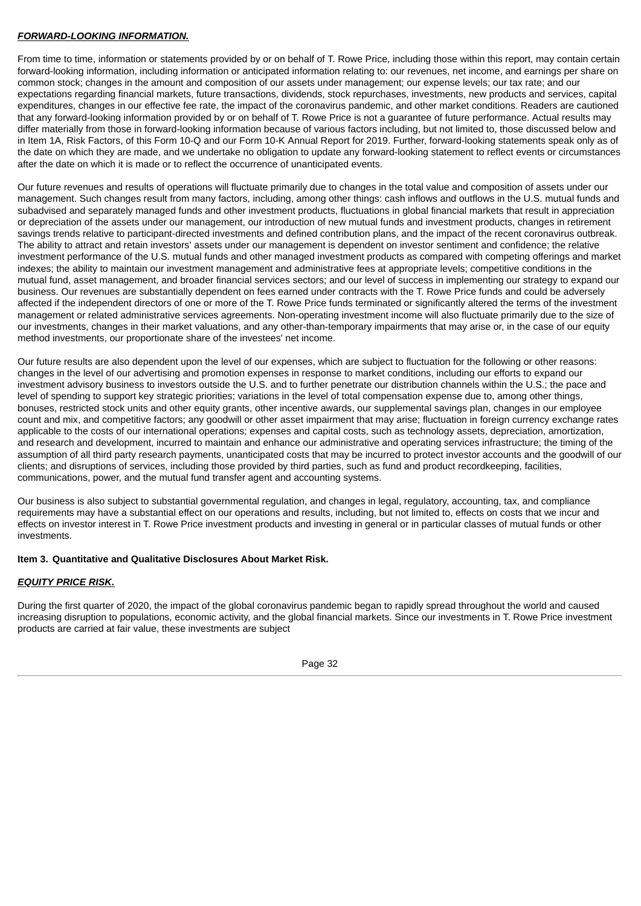#### *FORWARD-LOOKING INFORMATION.*

From time to time, information or statements provided by or on behalf of T. Rowe Price, including those within this report, may contain certain forward-looking information, including information or anticipated information relating to: our revenues, net income, and earnings per share on common stock; changes in the amount and composition of our assets under management; our expense levels; our tax rate; and our expectations regarding financial markets, future transactions, dividends, stock repurchases, investments, new products and services, capital expenditures, changes in our effective fee rate, the impact of the coronavirus pandemic, and other market conditions. Readers are cautioned that any forward-looking information provided by or on behalf of T. Rowe Price is not a guarantee of future performance. Actual results may differ materially from those in forward-looking information because of various factors including, but not limited to, those discussed below and in Item 1A, Risk Factors, of this Form 10-Q and our Form 10-K Annual Report for 2019. Further, forward-looking statements speak only as of the date on which they are made, and we undertake no obligation to update any forward-looking statement to reflect events or circumstances after the date on which it is made or to reflect the occurrence of unanticipated events.

Our future revenues and results of operations will fluctuate primarily due to changes in the total value and composition of assets under our management. Such changes result from many factors, including, among other things: cash inflows and outflows in the U.S. mutual funds and subadvised and separately managed funds and other investment products, fluctuations in global financial markets that result in appreciation or depreciation of the assets under our management, our introduction of new mutual funds and investment products, changes in retirement savings trends relative to participant-directed investments and defined contribution plans, and the impact of the recent coronavirus outbreak. The ability to attract and retain investors' assets under our management is dependent on investor sentiment and confidence; the relative investment performance of the U.S. mutual funds and other managed investment products as compared with competing offerings and market indexes; the ability to maintain our investment management and administrative fees at appropriate levels; competitive conditions in the mutual fund, asset management, and broader financial services sectors; and our level of success in implementing our strategy to expand our business. Our revenues are substantially dependent on fees earned under contracts with the T. Rowe Price funds and could be adversely affected if the independent directors of one or more of the T. Rowe Price funds terminated or significantly altered the terms of the investment management or related administrative services agreements. Non-operating investment income will also fluctuate primarily due to the size of our investments, changes in their market valuations, and any other-than-temporary impairments that may arise or, in the case of our equity method investments, our proportionate share of the investees' net income.

Our future results are also dependent upon the level of our expenses, which are subject to fluctuation for the following or other reasons: changes in the level of our advertising and promotion expenses in response to market conditions, including our efforts to expand our investment advisory business to investors outside the U.S. and to further penetrate our distribution channels within the U.S.; the pace and level of spending to support key strategic priorities; variations in the level of total compensation expense due to, among other things, bonuses, restricted stock units and other equity grants, other incentive awards, our supplemental savings plan, changes in our employee count and mix, and competitive factors; any goodwill or other asset impairment that may arise; fluctuation in foreign currency exchange rates applicable to the costs of our international operations; expenses and capital costs, such as technology assets, depreciation, amortization, and research and development, incurred to maintain and enhance our administrative and operating services infrastructure; the timing of the assumption of all third party research payments, unanticipated costs that may be incurred to protect investor accounts and the goodwill of our clients; and disruptions of services, including those provided by third parties, such as fund and product recordkeeping, facilities, communications, power, and the mutual fund transfer agent and accounting systems.

Our business is also subject to substantial governmental regulation, and changes in legal, regulatory, accounting, tax, and compliance requirements may have a substantial effect on our operations and results, including, but not limited to, effects on costs that we incur and effects on investor interest in T. Rowe Price investment products and investing in general or in particular classes of mutual funds or other investments.

### **Item 3. Quantitative and Qualitative Disclosures About Market Risk.**

#### *EQUITY PRICE RISK.*

During the first quarter of 2020, the impact of the global coronavirus pandemic began to rapidly spread throughout the world and caused increasing disruption to populations, economic activity, and the global financial markets. Since our investments in T. Rowe Price investment products are carried at fair value, these investments are subject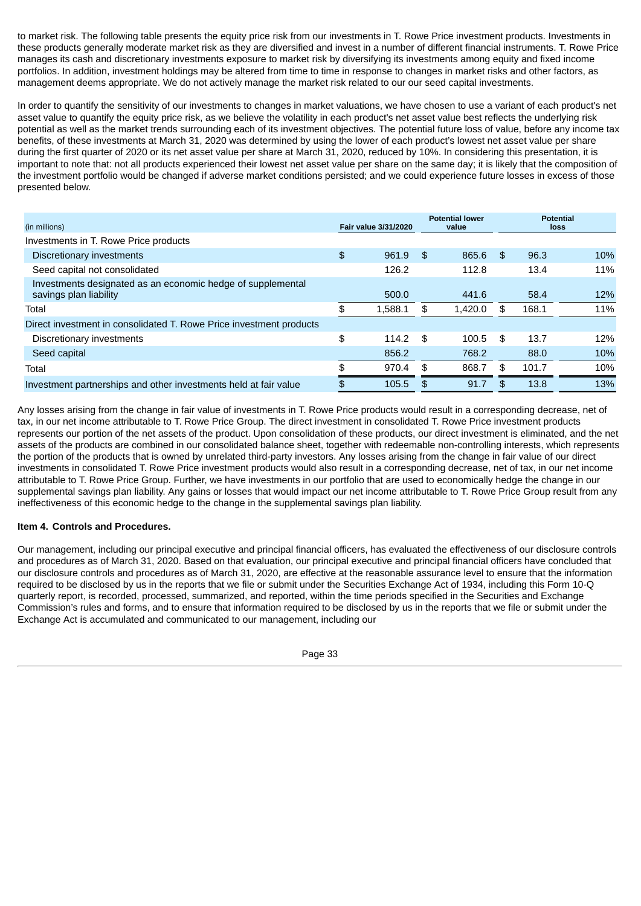to market risk. The following table presents the equity price risk from our investments in T. Rowe Price investment products. Investments in these products generally moderate market risk as they are diversified and invest in a number of different financial instruments. T. Rowe Price manages its cash and discretionary investments exposure to market risk by diversifying its investments among equity and fixed income portfolios. In addition, investment holdings may be altered from time to time in response to changes in market risks and other factors, as management deems appropriate. We do not actively manage the market risk related to our our seed capital investments.

In order to quantify the sensitivity of our investments to changes in market valuations, we have chosen to use a variant of each product's net asset value to quantify the equity price risk, as we believe the volatility in each product's net asset value best reflects the underlying risk potential as well as the market trends surrounding each of its investment objectives. The potential future loss of value, before any income tax benefits, of these investments at March 31, 2020 was determined by using the lower of each product's lowest net asset value per share during the first quarter of 2020 or its net asset value per share at March 31, 2020, reduced by 10%. In considering this presentation, it is important to note that: not all products experienced their lowest net asset value per share on the same day; it is likely that the composition of the investment portfolio would be changed if adverse market conditions persisted; and we could experience future losses in excess of those presented below.

| (in millions)                                                                         | <b>Fair value 3/31/2020</b> | <b>Potential lower</b><br>value |             | <b>Potential</b><br><b>loss</b> |
|---------------------------------------------------------------------------------------|-----------------------------|---------------------------------|-------------|---------------------------------|
| Investments in T. Rowe Price products                                                 |                             |                                 |             |                                 |
| Discretionary investments                                                             | \$<br>961.9                 | \$<br>865.6                     | \$<br>96.3  | 10%                             |
| Seed capital not consolidated                                                         | 126.2                       | 112.8                           | 13.4        | 11%                             |
| Investments designated as an economic hedge of supplemental<br>savings plan liability | 500.0                       | 441.6                           | 58.4        | 12%                             |
| Total                                                                                 | \$<br>1,588.1               | \$<br>1,420.0                   | \$<br>168.1 | 11%                             |
| Direct investment in consolidated T. Rowe Price investment products                   |                             |                                 |             |                                 |
| Discretionary investments                                                             | \$<br>114.2                 | \$<br>100.5                     | \$<br>13.7  | 12%                             |
| Seed capital                                                                          | 856.2                       | 768.2                           | 88.0        | 10%                             |
| Total                                                                                 | \$<br>970.4                 | \$<br>868.7                     | \$<br>101.7 | 10%                             |
| Investment partnerships and other investments held at fair value                      | \$<br>105.5                 | \$<br>91.7                      | \$<br>13.8  | 13%                             |

Any losses arising from the change in fair value of investments in T. Rowe Price products would result in a corresponding decrease, net of tax, in our net income attributable to T. Rowe Price Group. The direct investment in consolidated T. Rowe Price investment products represents our portion of the net assets of the product. Upon consolidation of these products, our direct investment is eliminated, and the net assets of the products are combined in our consolidated balance sheet, together with redeemable non-controlling interests, which represents the portion of the products that is owned by unrelated third-party investors. Any losses arising from the change in fair value of our direct investments in consolidated T. Rowe Price investment products would also result in a corresponding decrease, net of tax, in our net income attributable to T. Rowe Price Group. Further, we have investments in our portfolio that are used to economically hedge the change in our supplemental savings plan liability. Any gains or losses that would impact our net income attributable to T. Rowe Price Group result from any ineffectiveness of this economic hedge to the change in the supplemental savings plan liability.

#### **Item 4. Controls and Procedures.**

Our management, including our principal executive and principal financial officers, has evaluated the effectiveness of our disclosure controls and procedures as of March 31, 2020. Based on that evaluation, our principal executive and principal financial officers have concluded that our disclosure controls and procedures as of March 31, 2020, are effective at the reasonable assurance level to ensure that the information required to be disclosed by us in the reports that we file or submit under the Securities Exchange Act of 1934, including this Form 10-Q quarterly report, is recorded, processed, summarized, and reported, within the time periods specified in the Securities and Exchange Commission's rules and forms, and to ensure that information required to be disclosed by us in the reports that we file or submit under the Exchange Act is accumulated and communicated to our management, including our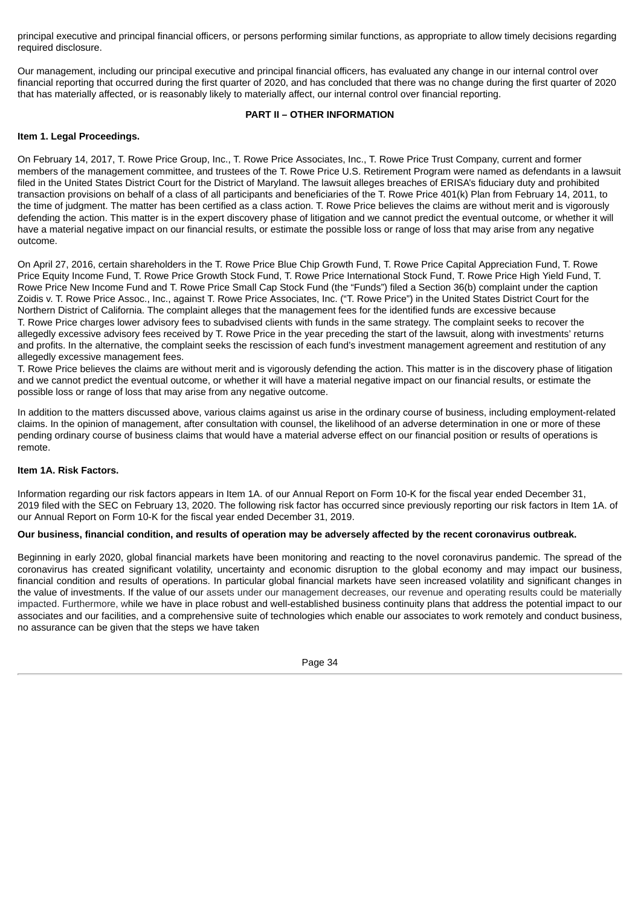principal executive and principal financial officers, or persons performing similar functions, as appropriate to allow timely decisions regarding required disclosure.

Our management, including our principal executive and principal financial officers, has evaluated any change in our internal control over financial reporting that occurred during the first quarter of 2020, and has concluded that there was no change during the first quarter of 2020 that has materially affected, or is reasonably likely to materially affect, our internal control over financial reporting.

#### **PART II – OTHER INFORMATION**

#### **Item 1. Legal Proceedings.**

On February 14, 2017, T. Rowe Price Group, Inc., T. Rowe Price Associates, Inc., T. Rowe Price Trust Company, current and former members of the management committee, and trustees of the T. Rowe Price U.S. Retirement Program were named as defendants in a lawsuit filed in the United States District Court for the District of Maryland. The lawsuit alleges breaches of ERISA's fiduciary duty and prohibited transaction provisions on behalf of a class of all participants and beneficiaries of the T. Rowe Price 401(k) Plan from February 14, 2011, to the time of judgment. The matter has been certified as a class action. T. Rowe Price believes the claims are without merit and is vigorously defending the action. This matter is in the expert discovery phase of litigation and we cannot predict the eventual outcome, or whether it will have a material negative impact on our financial results, or estimate the possible loss or range of loss that may arise from any negative outcome.

On April 27, 2016, certain shareholders in the T. Rowe Price Blue Chip Growth Fund, T. Rowe Price Capital Appreciation Fund, T. Rowe Price Equity Income Fund, T. Rowe Price Growth Stock Fund, T. Rowe Price International Stock Fund, T. Rowe Price High Yield Fund, T. Rowe Price New Income Fund and T. Rowe Price Small Cap Stock Fund (the "Funds") filed a Section 36(b) complaint under the caption Zoidis v. T. Rowe Price Assoc., Inc., against T. Rowe Price Associates, Inc. ("T. Rowe Price") in the United States District Court for the Northern District of California. The complaint alleges that the management fees for the identified funds are excessive because T. Rowe Price charges lower advisory fees to subadvised clients with funds in the same strategy. The complaint seeks to recover the allegedly excessive advisory fees received by T. Rowe Price in the year preceding the start of the lawsuit, along with investments' returns and profits. In the alternative, the complaint seeks the rescission of each fund's investment management agreement and restitution of any allegedly excessive management fees.

T. Rowe Price believes the claims are without merit and is vigorously defending the action. This matter is in the discovery phase of litigation and we cannot predict the eventual outcome, or whether it will have a material negative impact on our financial results, or estimate the possible loss or range of loss that may arise from any negative outcome.

In addition to the matters discussed above, various claims against us arise in the ordinary course of business, including employment-related claims. In the opinion of management, after consultation with counsel, the likelihood of an adverse determination in one or more of these pending ordinary course of business claims that would have a material adverse effect on our financial position or results of operations is remote.

#### **Item 1A. Risk Factors.**

Information regarding our risk factors appears in Item 1A. of our Annual Report on Form 10-K for the fiscal year ended December 31, 2019 filed with the SEC on February 13, 2020. The following risk factor has occurred since previously reporting our risk factors in Item 1A. of our Annual Report on Form 10-K for the fiscal year ended December 31, 2019.

#### Our business, financial condition, and results of operation may be adversely affected by the recent coronavirus outbreak.

Beginning in early 2020, global financial markets have been monitoring and reacting to the novel coronavirus pandemic. The spread of the coronavirus has created significant volatility, uncertainty and economic disruption to the global economy and may impact our business, financial condition and results of operations. In particular global financial markets have seen increased volatility and significant changes in the value of investments. If the value of our assets under our management decreases, our revenue and operating results could be materially impacted. Furthermore, while we have in place robust and well-established business continuity plans that address the potential impact to our associates and our facilities, and a comprehensive suite of technologies which enable our associates to work remotely and conduct business, no assurance can be given that the steps we have taken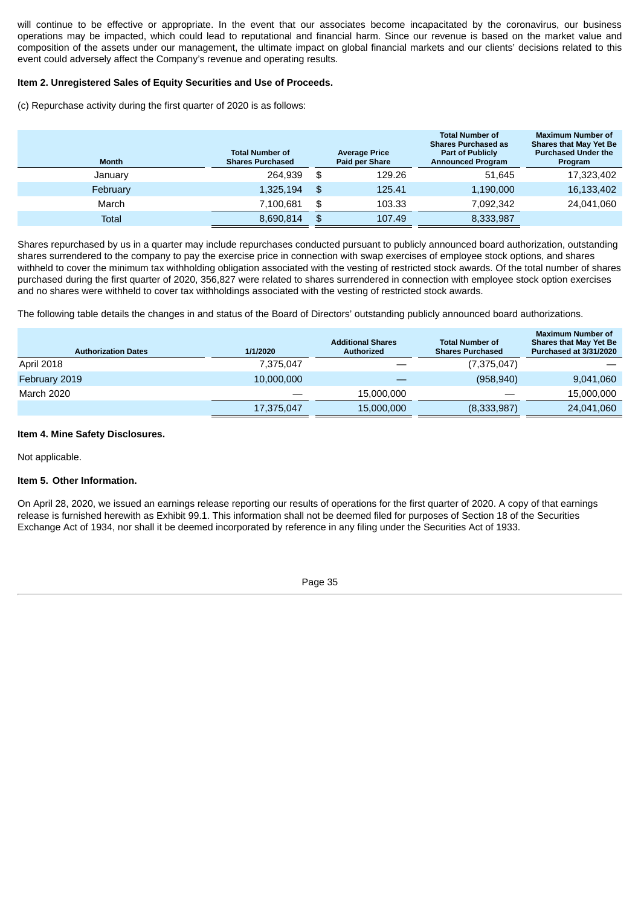will continue to be effective or appropriate. In the event that our associates become incapacitated by the coronavirus, our business operations may be impacted, which could lead to reputational and financial harm. Since our revenue is based on the market value and composition of the assets under our management, the ultimate impact on global financial markets and our clients' decisions related to this event could adversely affect the Company's revenue and operating results.

#### **Item 2. Unregistered Sales of Equity Securities and Use of Proceeds.**

(c) Repurchase activity during the first quarter of 2020 is as follows:

| Month    | <b>Total Number of</b><br><b>Shares Purchased</b> | <b>Average Price</b><br>Paid per Share | <b>Total Number of</b><br><b>Shares Purchased as</b><br><b>Part of Publicly</b><br><b>Announced Program</b> | <b>Maximum Number of</b><br><b>Shares that May Yet Be</b><br><b>Purchased Under the</b><br>Program |
|----------|---------------------------------------------------|----------------------------------------|-------------------------------------------------------------------------------------------------------------|----------------------------------------------------------------------------------------------------|
| January  | 264.939                                           | \$<br>129.26                           | 51.645                                                                                                      | 17,323,402                                                                                         |
| February | 1,325,194                                         | \$<br>125.41                           | 1,190,000                                                                                                   | 16,133,402                                                                                         |
| March    | 7.100.681                                         | \$<br>103.33                           | 7.092.342                                                                                                   | 24,041,060                                                                                         |
| Total    | 8.690.814                                         | \$<br>107.49                           | 8,333,987                                                                                                   |                                                                                                    |

Shares repurchased by us in a quarter may include repurchases conducted pursuant to publicly announced board authorization, outstanding shares surrendered to the company to pay the exercise price in connection with swap exercises of employee stock options, and shares withheld to cover the minimum tax withholding obligation associated with the vesting of restricted stock awards. Of the total number of shares purchased during the first quarter of 2020, 356,827 were related to shares surrendered in connection with employee stock option exercises and no shares were withheld to cover tax withholdings associated with the vesting of restricted stock awards.

The following table details the changes in and status of the Board of Directors' outstanding publicly announced board authorizations.

| <b>Authorization Dates</b> | 1/1/2020   | <b>Additional Shares</b><br>Authorized | <b>Total Number of</b><br><b>Shares Purchased</b> | <b>Maximum Number of</b><br><b>Shares that May Yet Be</b><br><b>Purchased at 3/31/2020</b> |
|----------------------------|------------|----------------------------------------|---------------------------------------------------|--------------------------------------------------------------------------------------------|
| April 2018                 | 7,375,047  |                                        | (7, 375, 047)                                     |                                                                                            |
| February 2019              | 10,000,000 |                                        | (958, 940)                                        | 9,041,060                                                                                  |
| March 2020                 |            | 15,000,000                             |                                                   | 15,000,000                                                                                 |
|                            | 17,375,047 | 15,000,000                             | (8,333,987)                                       | 24,041,060                                                                                 |

#### **Item 4. Mine Safety Disclosures.**

Not applicable.

#### **Item 5. Other Information.**

On April 28, 2020, we issued an earnings release reporting our results of operations for the first quarter of 2020. A copy of that earnings release is furnished herewith as Exhibit 99.1. This information shall not be deemed filed for purposes of Section 18 of the Securities Exchange Act of 1934, nor shall it be deemed incorporated by reference in any filing under the Securities Act of 1933.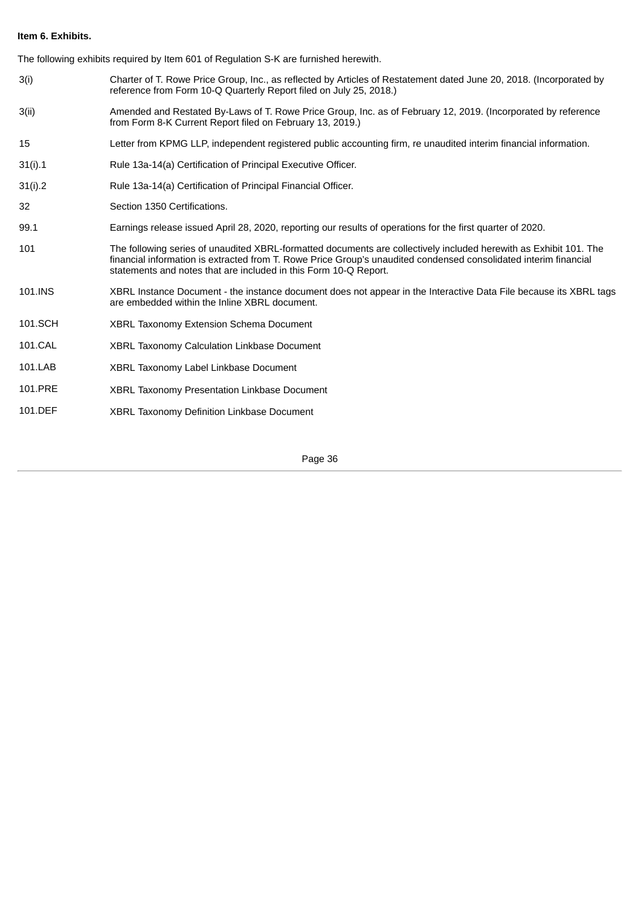#### **Item 6. Exhibits.**

The following exhibits required by Item 601 of Regulation S-K are furnished herewith.

- 3(i) Charter of T. Rowe Price Group, Inc., as reflected by Articles of Restatement dated June 20, 2018. [\(Incorporated](http://www.sec.gov/Archives/edgar/data/1113169/000111316918000018/articlesofrestatementfin.htm) by reference from Form 10-Q Quarterly Report filed on July 25, 2018.)
- 3(ii) Amended and Restated By-Laws of T. Rowe Price Group, Inc. as of February 12, 2019. [\(Incorporated](http://www.sec.gov/Archives/edgar/data/1113169/000111316919000007/trpgamendedandrestatedbyla.htm) by reference from Form 8-K Current Report filed on February 13, 2019.)
- 15 Letter from KPMG LLP, [independent](#page-37-0) registered public accounting firm, re unaudited interim financial information.
- 31(i).1 Rule 13a-14(a) [Certification](#page-38-0) of Principal Executive Officer.
- 31(i).2 Rule 13a-14(a) [Certification](#page-39-0) of Principal Financial Officer.
- 32 Section 1350 [Certifications.](#page-40-0)
- 99.1 Earnings release issued April 28, 2020, reporting our results of [operations](#page-41-0) for the first quarter of 2020.
- 101 The following series of unaudited XBRL-formatted documents are collectively included herewith as Exhibit 101. The financial information is extracted from T. Rowe Price Group's unaudited condensed consolidated interim financial statements and notes that are included in this Form 10-Q Report.
- 101.INS XBRL Instance Document the instance document does not appear in the Interactive Data File because its XBRL tags are embedded within the Inline XBRL document.
- 101.SCH XBRL Taxonomy Extension Schema Document
- 101.CAL XBRL Taxonomy Calculation Linkbase Document
- 101.LAB XBRL Taxonomy Label Linkbase Document
- 101.PRE XBRL Taxonomy Presentation Linkbase Document
- 101.DEF XBRL Taxonomy Definition Linkbase Document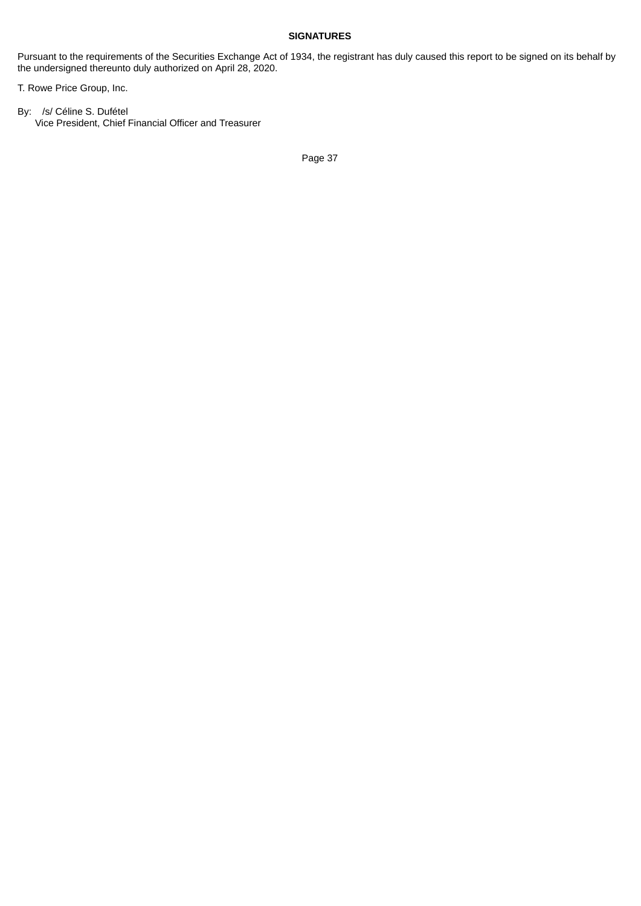#### **SIGNATURES**

Pursuant to the requirements of the Securities Exchange Act of 1934, the registrant has duly caused this report to be signed on its behalf by the undersigned thereunto duly authorized on April 28, 2020.

- T. Rowe Price Group, Inc.
- By: /s/ Céline S. Dufétel Vice President, Chief Financial Officer and Treasurer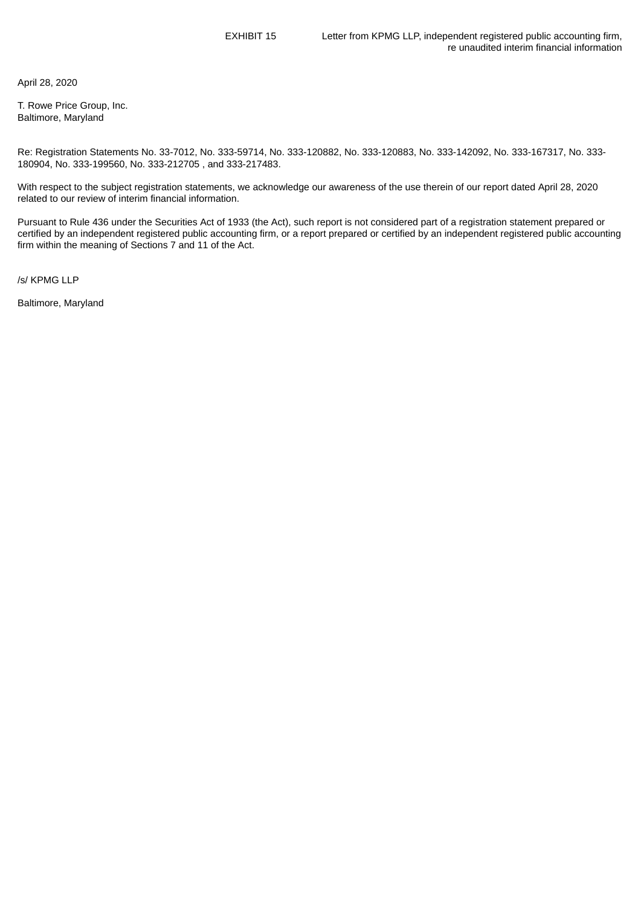<span id="page-37-0"></span>April 28, 2020

T. Rowe Price Group, Inc. Baltimore, Maryland

Re: Registration Statements No. 33-7012, No. 333-59714, No. 333-120882, No. 333-120883, No. 333-142092, No. 333-167317, No. 333- 180904, No. 333-199560, No. 333-212705 , and 333-217483.

With respect to the subject registration statements, we acknowledge our awareness of the use therein of our report dated April 28, 2020 related to our review of interim financial information.

Pursuant to Rule 436 under the Securities Act of 1933 (the Act), such report is not considered part of a registration statement prepared or certified by an independent registered public accounting firm, or a report prepared or certified by an independent registered public accounting firm within the meaning of Sections 7 and 11 of the Act.

/s/ KPMG LLP

Baltimore, Maryland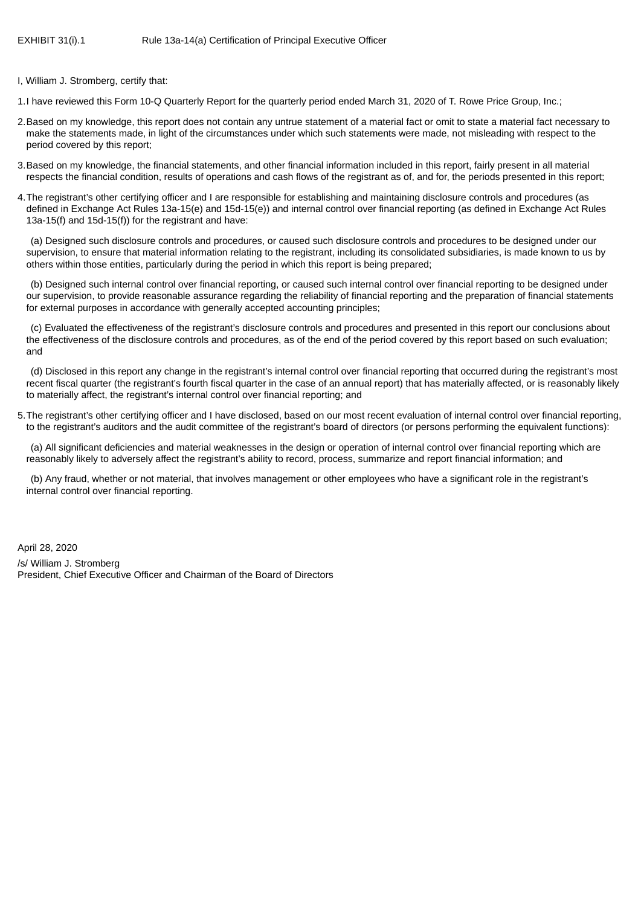<span id="page-38-0"></span>I, William J. Stromberg, certify that:

1.I have reviewed this Form 10-Q Quarterly Report for the quarterly period ended March 31, 2020 of T. Rowe Price Group, Inc.;

- 2.Based on my knowledge, this report does not contain any untrue statement of a material fact or omit to state a material fact necessary to make the statements made, in light of the circumstances under which such statements were made, not misleading with respect to the period covered by this report;
- 3.Based on my knowledge, the financial statements, and other financial information included in this report, fairly present in all material respects the financial condition, results of operations and cash flows of the registrant as of, and for, the periods presented in this report;
- 4.The registrant's other certifying officer and I are responsible for establishing and maintaining disclosure controls and procedures (as defined in Exchange Act Rules 13a-15(e) and 15d-15(e)) and internal control over financial reporting (as defined in Exchange Act Rules 13a-15(f) and 15d-15(f)) for the registrant and have:

(a) Designed such disclosure controls and procedures, or caused such disclosure controls and procedures to be designed under our supervision, to ensure that material information relating to the registrant, including its consolidated subsidiaries, is made known to us by others within those entities, particularly during the period in which this report is being prepared;

(b) Designed such internal control over financial reporting, or caused such internal control over financial reporting to be designed under our supervision, to provide reasonable assurance regarding the reliability of financial reporting and the preparation of financial statements for external purposes in accordance with generally accepted accounting principles;

(c) Evaluated the effectiveness of the registrant's disclosure controls and procedures and presented in this report our conclusions about the effectiveness of the disclosure controls and procedures, as of the end of the period covered by this report based on such evaluation; and

(d) Disclosed in this report any change in the registrant's internal control over financial reporting that occurred during the registrant's most recent fiscal quarter (the registrant's fourth fiscal quarter in the case of an annual report) that has materially affected, or is reasonably likely to materially affect, the registrant's internal control over financial reporting; and

5.The registrant's other certifying officer and I have disclosed, based on our most recent evaluation of internal control over financial reporting, to the registrant's auditors and the audit committee of the registrant's board of directors (or persons performing the equivalent functions):

(a) All significant deficiencies and material weaknesses in the design or operation of internal control over financial reporting which are reasonably likely to adversely affect the registrant's ability to record, process, summarize and report financial information; and

(b) Any fraud, whether or not material, that involves management or other employees who have a significant role in the registrant's internal control over financial reporting.

April 28, 2020 /s/ William J. Stromberg President, Chief Executive Officer and Chairman of the Board of Directors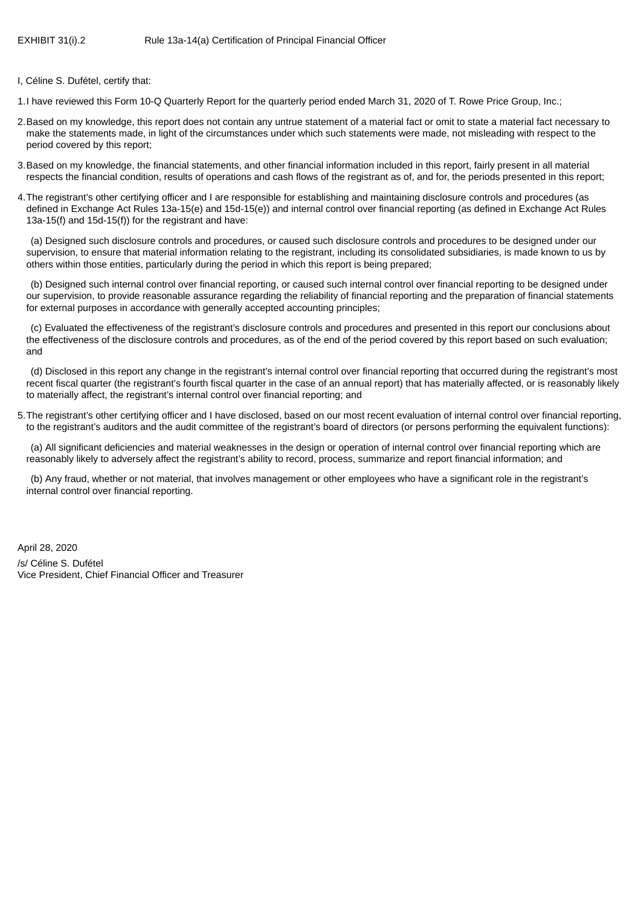<span id="page-39-0"></span>I, Céline S. Dufétel, certify that:

1.I have reviewed this Form 10-Q Quarterly Report for the quarterly period ended March 31, 2020 of T. Rowe Price Group, Inc.;

- 2.Based on my knowledge, this report does not contain any untrue statement of a material fact or omit to state a material fact necessary to make the statements made, in light of the circumstances under which such statements were made, not misleading with respect to the period covered by this report;
- 3.Based on my knowledge, the financial statements, and other financial information included in this report, fairly present in all material respects the financial condition, results of operations and cash flows of the registrant as of, and for, the periods presented in this report;
- 4.The registrant's other certifying officer and I are responsible for establishing and maintaining disclosure controls and procedures (as defined in Exchange Act Rules 13a-15(e) and 15d-15(e)) and internal control over financial reporting (as defined in Exchange Act Rules 13a-15(f) and 15d-15(f)) for the registrant and have:

(a) Designed such disclosure controls and procedures, or caused such disclosure controls and procedures to be designed under our supervision, to ensure that material information relating to the registrant, including its consolidated subsidiaries, is made known to us by others within those entities, particularly during the period in which this report is being prepared;

(b) Designed such internal control over financial reporting, or caused such internal control over financial reporting to be designed under our supervision, to provide reasonable assurance regarding the reliability of financial reporting and the preparation of financial statements for external purposes in accordance with generally accepted accounting principles;

(c) Evaluated the effectiveness of the registrant's disclosure controls and procedures and presented in this report our conclusions about the effectiveness of the disclosure controls and procedures, as of the end of the period covered by this report based on such evaluation; and

(d) Disclosed in this report any change in the registrant's internal control over financial reporting that occurred during the registrant's most recent fiscal quarter (the registrant's fourth fiscal quarter in the case of an annual report) that has materially affected, or is reasonably likely to materially affect, the registrant's internal control over financial reporting; and

5.The registrant's other certifying officer and I have disclosed, based on our most recent evaluation of internal control over financial reporting, to the registrant's auditors and the audit committee of the registrant's board of directors (or persons performing the equivalent functions):

(a) All significant deficiencies and material weaknesses in the design or operation of internal control over financial reporting which are reasonably likely to adversely affect the registrant's ability to record, process, summarize and report financial information; and

(b) Any fraud, whether or not material, that involves management or other employees who have a significant role in the registrant's internal control over financial reporting.

April 28, 2020 /s/ Céline S. Dufétel Vice President, Chief Financial Officer and Treasurer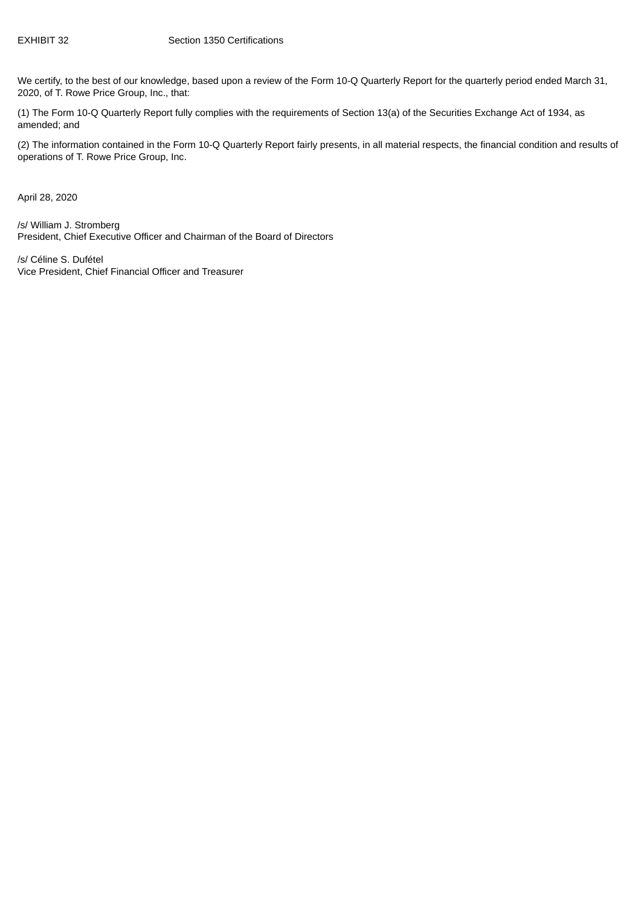<span id="page-40-0"></span>We certify, to the best of our knowledge, based upon a review of the Form 10-Q Quarterly Report for the quarterly period ended March 31, 2020, of T. Rowe Price Group, Inc., that:

(1) The Form 10-Q Quarterly Report fully complies with the requirements of Section 13(a) of the Securities Exchange Act of 1934, as amended; and

(2) The information contained in the Form 10-Q Quarterly Report fairly presents, in all material respects, the financial condition and results of operations of T. Rowe Price Group, Inc.

April 28, 2020

/s/ William J. Stromberg President, Chief Executive Officer and Chairman of the Board of Directors

/s/ Céline S. Dufétel Vice President, Chief Financial Officer and Treasurer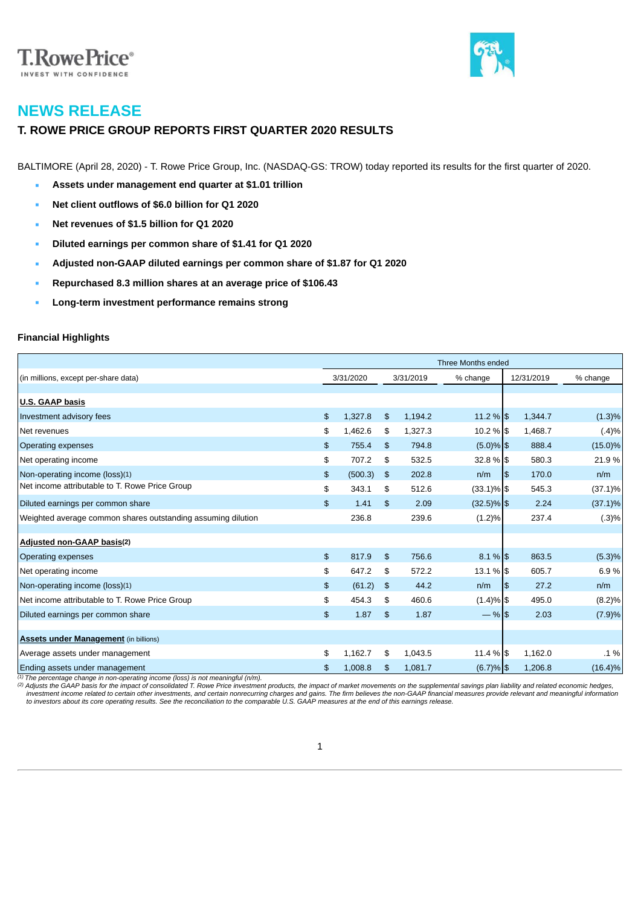<span id="page-41-0"></span>



## **NEWS RELEASE**

## **T. ROWE PRICE GROUP REPORTS FIRST QUARTER 2020 RESULTS**

BALTIMORE (April 28, 2020) - T. Rowe Price Group, Inc. (NASDAQ-GS: TROW) today reported its results for the first quarter of 2020.

- **▪ Assets under management end quarter at \$1.01 trillion**
- **▪ Net client outflows of \$6.0 billion for Q1 2020**
- **▪ Net revenues of \$1.5 billion for Q1 2020**
- **▪ Diluted earnings per common share of \$1.41 for Q1 2020**
- **▪ Adjusted non-GAAP diluted earnings per common share of \$1.87 for Q1 2020**
- **▪ Repurchased 8.3 million shares at an average price of \$106.43**
- **▪ Long-term investment performance remains strong**

#### **Financial Highlights**

|                                                              | Three Months ended |           |                |           |               |              |            |  |  |
|--------------------------------------------------------------|--------------------|-----------|----------------|-----------|---------------|--------------|------------|--|--|
| (in millions, except per-share data)                         |                    | 3/31/2020 |                | 3/31/2019 | % change      | 12/31/2019   | % change   |  |  |
|                                                              |                    |           |                |           |               |              |            |  |  |
| <b>U.S. GAAP basis</b>                                       |                    |           |                |           |               |              |            |  |  |
| Investment advisory fees                                     | \$                 | 1,327.8   | \$             | 1,194.2   | $11.2 \%$ \$  | 1,344.7      | (1.3)%     |  |  |
| Net revenues                                                 | \$                 | 1,462.6   | \$             | 1,327.3   | 10.2 % \$     | 1,468.7      | (.4)%      |  |  |
| <b>Operating expenses</b>                                    | \$                 | 755.4     | \$             | 794.8     | $(5.0)\%$ \$  | 888.4        | $(15.0)\%$ |  |  |
| Net operating income                                         | \$                 | 707.2     | \$             | 532.5     | $32.8%$ \$    | 580.3        | 21.9%      |  |  |
| Non-operating income (loss)(1)                               | \$                 | (500.3)   | \$             | 202.8     | n/m           | 170.0<br>1\$ | n/m        |  |  |
| Net income attributable to T. Rowe Price Group               | \$                 | 343.1     | \$             | 512.6     | $(33.1)\%$ \$ | 545.3        | $(37.1)\%$ |  |  |
| Diluted earnings per common share                            | \$                 | 1.41      | $\frac{2}{3}$  | 2.09      | $(32.5)\%$ \$ | 2.24         | $(37.1)\%$ |  |  |
| Weighted average common shares outstanding assuming dilution |                    | 236.8     |                | 239.6     | $(1.2)\%$     | 237.4        | (.3)%      |  |  |
| Adjusted non-GAAP basis(2)                                   |                    |           |                |           |               |              |            |  |  |
|                                                              |                    |           |                |           |               |              |            |  |  |
| <b>Operating expenses</b>                                    | \$                 | 817.9     | $\mathfrak{L}$ | 756.6     | $8.1\%$ \$    | 863.5        | (5.3)%     |  |  |
| Net operating income                                         | \$                 | 647.2     | \$             | 572.2     | 13.1 % \$     | 605.7        | 6.9%       |  |  |
| Non-operating income (loss)(1)                               | \$                 | (61.2)    | \$             | 44.2      | n/m           | 27.2<br>1\$  | n/m        |  |  |
| Net income attributable to T. Rowe Price Group               | \$                 | 454.3     | \$             | 460.6     | $(1.4)\%$ \$  | 495.0        | (8.2)%     |  |  |
| Diluted earnings per common share                            | \$                 | 1.87      | $\mathfrak{L}$ | 1.87      | $-$ % \$      | 2.03         | (7.9)%     |  |  |
| <b>Assets under Management (in billions)</b>                 |                    |           |                |           |               |              |            |  |  |
| Average assets under management                              | \$                 | 1,162.7   | \$             | 1,043.5   | 11.4 % \$     | 1,162.0      | .1%        |  |  |
| Ending assets under management                               | \$                 | 1,008.8   | \$             | 1,081.7   | $(6.7)\%$ \$  | 1,206.8      | $(16.4)\%$ |  |  |

*(1) The percentage change in non-operating income (loss) is not meaningful (n/m).*

(2) Adjusts the GAAP basis for the impact of consolidated T. Rowe Price investment products, the impact of market movements on the supplemental savings plan liability and related economic hedges, investment income related to certain other investments, and certain nonrecurring charges and gains. The firm believes the non-GAAP financial measures provide relevant and meaningful information<br>to investors about its core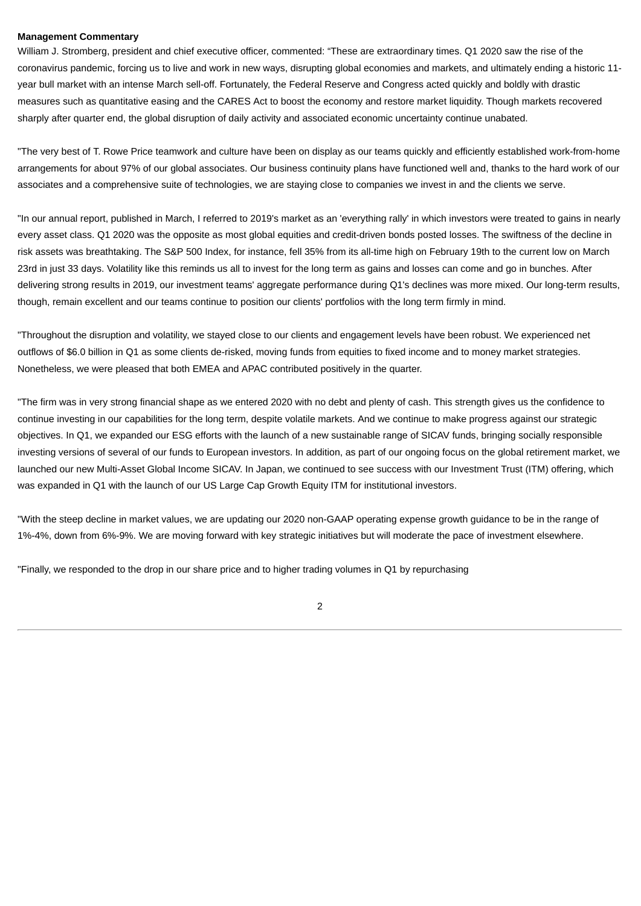#### **Management Commentary**

William J. Stromberg, president and chief executive officer, commented: "These are extraordinary times. Q1 2020 saw the rise of the coronavirus pandemic, forcing us to live and work in new ways, disrupting global economies and markets, and ultimately ending a historic 11 year bull market with an intense March sell-off. Fortunately, the Federal Reserve and Congress acted quickly and boldly with drastic measures such as quantitative easing and the CARES Act to boost the economy and restore market liquidity. Though markets recovered sharply after quarter end, the global disruption of daily activity and associated economic uncertainty continue unabated.

"The very best of T. Rowe Price teamwork and culture have been on display as our teams quickly and efficiently established work-from-home arrangements for about 97% of our global associates. Our business continuity plans have functioned well and, thanks to the hard work of our associates and a comprehensive suite of technologies, we are staying close to companies we invest in and the clients we serve.

"In our annual report, published in March, I referred to 2019's market as an 'everything rally' in which investors were treated to gains in nearly every asset class. Q1 2020 was the opposite as most global equities and credit-driven bonds posted losses. The swiftness of the decline in risk assets was breathtaking. The S&P 500 Index, for instance, fell 35% from its all-time high on February 19th to the current low on March 23rd in just 33 days. Volatility like this reminds us all to invest for the long term as gains and losses can come and go in bunches. After delivering strong results in 2019, our investment teams' aggregate performance during Q1's declines was more mixed. Our long-term results, though, remain excellent and our teams continue to position our clients' portfolios with the long term firmly in mind.

"Throughout the disruption and volatility, we stayed close to our clients and engagement levels have been robust. We experienced net outflows of \$6.0 billion in Q1 as some clients de-risked, moving funds from equities to fixed income and to money market strategies. Nonetheless, we were pleased that both EMEA and APAC contributed positively in the quarter.

"The firm was in very strong financial shape as we entered 2020 with no debt and plenty of cash. This strength gives us the confidence to continue investing in our capabilities for the long term, despite volatile markets. And we continue to make progress against our strategic objectives. In Q1, we expanded our ESG efforts with the launch of a new sustainable range of SICAV funds, bringing socially responsible investing versions of several of our funds to European investors. In addition, as part of our ongoing focus on the global retirement market, we launched our new Multi-Asset Global Income SICAV. In Japan, we continued to see success with our Investment Trust (ITM) offering, which was expanded in Q1 with the launch of our US Large Cap Growth Equity ITM for institutional investors.

"With the steep decline in market values, we are updating our 2020 non-GAAP operating expense growth guidance to be in the range of 1%-4%, down from 6%-9%. We are moving forward with key strategic initiatives but will moderate the pace of investment elsewhere.

"Finally, we responded to the drop in our share price and to higher trading volumes in Q1 by repurchasing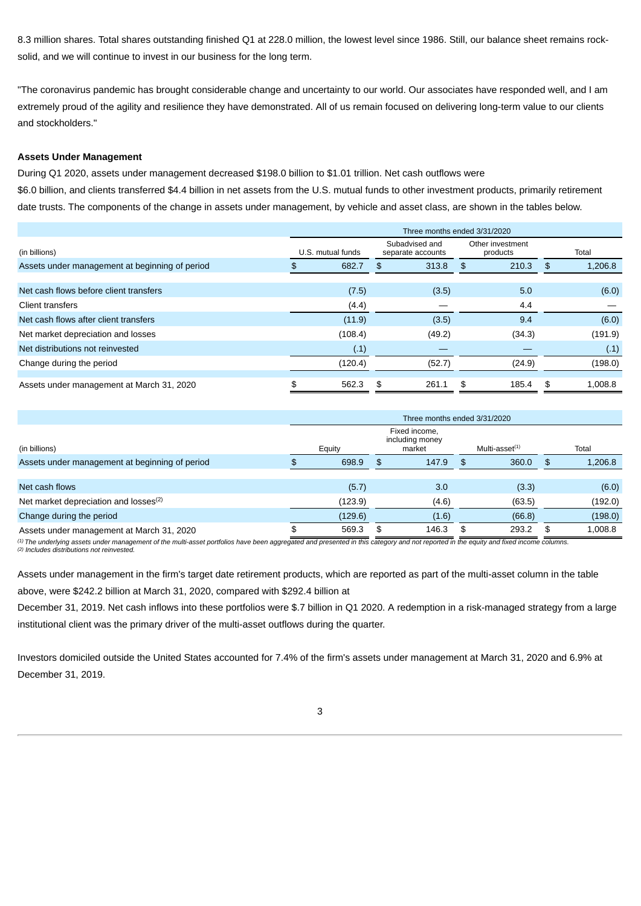8.3 million shares. Total shares outstanding finished Q1 at 228.0 million, the lowest level since 1986. Still, our balance sheet remains rocksolid, and we will continue to invest in our business for the long term.

"The coronavirus pandemic has brought considerable change and uncertainty to our world. Our associates have responded well, and I am extremely proud of the agility and resilience they have demonstrated. All of us remain focused on delivering long-term value to our clients and stockholders."

#### **Assets Under Management**

During Q1 2020, assets under management decreased \$198.0 billion to \$1.01 trillion. Net cash outflows were \$6.0 billion, and clients transferred \$4.4 billion in net assets from the U.S. mutual funds to other investment products, primarily retirement date trusts. The components of the change in assets under management, by vehicle and asset class, are shown in the tables below.

|                                                | Three months ended 3/31/2020 |                                     |                              |    |         |  |  |  |  |  |  |  |
|------------------------------------------------|------------------------------|-------------------------------------|------------------------------|----|---------|--|--|--|--|--|--|--|
| (in billions)                                  | U.S. mutual funds            | Subadvised and<br>separate accounts | Other investment<br>products |    | Total   |  |  |  |  |  |  |  |
| Assets under management at beginning of period | 682.7                        | 313.8                               | 210.3<br>\$                  | \$ | 1,206.8 |  |  |  |  |  |  |  |
| Net cash flows before client transfers         | (7.5)                        | (3.5)                               | 5.0                          |    | (6.0)   |  |  |  |  |  |  |  |
| <b>Client transfers</b>                        | (4.4)                        |                                     | 4.4                          |    |         |  |  |  |  |  |  |  |
| Net cash flows after client transfers          | (11.9)                       | (3.5)                               | 9.4                          |    | (6.0)   |  |  |  |  |  |  |  |
| Net market depreciation and losses             | (108.4)                      | (49.2)                              | (34.3)                       |    | (191.9) |  |  |  |  |  |  |  |
| Net distributions not reinvested               | (.1)                         |                                     |                              |    | (.1)    |  |  |  |  |  |  |  |
| Change during the period                       | (120.4)                      | (52.7)                              | (24.9)                       |    | (198.0) |  |  |  |  |  |  |  |
| Assets under management at March 31, 2020      | 562.3<br>\$                  | \$.<br>261.1                        | 185.4<br>\$                  | \$ | 1,008.8 |  |  |  |  |  |  |  |

| Three months ended 3/31/2020 |    |                                            |     |                   |         |         |  |  |  |  |  |
|------------------------------|----|--------------------------------------------|-----|-------------------|---------|---------|--|--|--|--|--|
| Equity                       |    | Fixed income,<br>including money<br>market |     | Multi-asset $(1)$ |         | Total   |  |  |  |  |  |
| 698.9                        | \$ | 147.9                                      | \$. | 360.0             | \$      | 1,206.8 |  |  |  |  |  |
|                              |    |                                            |     |                   |         |         |  |  |  |  |  |
| (5.7)                        |    | 3.0 <sub>2</sub>                           |     | (3.3)             |         | (6.0)   |  |  |  |  |  |
| (123.9)                      |    | (4.6)                                      |     | (63.5)            |         | (192.0) |  |  |  |  |  |
| (129.6)                      |    | (1.6)                                      |     | (66.8)            |         | (198.0) |  |  |  |  |  |
| 569.3                        |    | 146.3                                      |     | 293.2             | \$      | 1,008.8 |  |  |  |  |  |
|                              |    |                                            |     |                   | $\cdot$ |         |  |  |  |  |  |

<sup>(1)</sup> The underlying assets under management of the multi-asset portfolios have been aggregated and presented in this category and not reported in the equity and fixed income columns. *(2) Includes distributions not reinvested.*

Assets under management in the firm's target date retirement products, which are reported as part of the multi-asset column in the table above, were \$242.2 billion at March 31, 2020, compared with \$292.4 billion at

December 31, 2019. Net cash inflows into these portfolios were \$.7 billion in Q1 2020. A redemption in a risk-managed strategy from a large institutional client was the primary driver of the multi-asset outflows during the quarter.

Investors domiciled outside the United States accounted for 7.4% of the firm's assets under management at March 31, 2020 and 6.9% at December 31, 2019.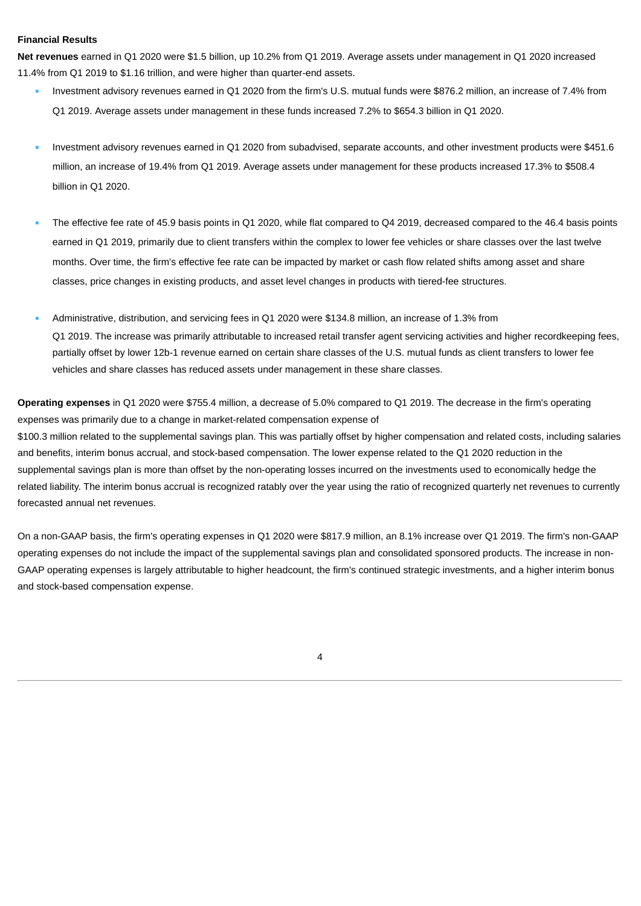#### **Financial Results**

**Net revenues** earned in Q1 2020 were \$1.5 billion, up 10.2% from Q1 2019. Average assets under management in Q1 2020 increased 11.4% from Q1 2019 to \$1.16 trillion, and were higher than quarter-end assets.

- Investment advisory revenues earned in Q1 2020 from the firm's U.S. mutual funds were \$876.2 million, an increase of 7.4% from Q1 2019. Average assets under management in these funds increased 7.2% to \$654.3 billion in Q1 2020.
- Investment advisory revenues earned in Q1 2020 from subadvised, separate accounts, and other investment products were \$451.6 million, an increase of 19.4% from Q1 2019. Average assets under management for these products increased 17.3% to \$508.4 billion in Q1 2020.
- The effective fee rate of 45.9 basis points in O1 2020, while flat compared to O4 2019, decreased compared to the 46.4 basis points earned in Q1 2019, primarily due to client transfers within the complex to lower fee vehicles or share classes over the last twelve months. Over time, the firm's effective fee rate can be impacted by market or cash flow related shifts among asset and share classes, price changes in existing products, and asset level changes in products with tiered-fee structures.
- Administrative, distribution, and servicing fees in O1 2020 were \$134.8 million, an increase of 1.3% from Q1 2019. The increase was primarily attributable to increased retail transfer agent servicing activities and higher recordkeeping fees, partially offset by lower 12b-1 revenue earned on certain share classes of the U.S. mutual funds as client transfers to lower fee vehicles and share classes has reduced assets under management in these share classes.

**Operating expenses** in Q1 2020 were \$755.4 million, a decrease of 5.0% compared to Q1 2019. The decrease in the firm's operating expenses was primarily due to a change in market-related compensation expense of \$100.3 million related to the supplemental savings plan. This was partially offset by higher compensation and related costs, including salaries and benefits, interim bonus accrual, and stock-based compensation. The lower expense related to the Q1 2020 reduction in the supplemental savings plan is more than offset by the non-operating losses incurred on the investments used to economically hedge the related liability. The interim bonus accrual is recognized ratably over the year using the ratio of recognized quarterly net revenues to currently forecasted annual net revenues.

On a non-GAAP basis, the firm's operating expenses in Q1 2020 were \$817.9 million, an 8.1% increase over Q1 2019. The firm's non-GAAP operating expenses do not include the impact of the supplemental savings plan and consolidated sponsored products. The increase in non-GAAP operating expenses is largely attributable to higher headcount, the firm's continued strategic investments, and a higher interim bonus and stock-based compensation expense.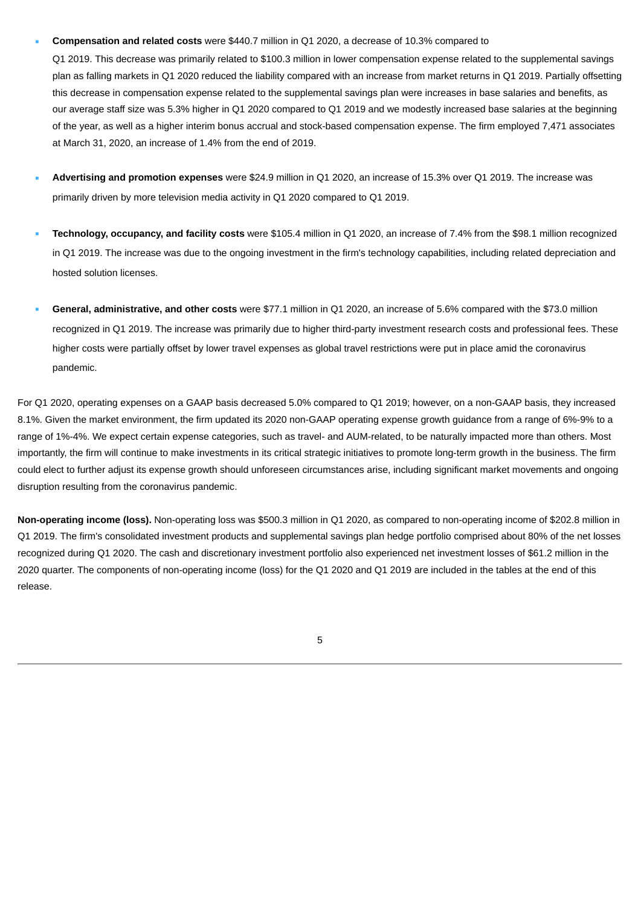#### ▪ **Compensation and related costs** were \$440.7 million in Q1 2020, a decrease of 10.3% compared to

Q1 2019. This decrease was primarily related to \$100.3 million in lower compensation expense related to the supplemental savings plan as falling markets in Q1 2020 reduced the liability compared with an increase from market returns in Q1 2019. Partially offsetting this decrease in compensation expense related to the supplemental savings plan were increases in base salaries and benefits, as our average staff size was 5.3% higher in Q1 2020 compared to Q1 2019 and we modestly increased base salaries at the beginning of the year, as well as a higher interim bonus accrual and stock-based compensation expense. The firm employed 7,471 associates at March 31, 2020, an increase of 1.4% from the end of 2019.

- **Advertising and promotion expenses** were \$24.9 million in Q1 2020, an increase of 15.3% over Q1 2019. The increase was primarily driven by more television media activity in Q1 2020 compared to Q1 2019.
- **Technology, occupancy, and facility costs** were \$105.4 million in Q1 2020, an increase of 7.4% from the \$98.1 million recognized in Q1 2019. The increase was due to the ongoing investment in the firm's technology capabilities, including related depreciation and hosted solution licenses.
- **General, administrative, and other costs** were \$77.1 million in Q1 2020, an increase of 5.6% compared with the \$73.0 million recognized in Q1 2019. The increase was primarily due to higher third-party investment research costs and professional fees. These higher costs were partially offset by lower travel expenses as global travel restrictions were put in place amid the coronavirus pandemic.

For Q1 2020, operating expenses on a GAAP basis decreased 5.0% compared to Q1 2019; however, on a non-GAAP basis, they increased 8.1%. Given the market environment, the firm updated its 2020 non-GAAP operating expense growth guidance from a range of 6%-9% to a range of 1%-4%. We expect certain expense categories, such as travel- and AUM-related, to be naturally impacted more than others. Most importantly, the firm will continue to make investments in its critical strategic initiatives to promote long-term growth in the business. The firm could elect to further adjust its expense growth should unforeseen circumstances arise, including significant market movements and ongoing disruption resulting from the coronavirus pandemic.

**Non-operating income (loss).** Non-operating loss was \$500.3 million in Q1 2020, as compared to non-operating income of \$202.8 million in Q1 2019. The firm's consolidated investment products and supplemental savings plan hedge portfolio comprised about 80% of the net losses recognized during Q1 2020. The cash and discretionary investment portfolio also experienced net investment losses of \$61.2 million in the 2020 quarter. The components of non-operating income (loss) for the Q1 2020 and Q1 2019 are included in the tables at the end of this release.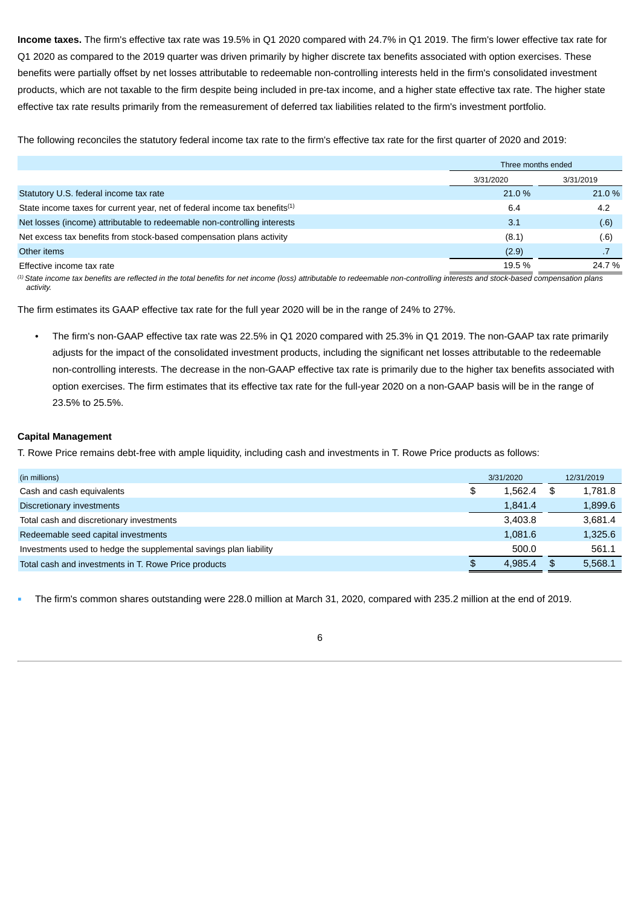**Income taxes.** The firm's effective tax rate was 19.5% in Q1 2020 compared with 24.7% in Q1 2019. The firm's lower effective tax rate for Q1 2020 as compared to the 2019 quarter was driven primarily by higher discrete tax benefits associated with option exercises. These benefits were partially offset by net losses attributable to redeemable non-controlling interests held in the firm's consolidated investment products, which are not taxable to the firm despite being included in pre-tax income, and a higher state effective tax rate. The higher state effective tax rate results primarily from the remeasurement of deferred tax liabilities related to the firm's investment portfolio.

The following reconciles the statutory federal income tax rate to the firm's effective tax rate for the first quarter of 2020 and 2019:

|                                                                                        |           | Three months ended |
|----------------------------------------------------------------------------------------|-----------|--------------------|
|                                                                                        | 3/31/2020 | 3/31/2019          |
| Statutory U.S. federal income tax rate                                                 | 21.0 %    | 21.0 %             |
| State income taxes for current year, net of federal income tax benefits <sup>(1)</sup> | 6.4       | 4.2                |
| Net losses (income) attributable to redeemable non-controlling interests               | 3.1       | (.6)               |
| Net excess tax benefits from stock-based compensation plans activity                   | (8.1)     | (.6)               |
| Other items                                                                            | (2.9)     |                    |
| Effective income tax rate                                                              | 19.5 %    | 24.7 %             |
|                                                                                        |           |                    |

(1) State income tax benefits are reflected in the total benefits for net income (loss) attributable to redeemable non-controlling interests and stock-based compensation plans *activity.*

The firm estimates its GAAP effective tax rate for the full year 2020 will be in the range of 24% to 27%.

• The firm's non-GAAP effective tax rate was 22.5% in Q1 2020 compared with 25.3% in Q1 2019. The non-GAAP tax rate primarily adjusts for the impact of the consolidated investment products, including the significant net losses attributable to the redeemable non-controlling interests. The decrease in the non-GAAP effective tax rate is primarily due to the higher tax benefits associated with option exercises. The firm estimates that its effective tax rate for the full-year 2020 on a non-GAAP basis will be in the range of 23.5% to 25.5%.

#### **Capital Management**

T. Rowe Price remains debt-free with ample liquidity, including cash and investments in T. Rowe Price products as follows:

| (in millions)                                                     | 3/31/2020     |          | 12/31/2019 |
|-------------------------------------------------------------------|---------------|----------|------------|
| Cash and cash equivalents                                         | \$<br>1.562.4 | \$       | 1,781.8    |
| <b>Discretionary investments</b>                                  | 1.841.4       |          | 1,899.6    |
| Total cash and discretionary investments                          | 3.403.8       |          | 3,681.4    |
| Redeemable seed capital investments                               | 1.081.6       |          | 1,325.6    |
| Investments used to hedge the supplemental savings plan liability | 500.0         |          | 561.1      |
| Total cash and investments in T. Rowe Price products              | \$<br>4.985.4 | <b>S</b> | 5,568.1    |

The firm's common shares outstanding were 228.0 million at March 31, 2020, compared with 235.2 million at the end of 2019.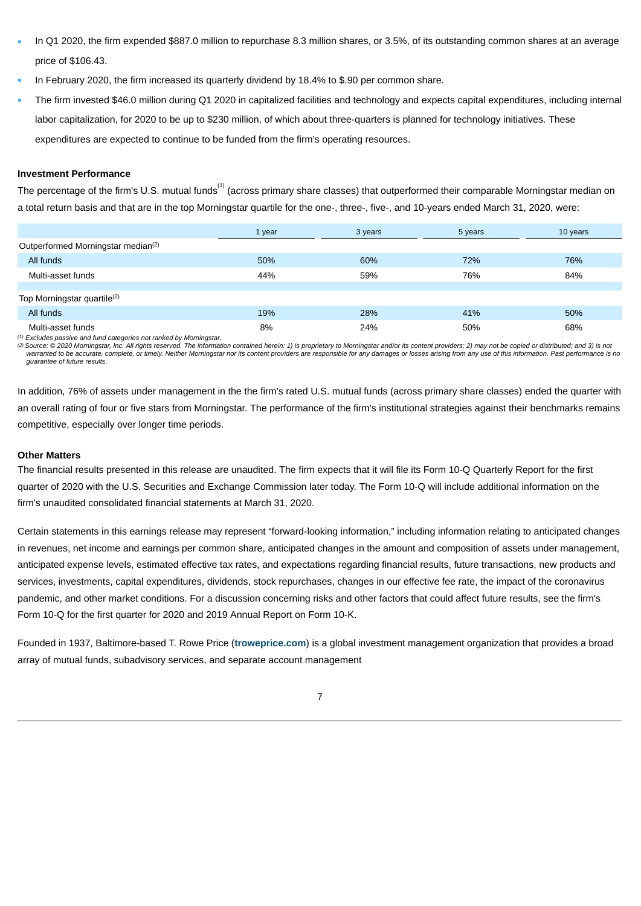- In Q1 2020, the firm expended \$887.0 million to repurchase 8.3 million shares, or 3.5%, of its outstanding common shares at an average price of \$106.43.
- In February 2020, the firm increased its quarterly dividend by 18.4% to \$.90 per common share.
- The firm invested \$46.0 million during Q1 2020 in capitalized facilities and technology and expects capital expenditures, including internal labor capitalization, for 2020 to be up to \$230 million, of which about three-quarters is planned for technology initiatives. These expenditures are expected to continue to be funded from the firm's operating resources.

#### **Investment Performance**

The percentage of the firm's U.S. mutual funds<sup>(1)</sup> (across primary share classes) that outperformed their comparable Morningstar median on a total return basis and that are in the top Morningstar quartile for the one-, three-, five-, and 10-years ended March 31, 2020, were:

|                                                | 1 year | 3 years | 5 years | 10 years |
|------------------------------------------------|--------|---------|---------|----------|
| Outperformed Morningstar median <sup>(2)</sup> |        |         |         |          |
| All funds                                      | 50%    | 60%     | 72%     | 76%      |
| Multi-asset funds                              | 44%    | 59%     | 76%     | 84%      |
|                                                |        |         |         |          |
| Top Morningstar quartile <sup>(2)</sup>        |        |         |         |          |
| All funds                                      | 19%    | 28%     | 41%     | 50%      |
| Multi-asset funds                              | 8%     | 24%     | 50%     | 68%      |

*(1) Excludes passive and fund categories not ranked by Morningstar.*

(2) Source: @ 2020 Morningstar, Inc. All rights reserved. The information contained herein: 1) is proprietary to Morningstar and/or its content providers; 2) may not be copied or distributed; and 3) is not warranted to be accurate, complete, or timely. Neither Morningstar nor its content providers are responsible for any damages or losses arising from any use of this information. Past performance is no *guarantee of future results.*

In addition, 76% of assets under management in the the firm's rated U.S. mutual funds (across primary share classes) ended the quarter with an overall rating of four or five stars from Morningstar. The performance of the firm's institutional strategies against their benchmarks remains competitive, especially over longer time periods.

#### **Other Matters**

The financial results presented in this release are unaudited. The firm expects that it will file its Form 10-Q Quarterly Report for the first quarter of 2020 with the U.S. Securities and Exchange Commission later today. The Form 10-Q will include additional information on the firm's unaudited consolidated financial statements at March 31, 2020.

Certain statements in this earnings release may represent "forward-looking information," including information relating to anticipated changes in revenues, net income and earnings per common share, anticipated changes in the amount and composition of assets under management, anticipated expense levels, estimated effective tax rates, and expectations regarding financial results, future transactions, new products and services, investments, capital expenditures, dividends, stock repurchases, changes in our effective fee rate, the impact of the coronavirus pandemic, and other market conditions. For a discussion concerning risks and other factors that could affect future results, see the firm's Form 10-Q for the first quarter for 2020 and 2019 Annual Report on Form 10-K.

Founded in 1937, Baltimore-based T. Rowe Price (**troweprice.com**) is a global investment management organization that provides a broad array of mutual funds, subadvisory services, and separate account management

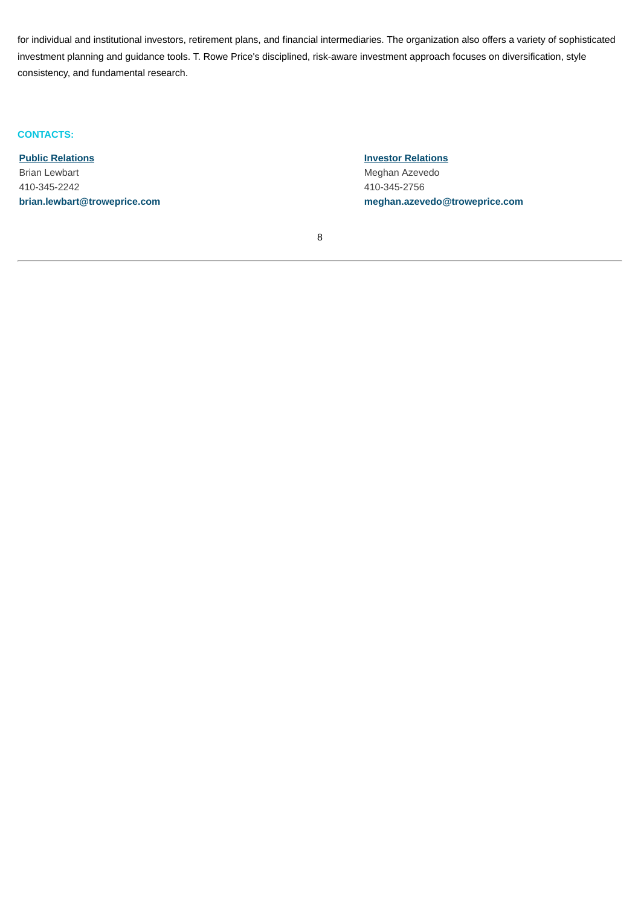for individual and institutional investors, retirement plans, and financial intermediaries. The organization also offers a variety of sophisticated investment planning and guidance tools. T. Rowe Price's disciplined, risk-aware investment approach focuses on diversification, style consistency, and fundamental research.

#### **CONTACTS:**

## **Public Relations Investor Relations** Brian Lewbart **Meghan Azevedo** Meghan Azevedo 410-345-2242 410-345-2756

**brian.lewbart@troweprice.com meghan.azevedo@troweprice.com**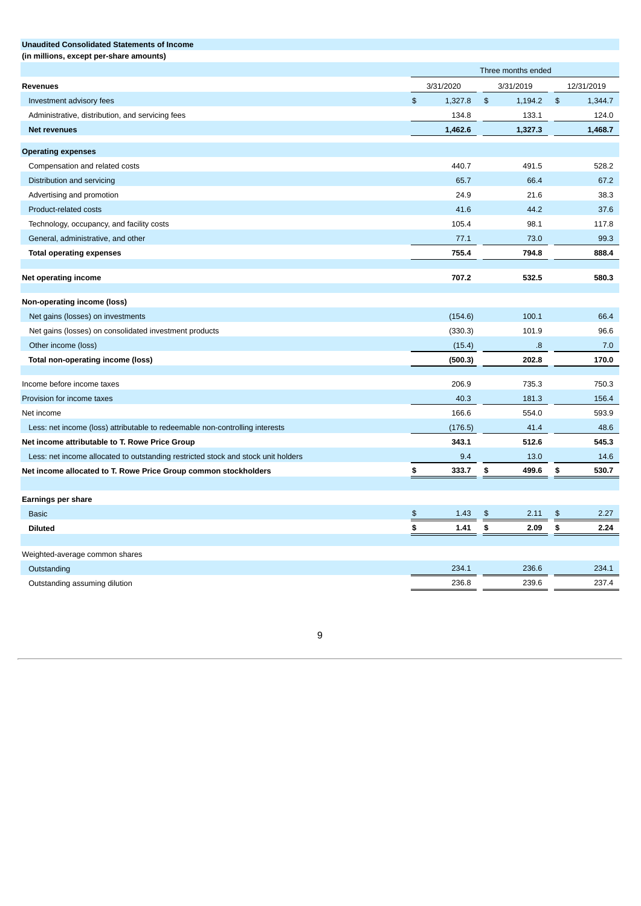| <b>Unaudited Consolidated Statements of Income</b>                                |                |           |               |                    |      |            |
|-----------------------------------------------------------------------------------|----------------|-----------|---------------|--------------------|------|------------|
| (in millions, except per-share amounts)                                           |                |           |               |                    |      |            |
|                                                                                   |                |           |               | Three months ended |      |            |
| <b>Revenues</b>                                                                   |                | 3/31/2020 |               | 3/31/2019          |      | 12/31/2019 |
| Investment advisory fees                                                          | $\mathfrak{S}$ | 1,327.8   | $\frac{1}{2}$ | 1,194.2            | $\,$ | 1,344.7    |
| Administrative, distribution, and servicing fees                                  |                | 134.8     |               | 133.1              |      | 124.0      |
| <b>Net revenues</b>                                                               |                | 1,462.6   |               | 1,327.3            |      | 1,468.7    |
| <b>Operating expenses</b>                                                         |                |           |               |                    |      |            |
| Compensation and related costs                                                    |                | 440.7     |               | 491.5              |      | 528.2      |
| Distribution and servicing                                                        |                | 65.7      |               | 66.4               |      | 67.2       |
| Advertising and promotion                                                         |                | 24.9      |               | 21.6               |      | 38.3       |
| Product-related costs                                                             |                | 41.6      |               | 44.2               |      | 37.6       |
| Technology, occupancy, and facility costs                                         |                | 105.4     |               | 98.1               |      | 117.8      |
| General, administrative, and other                                                |                | 77.1      |               | 73.0               |      | 99.3       |
| <b>Total operating expenses</b>                                                   |                | 755.4     |               | 794.8              |      | 888.4      |
|                                                                                   |                |           |               |                    |      |            |
| Net operating income                                                              |                | 707.2     |               | 532.5              |      | 580.3      |
| Non-operating income (loss)                                                       |                |           |               |                    |      |            |
| Net gains (losses) on investments                                                 |                | (154.6)   |               | 100.1              |      | 66.4       |
| Net gains (losses) on consolidated investment products                            |                | (330.3)   |               | 101.9              |      | 96.6       |
| Other income (loss)                                                               |                | (15.4)    |               | $\boldsymbol{.8}$  |      | 7.0        |
| Total non-operating income (loss)                                                 |                | (500.3)   |               | 202.8              |      | 170.0      |
| Income before income taxes                                                        |                | 206.9     |               | 735.3              |      | 750.3      |
| Provision for income taxes                                                        |                | 40.3      |               | 181.3              |      | 156.4      |
| Net income                                                                        |                | 166.6     |               | 554.0              |      | 593.9      |
| Less: net income (loss) attributable to redeemable non-controlling interests      |                | (176.5)   |               | 41.4               |      | 48.6       |
| Net income attributable to T. Rowe Price Group                                    |                | 343.1     |               | 512.6              |      | 545.3      |
| Less: net income allocated to outstanding restricted stock and stock unit holders |                | 9.4       |               | 13.0               |      | 14.6       |
| Net income allocated to T. Rowe Price Group common stockholders                   | \$             | 333.7     | \$            | 499.6              | \$   | 530.7      |
|                                                                                   |                |           |               |                    |      |            |
| <b>Earnings per share</b>                                                         |                |           |               |                    |      |            |
| <b>Basic</b>                                                                      | \$             | 1.43      | \$            | 2.11               | \$   | 2.27       |
| <b>Diluted</b>                                                                    | \$             | 1.41      | \$            | 2.09               | \$   | 2.24       |
|                                                                                   |                |           |               |                    |      |            |
| Weighted-average common shares                                                    |                |           |               |                    |      |            |
| Outstanding                                                                       |                | 234.1     |               | 236.6              |      | 234.1      |
| Outstanding assuming dilution                                                     |                | 236.8     |               | 239.6              |      | 237.4      |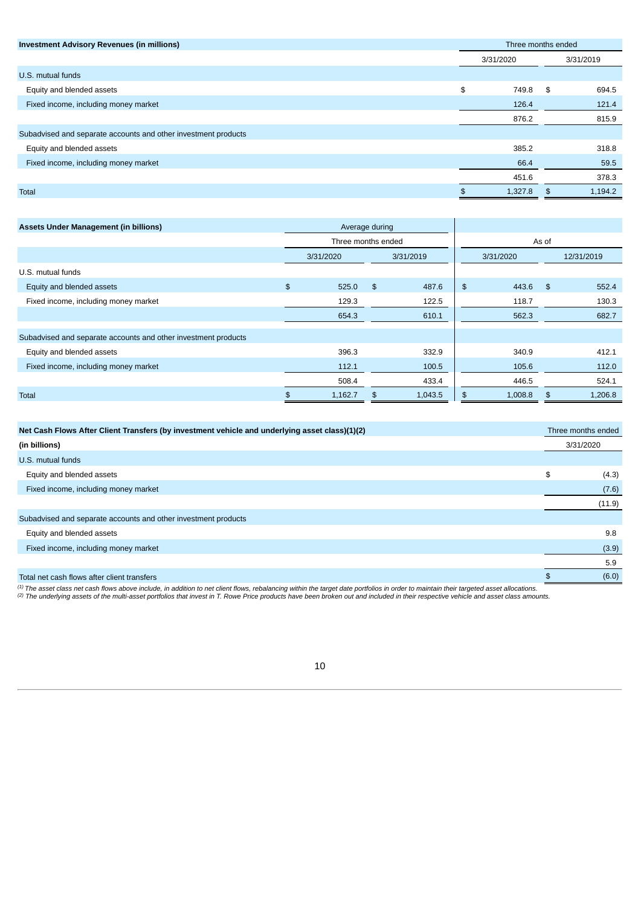| <b>Investment Advisory Revenues (in millions)</b>              | Three months ended |           |      |           |
|----------------------------------------------------------------|--------------------|-----------|------|-----------|
|                                                                |                    | 3/31/2020 |      | 3/31/2019 |
| U.S. mutual funds                                              |                    |           |      |           |
| Equity and blended assets                                      | \$                 | 749.8     | - \$ | 694.5     |
| Fixed income, including money market                           |                    | 126.4     |      | 121.4     |
|                                                                |                    | 876.2     |      | 815.9     |
| Subadvised and separate accounts and other investment products |                    |           |      |           |
| Equity and blended assets                                      |                    | 385.2     |      | 318.8     |
| Fixed income, including money market                           |                    | 66.4      |      | 59.5      |
|                                                                |                    | 451.6     |      | 378.3     |
| Total                                                          |                    | 1,327.8   | \$   | 1,194.2   |

|                                     |    |         | As of                                |         |                         |            |
|-------------------------------------|----|---------|--------------------------------------|---------|-------------------------|------------|
| 3/31/2020<br>3/31/2019<br>3/31/2020 |    |         |                                      |         |                         | 12/31/2019 |
|                                     |    |         |                                      |         |                         |            |
| \$<br>525.0                         | \$ | 487.6   | $\mathfrak{S}$                       | 443.6   | \$                      | 552.4      |
| 129.3                               |    | 122.5   |                                      | 118.7   |                         | 130.3      |
| 654.3                               |    | 610.1   |                                      | 562.3   |                         | 682.7      |
|                                     |    |         |                                      |         |                         |            |
| 396.3                               |    | 332.9   |                                      | 340.9   |                         | 412.1      |
| 112.1                               |    | 100.5   |                                      | 105.6   |                         | 112.0      |
| 508.4                               |    | 433.4   |                                      | 446.5   |                         | 524.1      |
| 1,162.7                             | \$ | 1,043.5 | \$                                   | 1,008.8 | $\mathbf{\mathfrak{L}}$ | 1,206.8    |
|                                     |    |         | Average during<br>Three months ended |         |                         |            |

| Net Cash Flows After Client Transfers (by investment vehicle and underlying asset class)(1)(2) | Three months ended |
|------------------------------------------------------------------------------------------------|--------------------|
| (in billions)                                                                                  | 3/31/2020          |
| U.S. mutual funds                                                                              |                    |
| Equity and blended assets                                                                      | \$<br>(4.3)        |
| Fixed income, including money market                                                           | (7.6)              |
|                                                                                                | (11.9)             |
| Subadvised and separate accounts and other investment products                                 |                    |
| Equity and blended assets                                                                      | 9.8                |
| Fixed income, including money market                                                           | (3.9)              |
|                                                                                                | 5.9                |
| Total net cash flows after client transfers                                                    | (6.0)              |

<sup>(1)</sup> The asset class net cash flows above include, in addition to net client flows, rebalancing within the target date portfolios in order to maintain their targeted asset allocations.<br>⑵ The underlying assets of the multi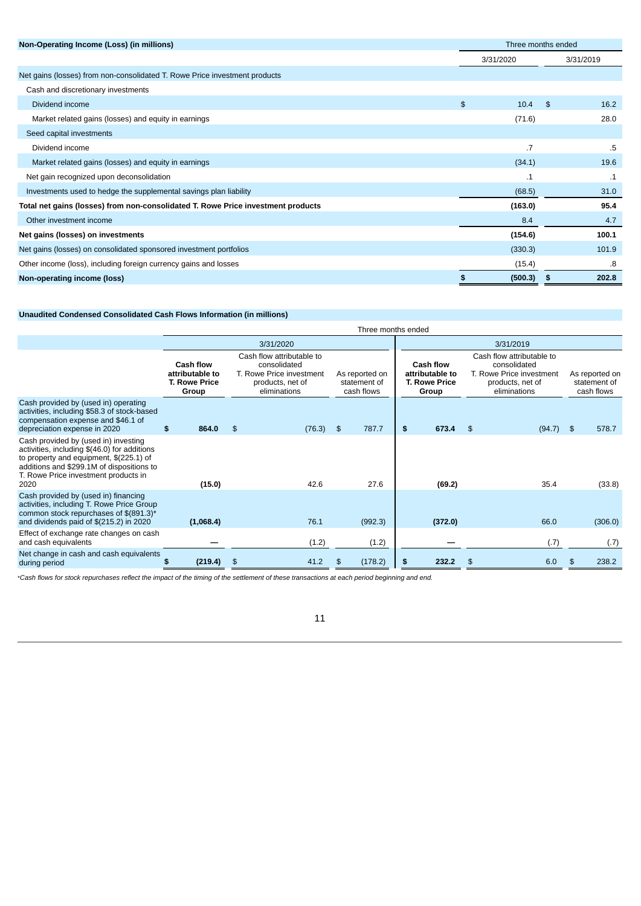| 3/31/2020<br>3/31/2019<br>Net gains (losses) from non-consolidated T. Rowe Price investment products<br>Cash and discretionary investments<br>\$<br>Dividend income<br>10.4<br>\$<br>Market related gains (losses) and equity in earnings<br>(71.6)<br>Seed capital investments<br>$\cdot$ 7<br>Dividend income<br>Market related gains (losses) and equity in earnings<br>(34.1)<br>$\cdot$ 1<br>Net gain recognized upon deconsolidation<br>Investments used to hedge the supplemental savings plan liability<br>(68.5) | Non-Operating Income (Loss) (in millions)                                        | Three months ended |           |  |  |  |
|---------------------------------------------------------------------------------------------------------------------------------------------------------------------------------------------------------------------------------------------------------------------------------------------------------------------------------------------------------------------------------------------------------------------------------------------------------------------------------------------------------------------------|----------------------------------------------------------------------------------|--------------------|-----------|--|--|--|
|                                                                                                                                                                                                                                                                                                                                                                                                                                                                                                                           |                                                                                  |                    |           |  |  |  |
|                                                                                                                                                                                                                                                                                                                                                                                                                                                                                                                           |                                                                                  |                    |           |  |  |  |
|                                                                                                                                                                                                                                                                                                                                                                                                                                                                                                                           |                                                                                  |                    |           |  |  |  |
|                                                                                                                                                                                                                                                                                                                                                                                                                                                                                                                           |                                                                                  |                    | 16.2      |  |  |  |
|                                                                                                                                                                                                                                                                                                                                                                                                                                                                                                                           |                                                                                  |                    | 28.0      |  |  |  |
|                                                                                                                                                                                                                                                                                                                                                                                                                                                                                                                           |                                                                                  |                    |           |  |  |  |
|                                                                                                                                                                                                                                                                                                                                                                                                                                                                                                                           |                                                                                  |                    | .5        |  |  |  |
|                                                                                                                                                                                                                                                                                                                                                                                                                                                                                                                           |                                                                                  |                    | 19.6      |  |  |  |
|                                                                                                                                                                                                                                                                                                                                                                                                                                                                                                                           |                                                                                  |                    | $\cdot$ 1 |  |  |  |
|                                                                                                                                                                                                                                                                                                                                                                                                                                                                                                                           |                                                                                  |                    | 31.0      |  |  |  |
|                                                                                                                                                                                                                                                                                                                                                                                                                                                                                                                           | Total net gains (losses) from non-consolidated T. Rowe Price investment products | (163.0)            | 95.4      |  |  |  |
| 8.4<br>Other investment income                                                                                                                                                                                                                                                                                                                                                                                                                                                                                            |                                                                                  |                    | 4.7       |  |  |  |
| Net gains (losses) on investments<br>(154.6)                                                                                                                                                                                                                                                                                                                                                                                                                                                                              |                                                                                  |                    | 100.1     |  |  |  |
| Net gains (losses) on consolidated sponsored investment portfolios<br>(330.3)                                                                                                                                                                                                                                                                                                                                                                                                                                             |                                                                                  |                    | 101.9     |  |  |  |
| Other income (loss), including foreign currency gains and losses<br>(15.4)                                                                                                                                                                                                                                                                                                                                                                                                                                                |                                                                                  |                    | .8        |  |  |  |
| (500.3)<br>Non-operating income (loss)<br>- 35                                                                                                                                                                                                                                                                                                                                                                                                                                                                            |                                                                                  |                    | 202.8     |  |  |  |

## **Unaudited Condensed Consolidated Cash Flows Information (in millions)**

|                                                                                                                                                                                                                              |    | Three months ended                                                   |           |                                                                                                           |           |                                              |    |                                                                      |                |                                                                                                           |     |                                              |
|------------------------------------------------------------------------------------------------------------------------------------------------------------------------------------------------------------------------------|----|----------------------------------------------------------------------|-----------|-----------------------------------------------------------------------------------------------------------|-----------|----------------------------------------------|----|----------------------------------------------------------------------|----------------|-----------------------------------------------------------------------------------------------------------|-----|----------------------------------------------|
|                                                                                                                                                                                                                              |    |                                                                      | 3/31/2020 |                                                                                                           | 3/31/2019 |                                              |    |                                                                      |                |                                                                                                           |     |                                              |
|                                                                                                                                                                                                                              |    | <b>Cash flow</b><br>attributable to<br><b>T. Rowe Price</b><br>Group |           | Cash flow attributable to<br>consolidated<br>T. Rowe Price investment<br>products, net of<br>eliminations |           | As reported on<br>statement of<br>cash flows |    | <b>Cash flow</b><br>attributable to<br><b>T. Rowe Price</b><br>Group |                | Cash flow attributable to<br>consolidated<br>T. Rowe Price investment<br>products, net of<br>eliminations |     | As reported on<br>statement of<br>cash flows |
| Cash provided by (used in) operating<br>activities, including \$58.3 of stock-based<br>compensation expense and \$46.1 of<br>depreciation expense in 2020                                                                    | \$ | 864.0                                                                | \$        | (76.3)                                                                                                    | - \$      | 787.7                                        | \$ | 673.4                                                                | - \$           | $(94.7)$ \$                                                                                               |     | 578.7                                        |
| Cash provided by (used in) investing<br>activities, including \$(46.0) for additions<br>to property and equipment, \$(225.1) of<br>additions and \$299.1M of dispositions to<br>T. Rowe Price investment products in<br>2020 |    | (15.0)                                                               |           | 42.6                                                                                                      |           | 27.6                                         |    | (69.2)                                                               |                | 35.4                                                                                                      |     | (33.8)                                       |
| Cash provided by (used in) financing<br>activities, including T. Rowe Price Group<br>common stock repurchases of \$(891.3)*<br>and dividends paid of $$(215.2)$ in 2020                                                      |    | (1,068.4)                                                            |           | 76.1                                                                                                      |           | (992.3)                                      |    | (372.0)                                                              |                | 66.0                                                                                                      |     | (306.0)                                      |
| Effect of exchange rate changes on cash<br>and cash equivalents                                                                                                                                                              |    |                                                                      |           | (1.2)                                                                                                     |           | (1.2)                                        |    |                                                                      |                | (.7)                                                                                                      |     | (.7)                                         |
| Net change in cash and cash equivalents<br>during period                                                                                                                                                                     | S  | (219.4)                                                              | \$        | 41.2                                                                                                      |           | (178.2)                                      | \$ | 232.2                                                                | $\mathfrak{S}$ | 6.0                                                                                                       | \$. | 238.2                                        |

\*Cash flows for stock repurchases reflect the impact of the timing of the settlement of these transactions at each period beginning and end.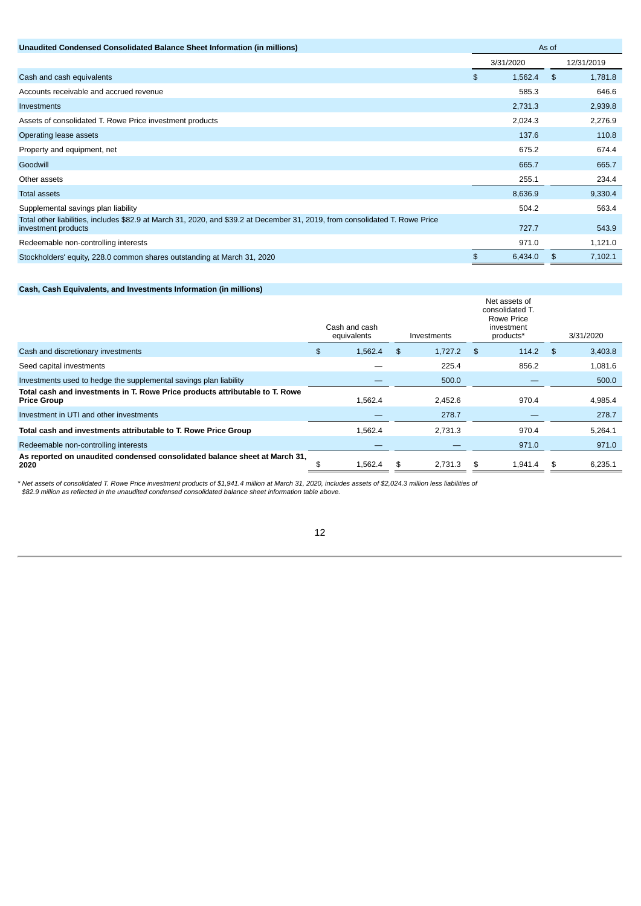| Unaudited Condensed Consolidated Balance Sheet Information (in millions)                                                                            | As of         |     |            |  |
|-----------------------------------------------------------------------------------------------------------------------------------------------------|---------------|-----|------------|--|
|                                                                                                                                                     | 3/31/2020     |     | 12/31/2019 |  |
| Cash and cash equivalents                                                                                                                           | \$<br>1,562.4 | \$  | 1,781.8    |  |
| Accounts receivable and accrued revenue                                                                                                             | 585.3         |     | 646.6      |  |
| Investments                                                                                                                                         | 2,731.3       |     | 2,939.8    |  |
| Assets of consolidated T. Rowe Price investment products                                                                                            | 2,024.3       |     | 2,276.9    |  |
| Operating lease assets                                                                                                                              | 137.6         |     | 110.8      |  |
| Property and equipment, net                                                                                                                         | 675.2         |     | 674.4      |  |
| Goodwill                                                                                                                                            | 665.7         |     | 665.7      |  |
| Other assets                                                                                                                                        | 255.1         |     | 234.4      |  |
| Total assets                                                                                                                                        | 8,636.9       |     | 9,330.4    |  |
| Supplemental savings plan liability                                                                                                                 | 504.2         |     | 563.4      |  |
| Total other liabilities, includes \$82.9 at March 31, 2020, and \$39.2 at December 31, 2019, from consolidated T. Rowe Price<br>investment products | 727.7         |     | 543.9      |  |
| Redeemable non-controlling interests                                                                                                                | 971.0         |     | 1,121.0    |  |
| Stockholders' equity, 228.0 common shares outstanding at March 31, 2020                                                                             | 6,434.0       | \$. | 7,102.1    |  |

## **Cash, Cash Equivalents, and Investments Information (in millions)**

|                                                                                                    | Cash and cash<br>equivalents | Investments   |     | Net assets of<br>consolidated T.<br>Rowe Price<br>investment<br>products* |     | 3/31/2020 |
|----------------------------------------------------------------------------------------------------|------------------------------|---------------|-----|---------------------------------------------------------------------------|-----|-----------|
| Cash and discretionary investments                                                                 | \$<br>1,562.4                | \$<br>1.727.2 | -SS | 114.2                                                                     | \$  | 3,403.8   |
| Seed capital investments                                                                           |                              | 225.4         |     | 856.2                                                                     |     | 1,081.6   |
| Investments used to hedge the supplemental savings plan liability                                  |                              | 500.0         |     |                                                                           |     | 500.0     |
| Total cash and investments in T. Rowe Price products attributable to T. Rowe<br><b>Price Group</b> | 1,562.4                      | 2,452.6       |     | 970.4                                                                     |     | 4,985.4   |
| Investment in UTI and other investments                                                            |                              | 278.7         |     |                                                                           |     | 278.7     |
| Total cash and investments attributable to T. Rowe Price Group                                     | 1.562.4                      | 2,731.3       |     | 970.4                                                                     |     | 5,264.1   |
| Redeemable non-controlling interests                                                               |                              |               |     | 971.0                                                                     |     | 971.0     |
| As reported on unaudited condensed consolidated balance sheet at March 31,<br>2020                 | 1,562.4                      | 2,731.3       |     | 1,941.4                                                                   | \$. | 6,235.1   |

\* Net assets of consolidated T. Rowe Price investment products of \$1,941.4 million at March 31, 2020, includes assets of \$2,024.3 million less liabilities of<br>\$82.9 million as reflected in the unaudited condensed consolidat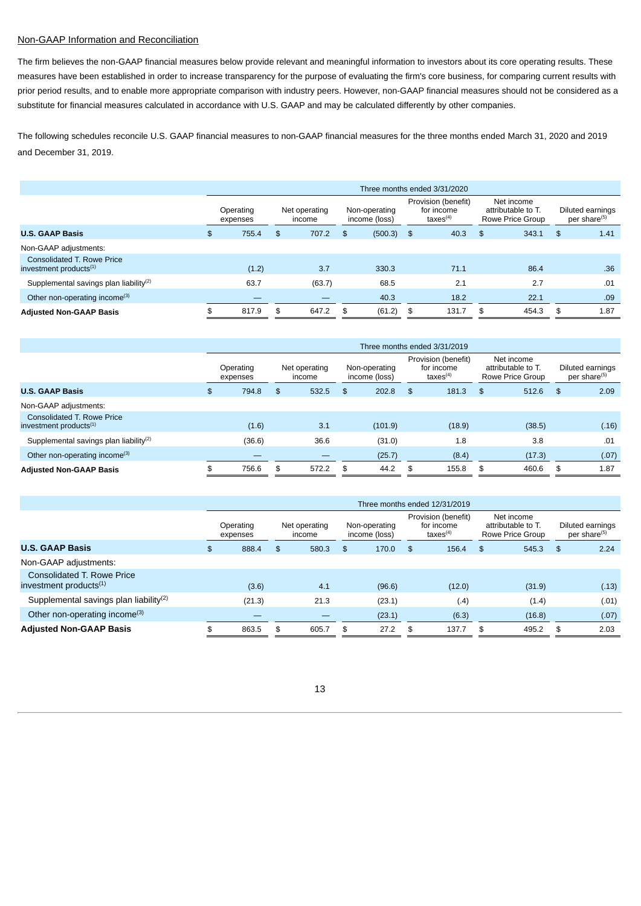#### Non-GAAP Information and Reconciliation

The firm believes the non-GAAP financial measures below provide relevant and meaningful information to investors about its core operating results. These measures have been established in order to increase transparency for the purpose of evaluating the firm's core business, for comparing current results with prior period results, and to enable more appropriate comparison with industry peers. However, non-GAAP financial measures should not be considered as a substitute for financial measures calculated in accordance with U.S. GAAP and may be calculated differently by other companies.

The following schedules reconcile U.S. GAAP financial measures to non-GAAP financial measures for the three months ended March 31, 2020 and 2019 and December 31, 2019.

|                                                         | Three months ended 3/31/2020 |    |                         |    |                                |    |                                                    |                                                      |       |                                              |                  |  |
|---------------------------------------------------------|------------------------------|----|-------------------------|----|--------------------------------|----|----------------------------------------------------|------------------------------------------------------|-------|----------------------------------------------|------------------|--|
|                                                         | Operating<br>expenses        |    | Net operating<br>income |    | Non-operating<br>income (loss) |    | Provision (benefit)<br>for income<br>$taxes^{(4)}$ | Net income<br>attributable to T.<br>Rowe Price Group |       | Diluted earnings<br>per share <sup>(5)</sup> |                  |  |
| <b>U.S. GAAP Basis</b>                                  | \$<br>755.4                  | \$ | 707.2                   | \$ | $(500.3)$ \$                   |    | 40.3                                               | \$                                                   | 343.1 | \$                                           | 1.41             |  |
| Non-GAAP adjustments:                                   |                              |    |                         |    |                                |    |                                                    |                                                      |       |                                              |                  |  |
| Consolidated T. Rowe Price<br>investment products $(1)$ | (1.2)                        |    | 3.7                     |    | 330.3                          |    | 71.1                                               |                                                      | 86.4  |                                              | .36 <sub>1</sub> |  |
| Supplemental savings plan liability <sup>(2)</sup>      | 63.7                         |    | (63.7)                  |    | 68.5                           |    | 2.1                                                |                                                      | 2.7   |                                              | .01              |  |
| Other non-operating income <sup>(3)</sup>               |                              |    |                         |    | 40.3                           |    | 18.2                                               |                                                      | 22.1  |                                              | .09              |  |
| <b>Adiusted Non-GAAP Basis</b>                          | 817.9                        | \$ | 647.2                   | \$ | (61.2)                         | \$ | 131.7                                              | \$                                                   | 454.3 | \$                                           | 1.87             |  |

|                                                                | Three months ended 3/31/2019 |                         |       |                                |         |                                                    |        |                                                      |        |                                              |       |
|----------------------------------------------------------------|------------------------------|-------------------------|-------|--------------------------------|---------|----------------------------------------------------|--------|------------------------------------------------------|--------|----------------------------------------------|-------|
|                                                                | Operating<br>expenses        | Net operating<br>income |       | Non-operating<br>income (loss) |         | Provision (benefit)<br>for income<br>$taxes^{(4)}$ |        | Net income<br>attributable to T.<br>Rowe Price Group |        | Diluted earnings<br>per share <sup>(5)</sup> |       |
| <b>U.S. GAAP Basis</b>                                         | \$<br>794.8                  | \$                      | 532.5 | \$                             | 202.8   | \$                                                 | 181.3  | \$                                                   | 512.6  | - \$                                         | 2.09  |
| Non-GAAP adjustments:                                          |                              |                         |       |                                |         |                                                    |        |                                                      |        |                                              |       |
| <b>Consolidated T. Rowe Price</b><br>investment products $(1)$ | (1.6)                        |                         | 3.1   |                                | (101.9) |                                                    | (18.9) |                                                      | (38.5) |                                              | (.16) |
| Supplemental savings plan liability <sup>(2)</sup>             | (36.6)                       |                         | 36.6  |                                | (31.0)  |                                                    | 1.8    |                                                      | 3.8    |                                              | .01   |
| Other non-operating income <sup>(3)</sup>                      |                              |                         |       |                                | (25.7)  |                                                    | (8.4)  |                                                      | (17.3) |                                              | (.07) |
| <b>Adiusted Non-GAAP Basis</b>                                 | 756.6                        | \$                      | 572.2 | \$                             | 44.2    |                                                    | 155.8  | \$                                                   | 460.6  |                                              | 1.87  |

|                                                         | Three months ended 12/31/2019 |                                                  |    |                                |    |                                                  |     |                                                      |    |                                              |    |       |
|---------------------------------------------------------|-------------------------------|--------------------------------------------------|----|--------------------------------|----|--------------------------------------------------|-----|------------------------------------------------------|----|----------------------------------------------|----|-------|
|                                                         |                               | Operating<br>Net operating<br>income<br>expenses |    | Non-operating<br>income (loss) |    | Provision (benefit)<br>for income<br>taxes $(4)$ |     | Net income<br>attributable to T.<br>Rowe Price Group |    | Diluted earnings<br>per share <sup>(5)</sup> |    |       |
| <b>U.S. GAAP Basis</b>                                  | \$                            | 888.4                                            | \$ | 580.3                          | \$ | 170.0                                            | -\$ | 156.4                                                | \$ | 545.3                                        | \$ | 2.24  |
| Non-GAAP adjustments:                                   |                               |                                                  |    |                                |    |                                                  |     |                                                      |    |                                              |    |       |
| Consolidated T. Rowe Price<br>investment products $(1)$ |                               | (3.6)                                            |    | 4.1                            |    | (96.6)                                           |     | (12.0)                                               |    | (31.9)                                       |    | (.13) |
| Supplemental savings plan liability <sup>(2)</sup>      |                               | (21.3)                                           |    | 21.3                           |    | (23.1)                                           |     | (.4)                                                 |    | (1.4)                                        |    | (.01) |
| Other non-operating income <sup>(3)</sup>               |                               |                                                  |    |                                |    | (23.1)                                           |     | (6.3)                                                |    | (16.8)                                       |    | (.07) |
| <b>Adjusted Non-GAAP Basis</b>                          |                               | 863.5                                            | \$ | 605.7                          | \$ | 27.2                                             | \$  | 137.7                                                | \$ | 495.2                                        | \$ | 2.03  |
|                                                         |                               |                                                  |    |                                |    |                                                  |     |                                                      |    |                                              |    |       |